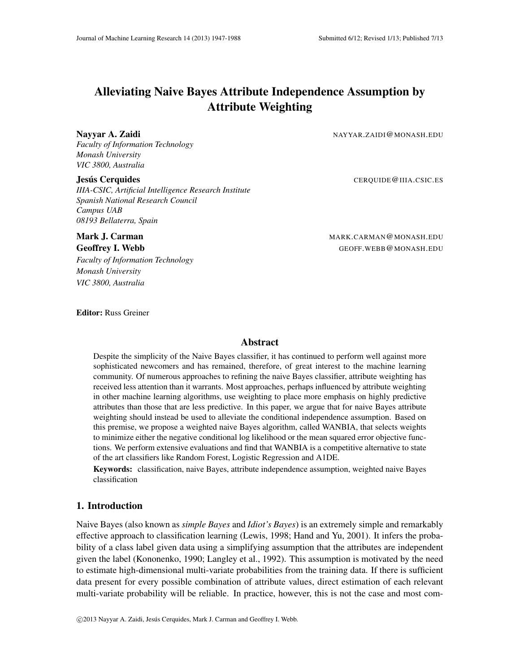# Alleviating Naive Bayes Attribute Independence Assumption by Attribute Weighting

Nayyar A. Zaidi NAYYAR.ZAIDI@MONASH.EDU

*Faculty of Information Technology Monash University VIC 3800, Australia*

Jesus Cerquides ´ CERQUIDE@IIIA.CSIC.ES *IIIA-CSIC, Artificial Intelligence Research Institute*

*Spanish National Research Council Campus UAB 08193 Bellaterra, Spain*

*Faculty of Information Technology Monash University VIC 3800, Australia*

**Mark J. Carman MARK.CARMAN@MONASH.EDU Geoffrey I. Webb GEOFF. WEBB @ MONASH.EDU** 

Editor: Russ Greiner

## Abstract

Despite the simplicity of the Naive Bayes classifier, it has continued to perform well against more sophisticated newcomers and has remained, therefore, of great interest to the machine learning community. Of numerous approaches to refining the naive Bayes classifier, attribute weighting has received less attention than it warrants. Most approaches, perhaps influenced by attribute weighting in other machine learning algorithms, use weighting to place more emphasis on highly predictive attributes than those that are less predictive. In this paper, we argue that for naive Bayes attribute weighting should instead be used to alleviate the conditional independence assumption. Based on this premise, we propose a weighted naive Bayes algorithm, called WANBIA, that selects weights to minimize either the negative conditional log likelihood or the mean squared error objective functions. We perform extensive evaluations and find that WANBIA is a competitive alternative to state of the art classifiers like Random Forest, Logistic Regression and A1DE.

Keywords: classification, naive Bayes, attribute independence assumption, weighted naive Bayes classification

# 1. Introduction

Naive Bayes (also known as *simple Bayes* and *Idiot's Bayes*) is an extremely simple and remarkably effective approach to classification learning (Lewis, 1998; Hand and Yu, 2001). It infers the probability of a class label given data using a simplifying assumption that the attributes are independent given the label (Kononenko, 1990; Langley et al., 1992). This assumption is motivated by the need to estimate high-dimensional multi-variate probabilities from the training data. If there is sufficient data present for every possible combination of attribute values, direct estimation of each relevant multi-variate probability will be reliable. In practice, however, this is not the case and most com-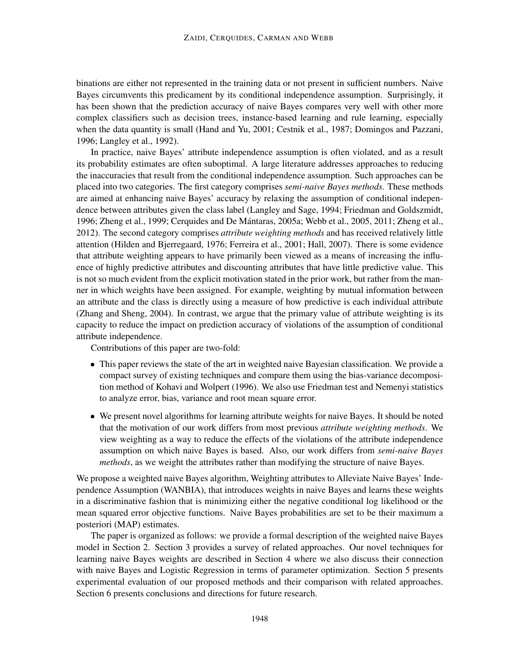binations are either not represented in the training data or not present in sufficient numbers. Naive Bayes circumvents this predicament by its conditional independence assumption. Surprisingly, it has been shown that the prediction accuracy of naive Bayes compares very well with other more complex classifiers such as decision trees, instance-based learning and rule learning, especially when the data quantity is small (Hand and Yu, 2001; Cestnik et al., 1987; Domingos and Pazzani, 1996; Langley et al., 1992).

In practice, naive Bayes' attribute independence assumption is often violated, and as a result its probability estimates are often suboptimal. A large literature addresses approaches to reducing the inaccuracies that result from the conditional independence assumption. Such approaches can be placed into two categories. The first category comprises *semi-naive Bayes methods*. These methods are aimed at enhancing naive Bayes' accuracy by relaxing the assumption of conditional independence between attributes given the class label (Langley and Sage, 1994; Friedman and Goldszmidt, 1996; Zheng et al., 1999; Cerquides and De Mantaras, 2005a; Webb et al., 2005, 2011; Zheng et al., ´ 2012). The second category comprises *attribute weighting methods* and has received relatively little attention (Hilden and Bjerregaard, 1976; Ferreira et al., 2001; Hall, 2007). There is some evidence that attribute weighting appears to have primarily been viewed as a means of increasing the influence of highly predictive attributes and discounting attributes that have little predictive value. This is not so much evident from the explicit motivation stated in the prior work, but rather from the manner in which weights have been assigned. For example, weighting by mutual information between an attribute and the class is directly using a measure of how predictive is each individual attribute (Zhang and Sheng, 2004). In contrast, we argue that the primary value of attribute weighting is its capacity to reduce the impact on prediction accuracy of violations of the assumption of conditional attribute independence.

Contributions of this paper are two-fold:

- This paper reviews the state of the art in weighted naive Bayesian classification. We provide a compact survey of existing techniques and compare them using the bias-variance decomposition method of Kohavi and Wolpert (1996). We also use Friedman test and Nemenyi statistics to analyze error, bias, variance and root mean square error.
- We present novel algorithms for learning attribute weights for naive Bayes. It should be noted that the motivation of our work differs from most previous *attribute weighting methods*. We view weighting as a way to reduce the effects of the violations of the attribute independence assumption on which naive Bayes is based. Also, our work differs from *semi-naive Bayes methods*, as we weight the attributes rather than modifying the structure of naive Bayes.

We propose a weighted naive Bayes algorithm, Weighting attributes to Alleviate Naive Bayes' Independence Assumption (WANBIA), that introduces weights in naive Bayes and learns these weights in a discriminative fashion that is minimizing either the negative conditional log likelihood or the mean squared error objective functions. Naive Bayes probabilities are set to be their maximum a posteriori (MAP) estimates.

The paper is organized as follows: we provide a formal description of the weighted naive Bayes model in Section 2. Section 3 provides a survey of related approaches. Our novel techniques for learning naive Bayes weights are described in Section 4 where we also discuss their connection with naive Bayes and Logistic Regression in terms of parameter optimization. Section 5 presents experimental evaluation of our proposed methods and their comparison with related approaches. Section 6 presents conclusions and directions for future research.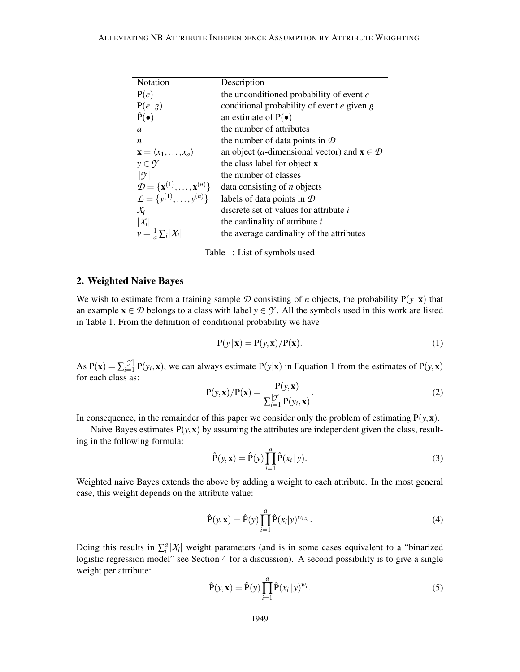| Notation                                                    | Description                                                                |
|-------------------------------------------------------------|----------------------------------------------------------------------------|
| P(e)                                                        | the unconditioned probability of event e                                   |
| P(e g)                                                      | conditional probability of event e given g                                 |
| $\hat{P}(\bullet)$                                          | an estimate of $P(\bullet)$                                                |
| $\boldsymbol{a}$                                            | the number of attributes                                                   |
| n.                                                          | the number of data points in $\mathcal D$                                  |
| $\mathbf{x} = \langle x_1, \ldots, x_a \rangle$             | an object ( <i>a</i> -dimensional vector) and $\mathbf{x} \in \mathcal{D}$ |
| $y \in \mathcal{Y}$                                         | the class label for object <b>x</b>                                        |
| $ \gamma $                                                  | the number of classes                                                      |
| $\mathcal{D} = {\mathbf{x}^{(1)}, \dots, \mathbf{x}^{(n)}}$ | data consisting of $n$ objects                                             |
| $\mathcal{L} = \{y^{(1)}, \ldots, y^{(n)}\}\$               | labels of data points in $D$                                               |
| $\chi_i$                                                    | discrete set of values for attribute i                                     |
| $ \mathcal{X}_i $                                           | the cardinality of attribute <i>i</i>                                      |
| $v = \frac{1}{a} \sum_i  X_i $                              | the average cardinality of the attributes                                  |

Table 1: List of symbols used

# 2. Weighted Naive Bayes

We wish to estimate from a training sample D consisting of *n* objects, the probability  $P(y|x)$  that an example  $x \in \mathcal{D}$  belongs to a class with label  $y \in \mathcal{Y}$ . All the symbols used in this work are listed in Table 1. From the definition of conditional probability we have

$$
P(y | x) = P(y, x) / P(x).
$$
 (1)

As  $P(x) = \sum_{i=1}^{|y|} P(y_i, x)$ , we can always estimate  $P(y|x)$  in Equation 1 from the estimates of  $P(y, x)$ for each class as:

$$
P(y, x) / P(x) = \frac{P(y, x)}{\sum_{i=1}^{\lfloor \mathcal{Y} \rfloor} P(y_i, x)}.
$$
\n(2)

In consequence, in the remainder of this paper we consider only the problem of estimating  $P(y, x)$ .

Naive Bayes estimates  $P(y, x)$  by assuming the attributes are independent given the class, resulting in the following formula:

$$
\hat{\mathbf{P}}(\mathbf{y}, \mathbf{x}) = \hat{\mathbf{P}}(\mathbf{y}) \prod_{i=1}^{a} \hat{\mathbf{P}}(x_i | \mathbf{y}).
$$
\n(3)

Weighted naive Bayes extends the above by adding a weight to each attribute. In the most general case, this weight depends on the attribute value:

$$
\hat{\mathbf{P}}(\mathbf{y}, \mathbf{x}) = \hat{\mathbf{P}}(\mathbf{y}) \prod_{i=1}^{a} \hat{\mathbf{P}}(x_i | \mathbf{y})^{w_{i, x_i}}.
$$
\n(4)

Doing this results in  $\sum_{i}^{a} |\mathcal{X}_i|$  weight parameters (and is in some cases equivalent to a "binarized" logistic regression model" see Section 4 for a discussion). A second possibility is to give a single weight per attribute:

$$
\hat{\mathbf{P}}(\mathbf{y}, \mathbf{x}) = \hat{\mathbf{P}}(\mathbf{y}) \prod_{i=1}^{a} \hat{\mathbf{P}}(x_i | \mathbf{y})^{w_i}.
$$
\n(5)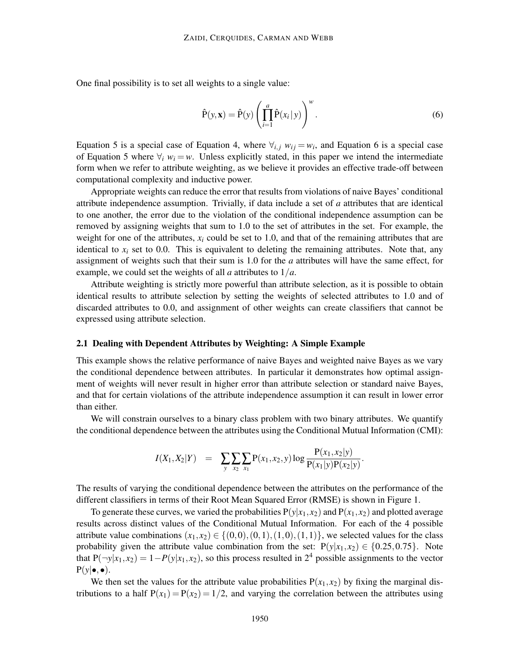One final possibility is to set all weights to a single value:

$$
\hat{\mathbf{P}}(\mathbf{y}, \mathbf{x}) = \hat{\mathbf{P}}(\mathbf{y}) \left( \prod_{i=1}^{a} \hat{\mathbf{P}}(x_i | \mathbf{y}) \right)^{w}.
$$
\n(6)

Equation 5 is a special case of Equation 4, where  $\forall_{i,j}$   $w_{ij} = w_i$ , and Equation 6 is a special case of Equation 5 where  $\forall$ *i*  $w$ <sup>*i*</sup> = *w*. Unless explicitly stated, in this paper we intend the intermediate form when we refer to attribute weighting, as we believe it provides an effective trade-off between computational complexity and inductive power.

Appropriate weights can reduce the error that results from violations of naive Bayes' conditional attribute independence assumption. Trivially, if data include a set of *a* attributes that are identical to one another, the error due to the violation of the conditional independence assumption can be removed by assigning weights that sum to 1.0 to the set of attributes in the set. For example, the weight for one of the attributes,  $x_i$  could be set to 1.0, and that of the remaining attributes that are identical to  $x_i$  set to 0.0. This is equivalent to deleting the remaining attributes. Note that, any assignment of weights such that their sum is 1.0 for the *a* attributes will have the same effect, for example, we could set the weights of all *a* attributes to 1/*a*.

Attribute weighting is strictly more powerful than attribute selection, as it is possible to obtain identical results to attribute selection by setting the weights of selected attributes to 1.0 and of discarded attributes to 0.0, and assignment of other weights can create classifiers that cannot be expressed using attribute selection.

#### 2.1 Dealing with Dependent Attributes by Weighting: A Simple Example

This example shows the relative performance of naive Bayes and weighted naive Bayes as we vary the conditional dependence between attributes. In particular it demonstrates how optimal assignment of weights will never result in higher error than attribute selection or standard naive Bayes, and that for certain violations of the attribute independence assumption it can result in lower error than either.

We will constrain ourselves to a binary class problem with two binary attributes. We quantify the conditional dependence between the attributes using the Conditional Mutual Information (CMI):

$$
I(X_1, X_2|Y) = \sum_{y} \sum_{x_2} \sum_{x_1} P(x_1, x_2, y) \log \frac{P(x_1, x_2|y)}{P(x_1|y)P(x_2|y)}.
$$

The results of varying the conditional dependence between the attributes on the performance of the different classifiers in terms of their Root Mean Squared Error (RMSE) is shown in Figure 1.

To generate these curves, we varied the probabilities  $P(y|x_1, x_2)$  and  $P(x_1, x_2)$  and plotted average results across distinct values of the Conditional Mutual Information. For each of the 4 possible attribute value combinations  $(x_1, x_2) \in \{(0,0), (0,1), (1,0), (1,1)\}$ , we selected values for the class probability given the attribute value combination from the set:  $P(y|x_1, x_2) \in \{0.25, 0.75\}$ . Note that  $P(\neg y|x_1, x_2) = 1 - P(y|x_1, x_2)$ , so this process resulted in 2<sup>4</sup> possible assignments to the vector  $P(y|\bullet,\bullet).$ 

We then set the values for the attribute value probabilities  $P(x_1, x_2)$  by fixing the marginal distributions to a half  $P(x_1) = P(x_2) = 1/2$ , and varying the correlation between the attributes using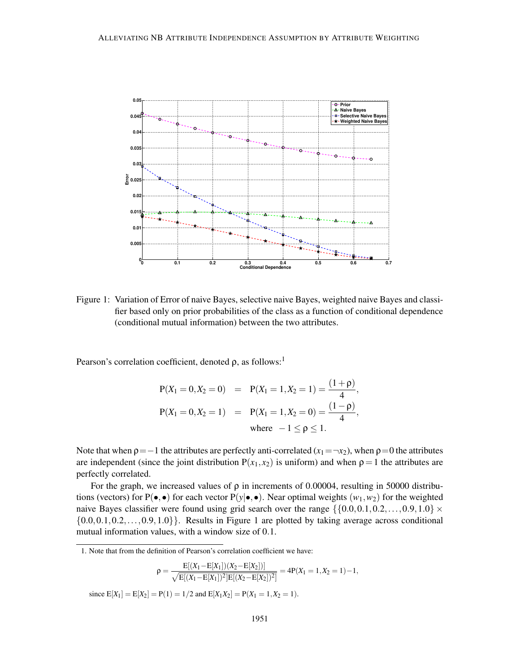

Figure 1: Variation of Error of naive Bayes, selective naive Bayes, weighted naive Bayes and classifier based only on prior probabilities of the class as a function of conditional dependence (conditional mutual information) between the two attributes.

Pearson's correlation coefficient, denoted  $\rho$ , as follows:<sup>1</sup>

$$
P(X_1 = 0, X_2 = 0) = P(X_1 = 1, X_2 = 1) = \frac{(1 + \rho)}{4},
$$
  
\n
$$
P(X_1 = 0, X_2 = 1) = P(X_1 = 1, X_2 = 0) = \frac{(1 - \rho)}{4},
$$
  
\nwhere  $-1 \le \rho \le 1$ .

Note that when  $p = -1$  the attributes are perfectly anti-correlated  $(x_1 = -x_2)$ , when  $p = 0$  the attributes are independent (since the joint distribution  $P(x_1, x_2)$  is uniform) and when  $\rho = 1$  the attributes are perfectly correlated.

For the graph, we increased values of  $\rho$  in increments of 0.00004, resulting in 50000 distributions (vectors) for P( $\bullet$ , $\bullet$ ) for each vector P( $y | \bullet$ , $\bullet$ ). Near optimal weights ( $w_1, w_2$ ) for the weighted naive Bayes classifier were found using grid search over the range  $\{\{0.0, 0.1, 0.2, \ldots, 0.9, 1.0\} \times$  $\{0.0, 0.1, 0.2, \ldots, 0.9, 1.0\}$ . Results in Figure 1 are plotted by taking average across conditional mutual information values, with a window size of 0.1.

$$
\rho = \frac{E[(X_1 - E[X_1])(X_2 - E[X_2])]}{\sqrt{E[(X_1 - E[X_1])^2]E[(X_2 - E[X_2])^2]}} = 4P(X_1 = 1, X_2 = 1) - 1,
$$

since  $E[X_1] = E[X_2] = P(1) = 1/2$  and  $E[X_1X_2] = P(X_1 = 1, X_2 = 1)$ .

<sup>1.</sup> Note that from the definition of Pearson's correlation coefficient we have: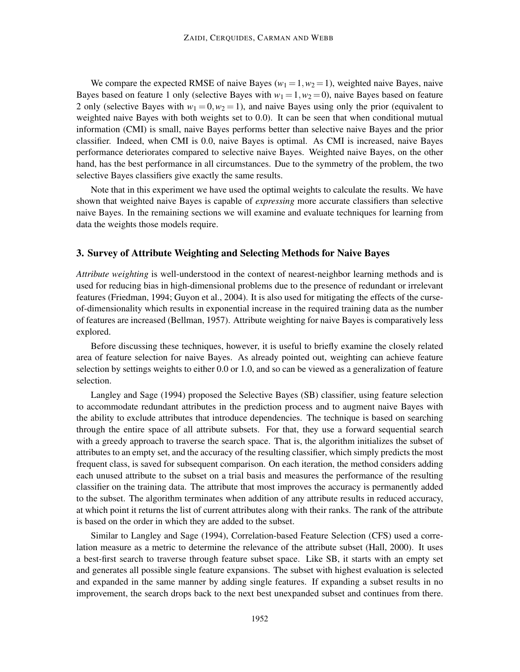We compare the expected RMSE of naive Bayes ( $w_1 = 1, w_2 = 1$ ), weighted naive Bayes, naive Bayes based on feature 1 only (selective Bayes with  $w_1 = 1, w_2 = 0$ ), naive Bayes based on feature 2 only (selective Bayes with  $w_1 = 0, w_2 = 1$ ), and naive Bayes using only the prior (equivalent to weighted naive Bayes with both weights set to 0.0). It can be seen that when conditional mutual information (CMI) is small, naive Bayes performs better than selective naive Bayes and the prior classifier. Indeed, when CMI is 0.0, naive Bayes is optimal. As CMI is increased, naive Bayes performance deteriorates compared to selective naive Bayes. Weighted naive Bayes, on the other hand, has the best performance in all circumstances. Due to the symmetry of the problem, the two selective Bayes classifiers give exactly the same results.

Note that in this experiment we have used the optimal weights to calculate the results. We have shown that weighted naive Bayes is capable of *expressing* more accurate classifiers than selective naive Bayes. In the remaining sections we will examine and evaluate techniques for learning from data the weights those models require.

#### 3. Survey of Attribute Weighting and Selecting Methods for Naive Bayes

*Attribute weighting* is well-understood in the context of nearest-neighbor learning methods and is used for reducing bias in high-dimensional problems due to the presence of redundant or irrelevant features (Friedman, 1994; Guyon et al., 2004). It is also used for mitigating the effects of the curseof-dimensionality which results in exponential increase in the required training data as the number of features are increased (Bellman, 1957). Attribute weighting for naive Bayes is comparatively less explored.

Before discussing these techniques, however, it is useful to briefly examine the closely related area of feature selection for naive Bayes. As already pointed out, weighting can achieve feature selection by settings weights to either 0.0 or 1.0, and so can be viewed as a generalization of feature selection.

Langley and Sage (1994) proposed the Selective Bayes (SB) classifier, using feature selection to accommodate redundant attributes in the prediction process and to augment naive Bayes with the ability to exclude attributes that introduce dependencies. The technique is based on searching through the entire space of all attribute subsets. For that, they use a forward sequential search with a greedy approach to traverse the search space. That is, the algorithm initializes the subset of attributes to an empty set, and the accuracy of the resulting classifier, which simply predicts the most frequent class, is saved for subsequent comparison. On each iteration, the method considers adding each unused attribute to the subset on a trial basis and measures the performance of the resulting classifier on the training data. The attribute that most improves the accuracy is permanently added to the subset. The algorithm terminates when addition of any attribute results in reduced accuracy, at which point it returns the list of current attributes along with their ranks. The rank of the attribute is based on the order in which they are added to the subset.

Similar to Langley and Sage (1994), Correlation-based Feature Selection (CFS) used a correlation measure as a metric to determine the relevance of the attribute subset (Hall, 2000). It uses a best-first search to traverse through feature subset space. Like SB, it starts with an empty set and generates all possible single feature expansions. The subset with highest evaluation is selected and expanded in the same manner by adding single features. If expanding a subset results in no improvement, the search drops back to the next best unexpanded subset and continues from there.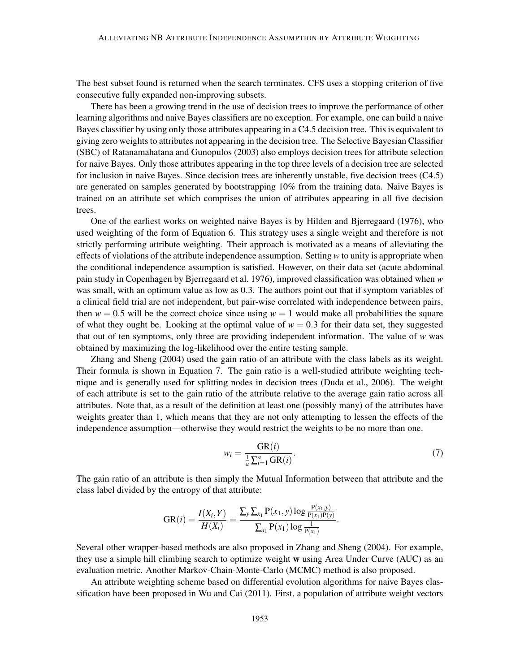The best subset found is returned when the search terminates. CFS uses a stopping criterion of five consecutive fully expanded non-improving subsets.

There has been a growing trend in the use of decision trees to improve the performance of other learning algorithms and naive Bayes classifiers are no exception. For example, one can build a naive Bayes classifier by using only those attributes appearing in a C4.5 decision tree. This is equivalent to giving zero weights to attributes not appearing in the decision tree. The Selective Bayesian Classifier (SBC) of Ratanamahatana and Gunopulos (2003) also employs decision trees for attribute selection for naive Bayes. Only those attributes appearing in the top three levels of a decision tree are selected for inclusion in naive Bayes. Since decision trees are inherently unstable, five decision trees (C4.5) are generated on samples generated by bootstrapping 10% from the training data. Naive Bayes is trained on an attribute set which comprises the union of attributes appearing in all five decision trees.

One of the earliest works on weighted naive Bayes is by Hilden and Bjerregaard (1976), who used weighting of the form of Equation 6. This strategy uses a single weight and therefore is not strictly performing attribute weighting. Their approach is motivated as a means of alleviating the effects of violations of the attribute independence assumption. Setting *w* to unity is appropriate when the conditional independence assumption is satisfied. However, on their data set (acute abdominal pain study in Copenhagen by Bjerregaard et al. 1976), improved classification was obtained when *w* was small, with an optimum value as low as 0.3. The authors point out that if symptom variables of a clinical field trial are not independent, but pair-wise correlated with independence between pairs, then  $w = 0.5$  will be the correct choice since using  $w = 1$  would make all probabilities the square of what they ought be. Looking at the optimal value of  $w = 0.3$  for their data set, they suggested that out of ten symptoms, only three are providing independent information. The value of  $w$  was obtained by maximizing the log-likelihood over the entire testing sample.

Zhang and Sheng (2004) used the gain ratio of an attribute with the class labels as its weight. Their formula is shown in Equation 7. The gain ratio is a well-studied attribute weighting technique and is generally used for splitting nodes in decision trees (Duda et al., 2006). The weight of each attribute is set to the gain ratio of the attribute relative to the average gain ratio across all attributes. Note that, as a result of the definition at least one (possibly many) of the attributes have weights greater than 1, which means that they are not only attempting to lessen the effects of the independence assumption—otherwise they would restrict the weights to be no more than one.

$$
w_i = \frac{\text{GR}(i)}{\frac{1}{a}\sum_{i=1}^a \text{GR}(i)}.
$$
\n(7)

The gain ratio of an attribute is then simply the Mutual Information between that attribute and the class label divided by the entropy of that attribute:

$$
GR(i) = \frac{I(X_i, Y)}{H(X_i)} = \frac{\sum_{y} \sum_{x_1} P(x_1, y) \log \frac{P(x_1, y)}{P(x_1)P(y)}}{\sum_{x_1} P(x_1) \log \frac{1}{P(x_1)}}.
$$

Several other wrapper-based methods are also proposed in Zhang and Sheng (2004). For example, they use a simple hill climbing search to optimize weight w using Area Under Curve (AUC) as an evaluation metric. Another Markov-Chain-Monte-Carlo (MCMC) method is also proposed.

An attribute weighting scheme based on differential evolution algorithms for naive Bayes classification have been proposed in Wu and Cai (2011). First, a population of attribute weight vectors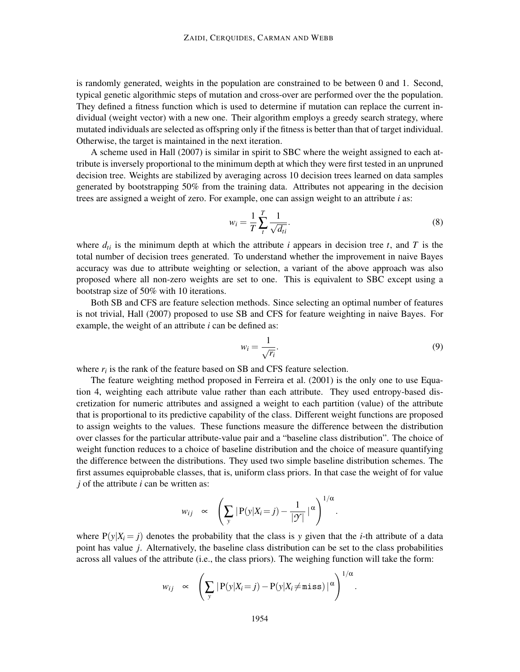is randomly generated, weights in the population are constrained to be between 0 and 1. Second, typical genetic algorithmic steps of mutation and cross-over are performed over the the population. They defined a fitness function which is used to determine if mutation can replace the current individual (weight vector) with a new one. Their algorithm employs a greedy search strategy, where mutated individuals are selected as offspring only if the fitness is better than that of target individual. Otherwise, the target is maintained in the next iteration.

A scheme used in Hall (2007) is similar in spirit to SBC where the weight assigned to each attribute is inversely proportional to the minimum depth at which they were first tested in an unpruned decision tree. Weights are stabilized by averaging across 10 decision trees learned on data samples generated by bootstrapping 50% from the training data. Attributes not appearing in the decision trees are assigned a weight of zero. For example, one can assign weight to an attribute *i* as:

$$
w_i = \frac{1}{T} \sum_{t}^{T} \frac{1}{\sqrt{d_{ti}}}.
$$
\n
$$
(8)
$$

where  $d_i$  is the minimum depth at which the attribute *i* appears in decision tree *t*, and *T* is the total number of decision trees generated. To understand whether the improvement in naive Bayes accuracy was due to attribute weighting or selection, a variant of the above approach was also proposed where all non-zero weights are set to one. This is equivalent to SBC except using a bootstrap size of 50% with 10 iterations.

Both SB and CFS are feature selection methods. Since selecting an optimal number of features is not trivial, Hall (2007) proposed to use SB and CFS for feature weighting in naive Bayes. For example, the weight of an attribute *i* can be defined as:

$$
w_i = \frac{1}{\sqrt{r_i}}.\tag{9}
$$

where  $r_i$  is the rank of the feature based on SB and CFS feature selection.

The feature weighting method proposed in Ferreira et al. (2001) is the only one to use Equation 4, weighting each attribute value rather than each attribute. They used entropy-based discretization for numeric attributes and assigned a weight to each partition (value) of the attribute that is proportional to its predictive capability of the class. Different weight functions are proposed to assign weights to the values. These functions measure the difference between the distribution over classes for the particular attribute-value pair and a "baseline class distribution". The choice of weight function reduces to a choice of baseline distribution and the choice of measure quantifying the difference between the distributions. They used two simple baseline distribution schemes. The first assumes equiprobable classes, that is, uniform class priors. In that case the weight of for value *j* of the attribute *i* can be written as:

$$
w_{ij} \propto \left(\sum_{y} |P(y|X_i = j) - \frac{1}{|\mathcal{Y}|} |\alpha \right)^{1/\alpha}.
$$

where  $P(y|X_i = j)$  denotes the probability that the class is y given that the *i*-th attribute of a data point has value *j*. Alternatively, the baseline class distribution can be set to the class probabilities across all values of the attribute (i.e., the class priors). The weighing function will take the form:

$$
w_{ij} \propto \left(\sum_{y} |P(y|X_i = j) - P(y|X_i \neq \text{miss})|^{\alpha}\right)^{1/\alpha}.
$$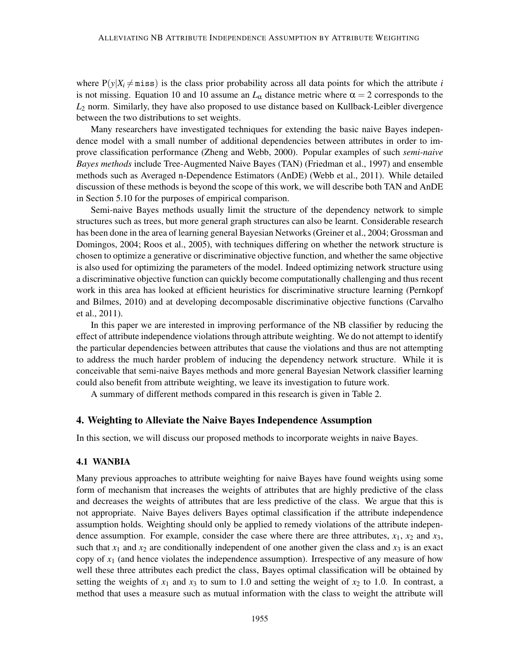where  $P(y|X_i \neq \text{miss})$  is the class prior probability across all data points for which the attribute *i* is not missing. Equation 10 and 10 assume an  $L_{\alpha}$  distance metric where  $\alpha = 2$  corresponds to the *L*<sup>2</sup> norm. Similarly, they have also proposed to use distance based on Kullback-Leibler divergence between the two distributions to set weights.

Many researchers have investigated techniques for extending the basic naive Bayes independence model with a small number of additional dependencies between attributes in order to improve classification performance (Zheng and Webb, 2000). Popular examples of such *semi-naive Bayes methods* include Tree-Augmented Naive Bayes (TAN) (Friedman et al., 1997) and ensemble methods such as Averaged n-Dependence Estimators (AnDE) (Webb et al., 2011). While detailed discussion of these methods is beyond the scope of this work, we will describe both TAN and AnDE in Section 5.10 for the purposes of empirical comparison.

Semi-naive Bayes methods usually limit the structure of the dependency network to simple structures such as trees, but more general graph structures can also be learnt. Considerable research has been done in the area of learning general Bayesian Networks (Greiner et al., 2004; Grossman and Domingos, 2004; Roos et al., 2005), with techniques differing on whether the network structure is chosen to optimize a generative or discriminative objective function, and whether the same objective is also used for optimizing the parameters of the model. Indeed optimizing network structure using a discriminative objective function can quickly become computationally challenging and thus recent work in this area has looked at efficient heuristics for discriminative structure learning (Pernkopf and Bilmes, 2010) and at developing decomposable discriminative objective functions (Carvalho et al., 2011).

In this paper we are interested in improving performance of the NB classifier by reducing the effect of attribute independence violations through attribute weighting. We do not attempt to identify the particular dependencies between attributes that cause the violations and thus are not attempting to address the much harder problem of inducing the dependency network structure. While it is conceivable that semi-naive Bayes methods and more general Bayesian Network classifier learning could also benefit from attribute weighting, we leave its investigation to future work.

A summary of different methods compared in this research is given in Table 2.

#### 4. Weighting to Alleviate the Naive Bayes Independence Assumption

In this section, we will discuss our proposed methods to incorporate weights in naive Bayes.

#### 4.1 WANBIA

Many previous approaches to attribute weighting for naive Bayes have found weights using some form of mechanism that increases the weights of attributes that are highly predictive of the class and decreases the weights of attributes that are less predictive of the class. We argue that this is not appropriate. Naive Bayes delivers Bayes optimal classification if the attribute independence assumption holds. Weighting should only be applied to remedy violations of the attribute independence assumption. For example, consider the case where there are three attributes,  $x_1$ ,  $x_2$  and  $x_3$ , such that  $x_1$  and  $x_2$  are conditionally independent of one another given the class and  $x_3$  is an exact copy of *x*<sup>1</sup> (and hence violates the independence assumption). Irrespective of any measure of how well these three attributes each predict the class, Bayes optimal classification will be obtained by setting the weights of  $x_1$  and  $x_3$  to sum to 1.0 and setting the weight of  $x_2$  to 1.0. In contrast, a method that uses a measure such as mutual information with the class to weight the attribute will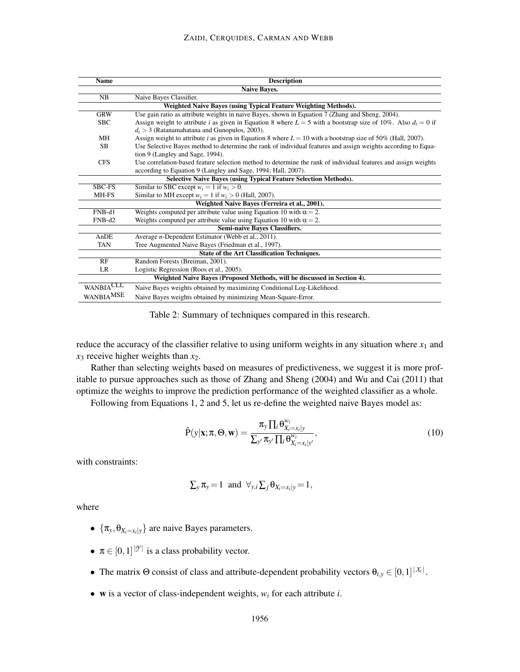| <b>Name</b>                                                             | <b>Description</b>                                                                                                |  |  |  |  |
|-------------------------------------------------------------------------|-------------------------------------------------------------------------------------------------------------------|--|--|--|--|
|                                                                         | <b>Naive Baves.</b>                                                                                               |  |  |  |  |
| <b>NB</b>                                                               | Naive Bayes Classifier.                                                                                           |  |  |  |  |
|                                                                         | Weighted Naive Bayes (using Typical Feature Weighting Methods).                                                   |  |  |  |  |
| <b>GRW</b>                                                              | Use gain ratio as attribute weights in naive Bayes, shown in Equation 7 (Zhang and Sheng, 2004).                  |  |  |  |  |
| <b>SBC</b>                                                              | Assign weight to attribute i as given in Equation 8 where $L = 5$ with a bootstrap size of 10%. Also $d_i = 0$ if |  |  |  |  |
|                                                                         | $d_i > 3$ (Ratanamahatana and Gunopulos, 2003).                                                                   |  |  |  |  |
| MН                                                                      | Assign weight to attribute i as given in Equation 8 where $L = 10$ with a bootstrap size of 50% (Hall, 2007).     |  |  |  |  |
| <b>SB</b>                                                               | Use Selective Bayes method to determine the rank of individual features and assign weights according to Equa-     |  |  |  |  |
|                                                                         | tion 9 (Langley and Sage, 1994).                                                                                  |  |  |  |  |
| <b>CFS</b>                                                              | Use correlation-based feature selection method to determine the rank of individual features and assign weights    |  |  |  |  |
|                                                                         | according to Equation 9 (Langley and Sage, 1994; Hall, 2007).                                                     |  |  |  |  |
| <b>Selective Naive Bayes (using Typical Feature Selection Methods).</b> |                                                                                                                   |  |  |  |  |
| <b>SBC-FS</b>                                                           | Similar to SBC except $w_i = 1$ if $w_i > 0$ .                                                                    |  |  |  |  |
| MH-FS                                                                   | Similar to MH except $w_i = 1$ if $w_i > 0$ (Hall, 2007).                                                         |  |  |  |  |
|                                                                         | Weighted Naive Bayes (Ferreira et al., 2001).                                                                     |  |  |  |  |
| $FNB-d1$                                                                | Weights computed per attribute value using Equation 10 with $\alpha = 2$ .                                        |  |  |  |  |
| $FNB-d2$                                                                | Weights computed per attribute value using Equation 10 with $\alpha = 2$ .                                        |  |  |  |  |
|                                                                         | <b>Semi-naive Baves Classifiers.</b>                                                                              |  |  |  |  |
| AnDE                                                                    | Average <i>n</i> -Dependent Estimator (Webb et al., 2011).                                                        |  |  |  |  |
| <b>TAN</b>                                                              | Tree Augmented Naive Bayes (Friedman et al., 1997).                                                               |  |  |  |  |
| <b>State of the Art Classification Techniques.</b>                      |                                                                                                                   |  |  |  |  |
| RF                                                                      | Random Forests (Breiman, 2001).                                                                                   |  |  |  |  |
| LR                                                                      | Logistic Regression (Roos et al., 2005).                                                                          |  |  |  |  |
|                                                                         | Weighted Naive Bayes (Proposed Methods, will be discussed in Section 4).                                          |  |  |  |  |
| WANBIACLL                                                               | Naive Bayes weights obtained by maximizing Conditional Log-Likelihood.                                            |  |  |  |  |
| WANBIA <sup>MSE</sup>                                                   | Naive Bayes weights obtained by minimizing Mean-Square-Error.                                                     |  |  |  |  |

Table 2: Summary of techniques compared in this research.

reduce the accuracy of the classifier relative to using uniform weights in any situation where  $x_1$  and *x*<sup>3</sup> receive higher weights than *x*2.

Rather than selecting weights based on measures of predictiveness, we suggest it is more profitable to pursue approaches such as those of Zhang and Sheng (2004) and Wu and Cai (2011) that optimize the weights to improve the prediction performance of the weighted classifier as a whole.

Following from Equations 1, 2 and 5, let us re-define the weighted naive Bayes model as:

$$
\hat{P}(y|\mathbf{x}; \pi, \Theta, \mathbf{w}) = \frac{\pi_y \prod_i \theta_{X_i = x_i|y}^{w_i}}{\sum_{y'} \pi_{y'} \prod_i \theta_{X_i = x_i|y'}^{w_i}},
$$
\n(10)

with constraints:

$$
\sum_{y} \pi_{y} = 1 \text{ and } \forall_{y,i} \sum_{j} \theta_{X_{i} = x_{i}|y} = 1,
$$

where

- $\{\pi_y, \theta_{X_i=x_i|y}\}\$  are naive Bayes parameters.
- $\pi \in [0,1]^{|\mathcal{Y}|}$  is a class probability vector.
- The matrix  $\Theta$  consist of class and attribute-dependent probability vectors  $\theta_{i,y} \in [0,1]^{|\mathcal{X}_i|}$ .
- w is a vector of class-independent weights, *w<sup>i</sup>* for each attribute *i*.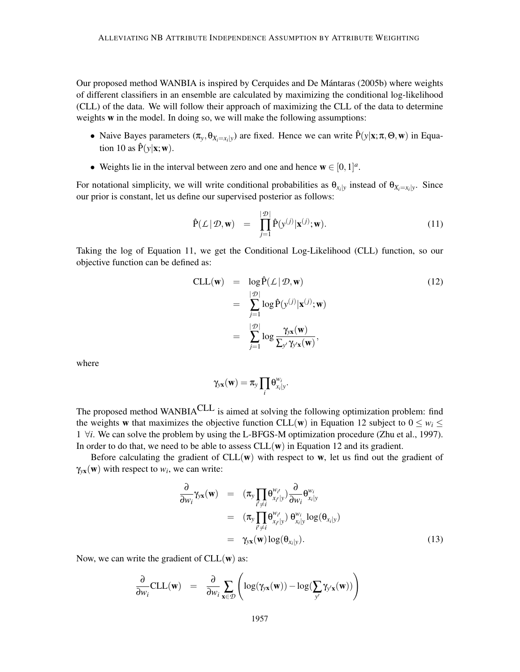Our proposed method WANBIA is inspired by Cerquides and De Mántaras (2005b) where weights of different classifiers in an ensemble are calculated by maximizing the conditional log-likelihood (CLL) of the data. We will follow their approach of maximizing the CLL of the data to determine weights **w** in the model. In doing so, we will make the following assumptions:

- Naive Bayes parameters  $(\pi_y, \theta_{X_i=x_i|y})$  are fixed. Hence we can write  $\hat{P}(y|\mathbf{x}; \pi, \Theta, \mathbf{w})$  in Equation 10 as  $\hat{P}(y|\mathbf{x}; \mathbf{w})$ .
- Weights lie in the interval between zero and one and hence  $\mathbf{w} \in [0,1]^a$ .

For notational simplicity, we will write conditional probabilities as  $\theta_{x_i|y}$  instead of  $\theta_{X_i=x_i|y}$ . Since our prior is constant, let us define our supervised posterior as follows:

$$
\hat{\mathbf{P}}(\mathcal{L} \mid \mathcal{D}, \mathbf{w}) = \prod_{j=1}^{|\mathcal{D}|} \hat{\mathbf{P}}(\mathbf{y}^{(j)} | \mathbf{x}^{(j)}; \mathbf{w}). \tag{11}
$$

Taking the log of Equation 11, we get the Conditional Log-Likelihood (CLL) function, so our objective function can be defined as:

$$
\begin{aligned}\n\text{CLL}(\mathbf{w}) &= \log \hat{P}(\mathcal{L} \mid \mathcal{D}, \mathbf{w}) \\
&= \sum_{j=1}^{|\mathcal{D}|} \log \hat{P}(y^{(j)} | \mathbf{x}^{(j)}; \mathbf{w}) \\
&= \sum_{j=1}^{|\mathcal{D}|} \log \frac{\gamma_{y\mathbf{x}}(\mathbf{w})}{\sum_{y'} \gamma_{y'\mathbf{x}}(\mathbf{w})},\n\end{aligned} \tag{12}
$$

where

$$
\gamma_{yx}(\mathbf{w}) = \pi_y \prod_i \theta_{x_i|y}^{w_i}.
$$

The proposed method WANBIA<sup>CLL</sup> is aimed at solving the following optimization problem: find the weights w that maximizes the objective function CLL(w) in Equation 12 subject to  $0 \leq w_i \leq$ 1 ∀*i*. We can solve the problem by using the L-BFGS-M optimization procedure (Zhu et al., 1997). In order to do that, we need to be able to assess  $CLL(w)$  in Equation 12 and its gradient.

Before calculating the gradient of  $CLL(w)$  with respect to w, let us find out the gradient of  $\gamma_{yx}(w)$  with respect to  $w_i$ , we can write:

$$
\frac{\partial}{\partial w_i} \gamma_{yx}(\mathbf{w}) = (\pi_y \prod_{i' \neq i} \theta_{x_{i'}|y}^{w_{i'}}) \frac{\partial}{\partial w_i} \theta_{x_i|y}^{w_i} \n= (\pi_y \prod_{i' \neq i} \theta_{x_{i'}|y}^{w_{i'}}) \theta_{x_i|y}^{w_i} \log(\theta_{x_i|y}) \n= \gamma_{yx}(\mathbf{w}) \log(\theta_{x_i|y}).
$$
\n(13)

Now, we can write the gradient of  $CLL(w)$  as:

$$
\frac{\partial}{\partial w_i} \text{CLL}(\mathbf{w}) = \frac{\partial}{\partial w_i} \sum_{\mathbf{x} \in \mathcal{D}} \left( \log(\gamma_{y\mathbf{x}}(\mathbf{w})) - \log(\sum_{y'} \gamma_{y'\mathbf{x}}(\mathbf{w})) \right)
$$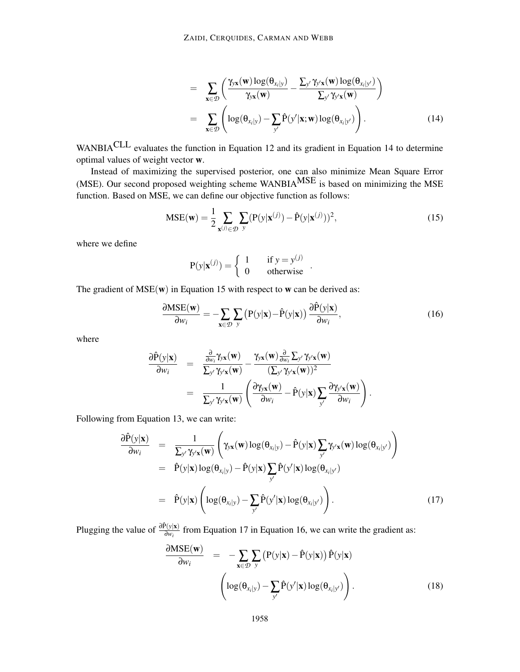$$
= \sum_{\mathbf{x}\in\mathcal{D}} \left( \frac{\gamma_{y\mathbf{x}}(\mathbf{w}) \log(\theta_{x_i|y})}{\gamma_{y\mathbf{x}}(\mathbf{w})} - \frac{\sum_{y'} \gamma_{y'\mathbf{x}}(\mathbf{w}) \log(\theta_{x_i|y'})}{\sum_{y'} \gamma_{y'\mathbf{x}}(\mathbf{w})} \right)
$$
  

$$
= \sum_{\mathbf{x}\in\mathcal{D}} \left( \log(\theta_{x_i|y}) - \sum_{y'} \hat{P}(y'|\mathbf{x}; \mathbf{w}) \log(\theta_{x_i|y'}) \right).
$$
(14)

WANBIACLL evaluates the function in Equation 12 and its gradient in Equation 14 to determine optimal values of weight vector w.

Instead of maximizing the supervised posterior, one can also minimize Mean Square Error (MSE). Our second proposed weighting scheme WANBIAMSE is based on minimizing the MSE function. Based on MSE, we can define our objective function as follows:

$$
\text{MSE}(\mathbf{w}) = \frac{1}{2} \sum_{\mathbf{x}^{(j)} \in \mathcal{D}} \sum_{\mathbf{y}} (\mathbf{P}(\mathbf{y}|\mathbf{x}^{(j)}) - \hat{\mathbf{P}}(\mathbf{y}|\mathbf{x}^{(j)}))^2,
$$
(15)

where we define

$$
P(y|\mathbf{x}^{(j)}) = \begin{cases} 1 & \text{if } y = y^{(j)} \\ 0 & \text{otherwise} \end{cases}.
$$

The gradient of  $MSE(w)$  in Equation 15 with respect to w can be derived as:

$$
\frac{\partial \text{MSE}(\mathbf{w})}{\partial w_i} = -\sum_{\mathbf{x} \in \mathcal{D}} \sum_{y} \left( P(y|\mathbf{x}) - \hat{P}(y|\mathbf{x}) \right) \frac{\partial \hat{P}(y|\mathbf{x})}{\partial w_i},\tag{16}
$$

where

$$
\frac{\partial \hat{P}(y|\mathbf{x})}{\partial w_i} = \frac{\frac{\partial}{\partial w_i} \gamma_{yx}(\mathbf{w})}{\sum_{y'} \gamma_{y'\mathbf{x}}(\mathbf{w})} - \frac{\gamma_{yx}(\mathbf{w}) \frac{\partial}{\partial w_i} \sum_{y'} \gamma_{y'\mathbf{x}}(\mathbf{w})}{(\sum_{y'} \gamma_{y'\mathbf{x}}(\mathbf{w}))^2} = \frac{1}{\sum_{y'} \gamma_{y'\mathbf{x}}(\mathbf{w})} \left( \frac{\partial \gamma_{yx}(\mathbf{w})}{\partial w_i} - \hat{P}(y|\mathbf{x}) \sum_{y'} \frac{\partial \gamma_{y'\mathbf{x}}(\mathbf{w})}{\partial w_i} \right).
$$

Following from Equation 13, we can write:

$$
\frac{\partial \hat{P}(y|\mathbf{x})}{\partial w_i} = \frac{1}{\sum_{y'} \gamma_{y'\mathbf{x}}(\mathbf{w})} \left( \gamma_{y\mathbf{x}}(\mathbf{w}) \log(\theta_{x_i|y}) - \hat{P}(y|\mathbf{x}) \sum_{y'} \gamma_{y'\mathbf{x}}(\mathbf{w}) \log(\theta_{x_i|y'}) \right)
$$
\n
$$
= \hat{P}(y|\mathbf{x}) \log(\theta_{x_i|y}) - \hat{P}(y|\mathbf{x}) \sum_{y'} \hat{P}(y'|\mathbf{x}) \log(\theta_{x_i|y'})
$$
\n
$$
= \hat{P}(y|\mathbf{x}) \left( \log(\theta_{x_i|y}) - \sum_{y'} \hat{P}(y'|\mathbf{x}) \log(\theta_{x_i|y'}) \right). \tag{17}
$$

Plugging the value of  $\frac{\partial \hat{P}(y|x)}{\partial w_i}$  from Equation 17 in Equation 16, we can write the gradient as:

$$
\frac{\partial \text{MSE}(\mathbf{w})}{\partial w_i} = -\sum_{\mathbf{x} \in \mathcal{D}} \sum_{y} \left( P(y|\mathbf{x}) - \hat{P}(y|\mathbf{x}) \right) \hat{P}(y|\mathbf{x})
$$

$$
\left( \log(\theta_{x_i|y}) - \sum_{y'} \hat{P}(y'|\mathbf{x}) \log(\theta_{x_i|y'}) \right). \tag{18}
$$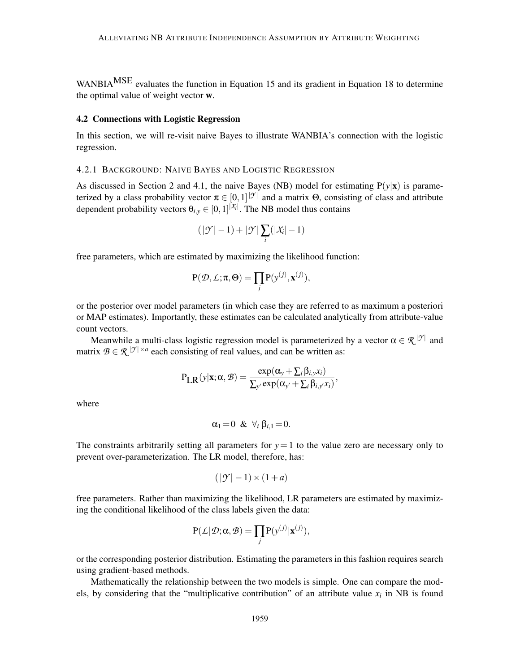WANBIA<sup>MSE</sup> evaluates the function in Equation 15 and its gradient in Equation 18 to determine the optimal value of weight vector w.

#### 4.2 Connections with Logistic Regression

In this section, we will re-visit naive Bayes to illustrate WANBIA's connection with the logistic regression.

#### 4.2.1 BACKGROUND: NAIVE BAYES AND LOGISTIC REGRESSION

As discussed in Section 2 and 4.1, the naive Bayes (NB) model for estimating  $P(y|x)$  is parameterized by a class probability vector  $\pi \in [0,1]^{|\mathcal{Y}|}$  and a matrix  $\Theta$ , consisting of class and attribute dependent probability vectors  $\theta_{i,y} \in [0,1]^{|\mathcal{X}_i|}$ . The NB model thus contains

$$
(|\mathcal{T}|-1)+|\mathcal{T}|\sum_i(|\mathcal{X}_i|-1)
$$

free parameters, which are estimated by maximizing the likelihood function:

$$
P(\mathcal{D}, \mathcal{L}; \pi, \Theta) = \prod_j P(y^{(j)}, \mathbf{x}^{(j)}),
$$

or the posterior over model parameters (in which case they are referred to as maximum a posteriori or MAP estimates). Importantly, these estimates can be calculated analytically from attribute-value count vectors.

Meanwhile a multi-class logistic regression model is parameterized by a vector  $\alpha \in \mathcal{R}^{|\mathcal{Y}|}$  and matrix  $B \in \mathcal{R}^{|\mathcal{Y}| \times a}$  each consisting of real values, and can be written as:

$$
P_{LR}(y|\mathbf{x}; \alpha, \mathcal{B}) = \frac{\exp(\alpha_y + \sum_i \beta_{i,y} x_i)}{\sum_{y'} \exp(\alpha_{y'} + \sum_i \beta_{i,y'} x_i)},
$$

where

$$
\alpha_1=0 \& \forall_i \beta_{i,1}=0.
$$

The constraints arbitrarily setting all parameters for  $y=1$  to the value zero are necessary only to prevent over-parameterization. The LR model, therefore, has:

$$
(|\mathcal{Y}| - 1) \times (1 + a)
$$

free parameters. Rather than maximizing the likelihood, LR parameters are estimated by maximizing the conditional likelihood of the class labels given the data:

$$
P(\mathcal{L}|\mathcal{D}; \alpha, \mathcal{B}) = \prod_j P(y^{(j)}|\mathbf{x}^{(j)}),
$$

or the corresponding posterior distribution. Estimating the parameters in this fashion requires search using gradient-based methods.

Mathematically the relationship between the two models is simple. One can compare the models, by considering that the "multiplicative contribution" of an attribute value  $x_i$  in NB is found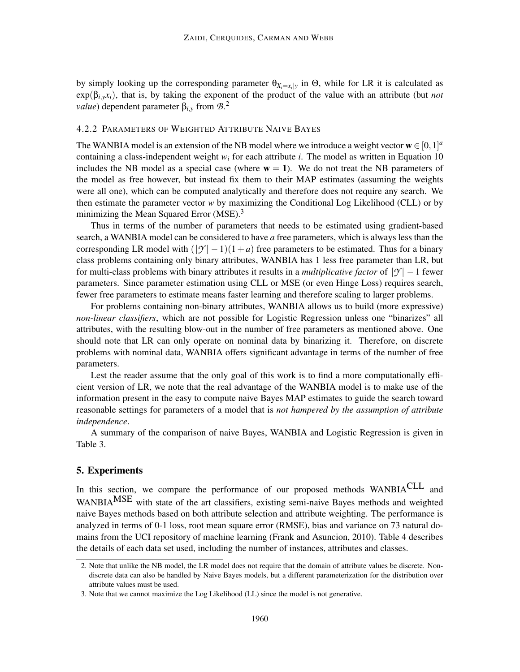by simply looking up the corresponding parameter  $\theta_{X_i=x_i|y}$  in  $\Theta$ , while for LR it is calculated as  $exp(\beta_{i,v}x_i)$ , that is, by taking the exponent of the product of the value with an attribute (but *not value*) dependent parameter β*i*,*<sup>y</sup>* from *B*. 2

## 4.2.2 PARAMETERS OF WEIGHTED ATTRIBUTE NAIVE BAYES

The WANBIA model is an extension of the NB model where we introduce a weight vector  $\mathbf{w} \in [0,1]^a$ containing a class-independent weight *w<sup>i</sup>* for each attribute *i*. The model as written in Equation 10 includes the NB model as a special case (where  $w = 1$ ). We do not treat the NB parameters of the model as free however, but instead fix them to their MAP estimates (assuming the weights were all one), which can be computed analytically and therefore does not require any search. We then estimate the parameter vector  $w$  by maximizing the Conditional Log Likelihood (CLL) or by minimizing the Mean Squared Error  $(MSE)^3$ 

Thus in terms of the number of parameters that needs to be estimated using gradient-based search, a WANBIA model can be considered to have *a* free parameters, which is always less than the corresponding LR model with  $(|\mathcal{Y}| - 1)(1 + a)$  free parameters to be estimated. Thus for a binary class problems containing only binary attributes, WANBIA has 1 less free parameter than LR, but for multi-class problems with binary attributes it results in a *multiplicative factor* of  $|\mathcal{Y}| - 1$  fewer parameters. Since parameter estimation using CLL or MSE (or even Hinge Loss) requires search, fewer free parameters to estimate means faster learning and therefore scaling to larger problems.

For problems containing non-binary attributes, WANBIA allows us to build (more expressive) *non-linear classifiers*, which are not possible for Logistic Regression unless one "binarizes" all attributes, with the resulting blow-out in the number of free parameters as mentioned above. One should note that LR can only operate on nominal data by binarizing it. Therefore, on discrete problems with nominal data, WANBIA offers significant advantage in terms of the number of free parameters.

Lest the reader assume that the only goal of this work is to find a more computationally efficient version of LR, we note that the real advantage of the WANBIA model is to make use of the information present in the easy to compute naive Bayes MAP estimates to guide the search toward reasonable settings for parameters of a model that is *not hampered by the assumption of attribute independence*.

A summary of the comparison of naive Bayes, WANBIA and Logistic Regression is given in Table 3.

# 5. Experiments

In this section, we compare the performance of our proposed methods WANBIACLL and WANBIA<sup>MSE</sup> with state of the art classifiers, existing semi-naive Bayes methods and weighted naive Bayes methods based on both attribute selection and attribute weighting. The performance is analyzed in terms of 0-1 loss, root mean square error (RMSE), bias and variance on 73 natural domains from the UCI repository of machine learning (Frank and Asuncion, 2010). Table 4 describes the details of each data set used, including the number of instances, attributes and classes.

<sup>2.</sup> Note that unlike the NB model, the LR model does not require that the domain of attribute values be discrete. Nondiscrete data can also be handled by Naive Bayes models, but a different parameterization for the distribution over attribute values must be used.

<sup>3.</sup> Note that we cannot maximize the Log Likelihood (LL) since the model is not generative.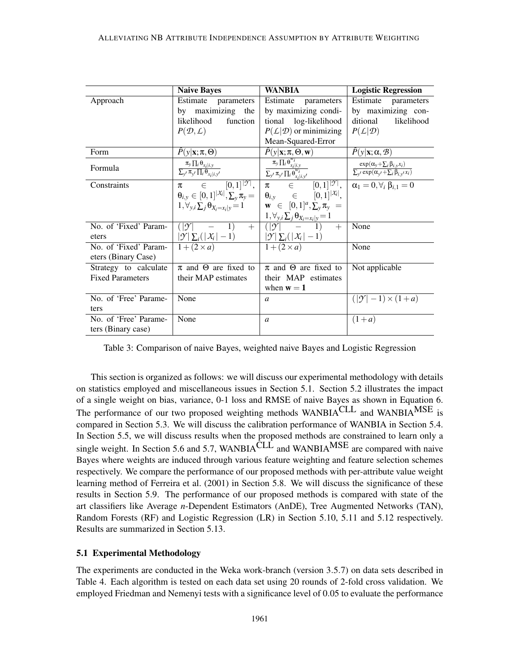|                         | <b>Naive Bayes</b>                                                                                    | <b>WANBIA</b>                                                                                     | <b>Logistic Regression</b>                                                                              |
|-------------------------|-------------------------------------------------------------------------------------------------------|---------------------------------------------------------------------------------------------------|---------------------------------------------------------------------------------------------------------|
| Approach                | Estimate<br>parameters                                                                                | Estimate<br>parameters                                                                            | Estimate<br>parameters                                                                                  |
|                         | by maximizing the                                                                                     | by maximizing condi-                                                                              | by maximizing con-                                                                                      |
|                         | likelihood<br>function                                                                                | tional log-likelihood                                                                             | ditional<br>likelihood                                                                                  |
|                         | $P(\mathcal{D}, \mathcal{L})$                                                                         | $P(L D)$ or minimizing                                                                            | $P(L \mathcal{D})$                                                                                      |
|                         |                                                                                                       | Mean-Squared-Error                                                                                |                                                                                                         |
| Form                    | $P(y \mathbf{x}; \pi, \Theta)$                                                                        | $\hat{P}(y \mathbf{x};\pi,\Theta,\mathbf{w})$                                                     | $\hat{P}(y \mathbf{x};\alpha,\mathcal{B})$                                                              |
| Formula                 | $\frac{\pi_{y} \prod_{i} \theta_{x_{i}   i, y}}{\sum_{y'} \pi_{y'} \prod_{i} \theta_{x_{i}   i, y'}}$ | $\frac{\pi_y \prod_i \theta_{x_i i,y}^{w_i}}{\sum_{y'} \pi_{y'} \prod_i \theta_{x_i i,y'}^{w_i}}$ | $\frac{\exp(\alpha_y + \sum_i \beta_{i,y} x_i)}{\sum_{y'} \exp(\alpha_{y'} + \sum_i \beta_{i,y'} x_i)}$ |
| Constraints             | $\pi \in [0,1]^{ \mathcal{Y} },$                                                                      | $\pi \in [0,1]^{ \mathcal{Y} }, \ \alpha_1 = 0, \forall_i \beta_{i,1} = 0$                        |                                                                                                         |
|                         | $\theta_{i,v} \in [0,1]^{ \mathcal{X}_i }, \sum_{y} \pi_y =$                                          | $\theta_{i,y}$ $\in$ $[0,1]^{ \mathcal{X}_i },$                                                   |                                                                                                         |
|                         | $1, \forall y, i \sum_{i} \theta_{X_i = x_i   y} = 1$                                                 | $\mathbf{w} \in [0,1]^a, \sum_{y} \pi_y =$                                                        |                                                                                                         |
|                         |                                                                                                       | $1, \forall_{y,i} \sum_j \theta_{X_i=x_i y} = 1$                                                  |                                                                                                         |
| No. of 'Fixed' Param-   | $+$<br>$( \mathcal{Y} )$<br>1)                                                                        | $( \mathcal{Y}  \quad - \quad 1)$<br>$+$                                                          | None                                                                                                    |
| eters                   | $ \mathcal{Y}  \sum_i ( \mathcal{X}_i  - 1)$                                                          | $ \mathcal{Y}  \sum_i ( \mathcal{X}_i  - 1)$                                                      |                                                                                                         |
| No. of 'Fixed' Param-   | $1+(2\times a)$                                                                                       | $1+(2\times a)$                                                                                   | None                                                                                                    |
| eters (Binary Case)     |                                                                                                       |                                                                                                   |                                                                                                         |
| Strategy to calculate   | $\pi$ and $\Theta$ are fixed to                                                                       | $\pi$ and $\Theta$ are fixed to                                                                   | Not applicable                                                                                          |
| <b>Fixed Parameters</b> | their MAP estimates                                                                                   | their MAP estimates                                                                               |                                                                                                         |
|                         |                                                                                                       | when $w = 1$                                                                                      |                                                                                                         |
| No. of 'Free' Parame-   | None                                                                                                  | $\mathfrak{a}$                                                                                    | $( \mathcal{Y} -1) \times (1+a)$                                                                        |
| ters                    |                                                                                                       |                                                                                                   |                                                                                                         |
| No. of 'Free' Parame-   | None                                                                                                  | $\mathfrak{a}$                                                                                    | $(1+a)$                                                                                                 |
| ters (Binary case)      |                                                                                                       |                                                                                                   |                                                                                                         |

Table 3: Comparison of naive Bayes, weighted naive Bayes and Logistic Regression

This section is organized as follows: we will discuss our experimental methodology with details on statistics employed and miscellaneous issues in Section 5.1. Section 5.2 illustrates the impact of a single weight on bias, variance, 0-1 loss and RMSE of naive Bayes as shown in Equation 6. The performance of our two proposed weighting methods WANBIACLL and WANBIA<sup>MSE</sup> is compared in Section 5.3. We will discuss the calibration performance of WANBIA in Section 5.4. In Section 5.5, we will discuss results when the proposed methods are constrained to learn only a single weight. In Section 5.6 and 5.7, WANBIA<sup>CLL</sup> and WANBIA<sup>MSE</sup> are compared with naive Bayes where weights are induced through various feature weighting and feature selection schemes respectively. We compare the performance of our proposed methods with per-attribute value weight learning method of Ferreira et al. (2001) in Section 5.8. We will discuss the significance of these results in Section 5.9. The performance of our proposed methods is compared with state of the art classifiers like Average *n*-Dependent Estimators (AnDE), Tree Augmented Networks (TAN), Random Forests (RF) and Logistic Regression (LR) in Section 5.10, 5.11 and 5.12 respectively. Results are summarized in Section 5.13.

#### 5.1 Experimental Methodology

The experiments are conducted in the Weka work-branch (version 3.5.7) on data sets described in Table 4. Each algorithm is tested on each data set using 20 rounds of 2-fold cross validation. We employed Friedman and Nemenyi tests with a significance level of 0.05 to evaluate the performance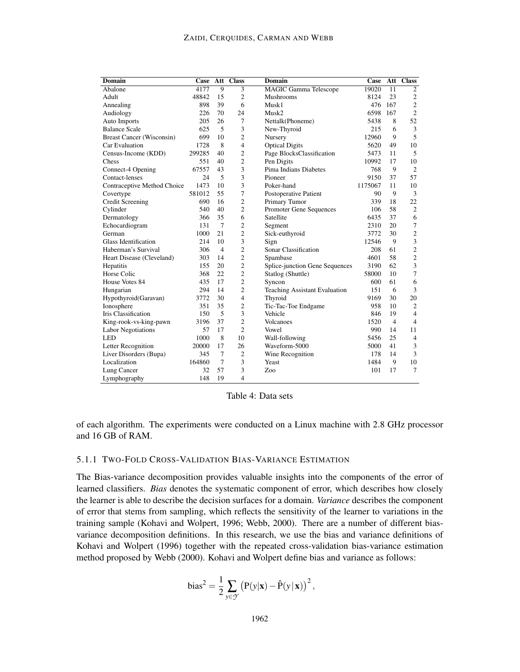#### ZAIDI, CERQUIDES, CARMAN AND WEBB

| <b>Domain</b>                    | Case   | Att             | <b>Class</b>   | <b>Domain</b>                        | Case    | Att             | <b>Class</b>   |
|----------------------------------|--------|-----------------|----------------|--------------------------------------|---------|-----------------|----------------|
| Abalone                          | 4177   | $\overline{9}$  | $\overline{3}$ | <b>MAGIC</b> Gamma Telescope         | 19020   | $\overline{11}$ | $\overline{2}$ |
| Adult                            | 48842  | 15              | $\overline{c}$ | Mushrooms                            | 8124    | 23              | $\overline{c}$ |
| Annealing                        | 898    | 39              | 6              | Musk1                                | 476     | 167             | $\overline{c}$ |
| Audiology                        | 226    | 70              | 24             | Musk2                                | 6598    | 167             | $\overline{2}$ |
| <b>Auto Imports</b>              | 205    | 26              | 7              | Nettalk(Phoneme)                     | 5438    | 8               | 52             |
| <b>Balance Scale</b>             | 625    | 5               | 3              | New-Thyroid                          | 215     | 6               | 3              |
| <b>Breast Cancer (Wisconsin)</b> | 699    | 10              | $\overline{c}$ | Nursery                              | 12960   | 9               | 5              |
| Car Evaluation                   | 1728   | 8               | $\overline{4}$ | <b>Optical Digits</b>                | 5620    | 49              | 10             |
| Census-Income (KDD)              | 299285 | 40              | $\overline{c}$ | Page BlocksClassification            | 5473    | 11              | 5              |
| Chess                            | 551    | 40              | $\overline{c}$ | Pen Digits                           | 10992   | 17              | 10             |
| Connect-4 Opening                | 67557  | 43              | 3              | Pima Indians Diabetes                | 768     | 9               | $\overline{2}$ |
| Contact-lenses                   | 24     | 5               | 3              | Pioneer                              | 9150    | 37              | 57             |
| Contraceptive Method Choice      | 1473   | 10              | 3              | Poker-hand                           | 1175067 | 11              | 10             |
| Covertype                        | 581012 | 55              | 7              | Postoperative Patient                | 90      | 9               | 3              |
| <b>Credit Screening</b>          | 690    | 16              | $\overline{c}$ | Primary Tumor                        | 339     | 18              | 22             |
| Cylinder                         | 540    | 40              | $\overline{c}$ | Promoter Gene Sequences              | 106     | 58              | $\mathbf{2}$   |
| Dermatology                      | 366    | 35              | 6              | Satellite                            | 6435    | 37              | 6              |
| Echocardiogram                   | 131    | $7\phantom{.0}$ | $\overline{2}$ | Segment                              | 2310    | 20              | 7              |
| German                           | 1000   | 21              | $\overline{c}$ | Sick-euthyroid                       | 3772    | 30              | $\mathbf{2}$   |
| <b>Glass Identification</b>      | 214    | 10              | 3              | Sign                                 | 12546   | 9               | 3              |
| Haberman's Survival              | 306    | $\overline{4}$  | $\overline{c}$ | Sonar Classification                 | 208     | 61              | $\overline{2}$ |
| Heart Disease (Cleveland)        | 303    | 14              | $\overline{c}$ | Spambase                             | 4601    | 58              | $\overline{c}$ |
| Hepatitis                        | 155    | 20              | $\overline{c}$ | Splice-junction Gene Sequences       | 3190    | 62              | 3              |
| Horse Colic                      | 368    | 22              | $\overline{c}$ | Statlog (Shuttle)                    | 58000   | 10              | 7              |
| House Votes 84                   | 435    | 17              | $\mathfrak{2}$ | Syncon                               | 600     | 61              | 6              |
| Hungarian                        | 294    | 14              | $\overline{c}$ | <b>Teaching Assistant Evaluation</b> | 151     | 6               | 3              |
| Hypothyroid(Garavan)             | 3772   | 30              | $\overline{4}$ | Thyroid                              | 9169    | 30              | 20             |
| Ionosphere                       | 351    | 35              | $\overline{c}$ | Tic-Tac-Toe Endgame                  | 958     | 10              | $\overline{2}$ |
| <b>Iris Classification</b>       | 150    | 5               | 3              | Vehicle                              | 846     | 19              | $\overline{4}$ |
| King-rook-vs-king-pawn           | 3196   | 37              | $\overline{c}$ | <b>Volcanoes</b>                     | 1520    | $\overline{4}$  | $\overline{4}$ |
| <b>Labor Negotiations</b>        | 57     | 17              | $\overline{2}$ | Vowel                                | 990     | 14              | 11             |
| <b>LED</b>                       | 1000   | 8               | 10             | Wall-following                       | 5456    | 25              | $\overline{4}$ |
| Letter Recognition               | 20000  | 17              | 26             | Waveform-5000                        | 5000    | 41              | 3              |
| Liver Disorders (Bupa)           | 345    | $7\phantom{.0}$ | $\overline{2}$ | Wine Recognition                     | 178     | 14              | 3              |
| Localization                     | 164860 | $7\phantom{.0}$ | 3              | Yeast                                | 1484    | 9               | 10             |
| Lung Cancer                      | 32     | 57              | 3              | Zoo                                  | 101     | 17              | 7              |
| Lymphography                     | 148    | 19              | $\overline{4}$ |                                      |         |                 |                |

Table 4: Data sets

of each algorithm. The experiments were conducted on a Linux machine with 2.8 GHz processor and 16 GB of RAM.

## 5.1.1 TWO-FOLD CROSS-VALIDATION BIAS-VARIANCE ESTIMATION

The Bias-variance decomposition provides valuable insights into the components of the error of learned classifiers. *Bias* denotes the systematic component of error, which describes how closely the learner is able to describe the decision surfaces for a domain. *Variance* describes the component of error that stems from sampling, which reflects the sensitivity of the learner to variations in the training sample (Kohavi and Wolpert, 1996; Webb, 2000). There are a number of different biasvariance decomposition definitions. In this research, we use the bias and variance definitions of Kohavi and Wolpert (1996) together with the repeated cross-validation bias-variance estimation method proposed by Webb (2000). Kohavi and Wolpert define bias and variance as follows:

bias<sup>2</sup> = 
$$
\frac{1}{2} \sum_{y \in \mathcal{Y}} (P(y|\mathbf{x}) - \hat{P}(y|\mathbf{x}))^2
$$
,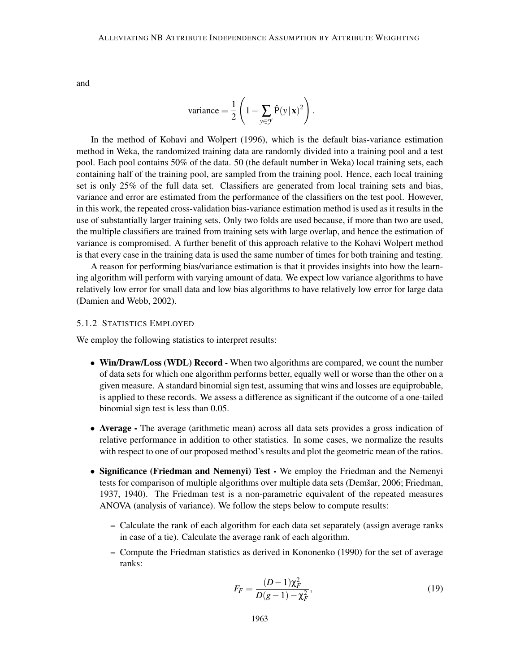and

variance = 
$$
\frac{1}{2} \left( 1 - \sum_{y \in \mathcal{Y}} \hat{P}(y | \mathbf{x})^2 \right).
$$

In the method of Kohavi and Wolpert (1996), which is the default bias-variance estimation method in Weka, the randomized training data are randomly divided into a training pool and a test pool. Each pool contains 50% of the data. 50 (the default number in Weka) local training sets, each containing half of the training pool, are sampled from the training pool. Hence, each local training set is only 25% of the full data set. Classifiers are generated from local training sets and bias, variance and error are estimated from the performance of the classifiers on the test pool. However, in this work, the repeated cross-validation bias-variance estimation method is used as it results in the use of substantially larger training sets. Only two folds are used because, if more than two are used, the multiple classifiers are trained from training sets with large overlap, and hence the estimation of variance is compromised. A further benefit of this approach relative to the Kohavi Wolpert method is that every case in the training data is used the same number of times for both training and testing.

A reason for performing bias/variance estimation is that it provides insights into how the learning algorithm will perform with varying amount of data. We expect low variance algorithms to have relatively low error for small data and low bias algorithms to have relatively low error for large data (Damien and Webb, 2002).

#### 5.1.2 STATISTICS EMPLOYED

We employ the following statistics to interpret results:

- Win/Draw/Loss (WDL) Record When two algorithms are compared, we count the number of data sets for which one algorithm performs better, equally well or worse than the other on a given measure. A standard binomial sign test, assuming that wins and losses are equiprobable, is applied to these records. We assess a difference as significant if the outcome of a one-tailed binomial sign test is less than 0.05.
- Average The average (arithmetic mean) across all data sets provides a gross indication of relative performance in addition to other statistics. In some cases, we normalize the results with respect to one of our proposed method's results and plot the geometric mean of the ratios.
- Significance (Friedman and Nemenyi) Test We employ the Friedman and the Nemenyi tests for comparison of multiple algorithms over multiple data sets (Demšar, 2006; Friedman, 1937, 1940). The Friedman test is a non-parametric equivalent of the repeated measures ANOVA (analysis of variance). We follow the steps below to compute results:
	- Calculate the rank of each algorithm for each data set separately (assign average ranks in case of a tie). Calculate the average rank of each algorithm.
	- Compute the Friedman statistics as derived in Kononenko (1990) for the set of average ranks:

$$
F_F = \frac{(D-1)\chi_F^2}{D(g-1) - \chi_F^2},\tag{19}
$$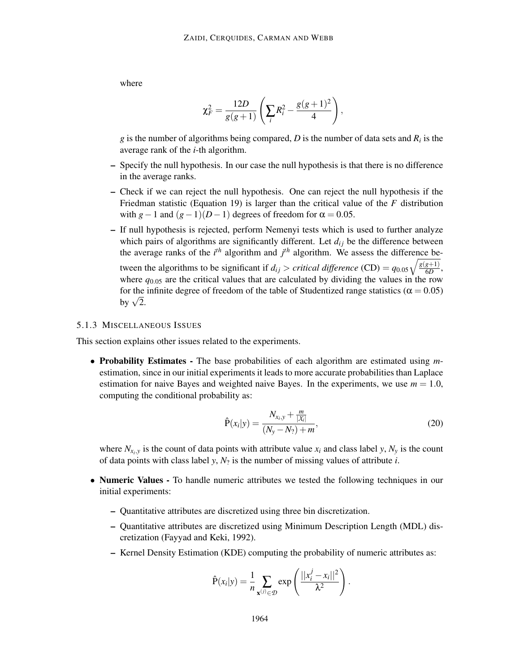where

$$
\chi^2 = \frac{12D}{g(g+1)} \left( \sum_i R_i^2 - \frac{g(g+1)^2}{4} \right),
$$

*g* is the number of algorithms being compared, *D* is the number of data sets and  $R_i$  is the average rank of the *i*-th algorithm.

- Specify the null hypothesis. In our case the null hypothesis is that there is no difference in the average ranks.
- Check if we can reject the null hypothesis. One can reject the null hypothesis if the Friedman statistic (Equation 19) is larger than the critical value of the *F* distribution with  $g-1$  and  $(g-1)(D-1)$  degrees of freedom for  $\alpha = 0.05$ .
- If null hypothesis is rejected, perform Nemenyi tests which is used to further analyze which pairs of algorithms are significantly different. Let  $d_{ij}$  be the difference between the average ranks of the  $i<sup>th</sup>$  algorithm and  $j<sup>th</sup>$  algorithm. We assess the difference between the algorithms to be significant if  $d_{ij} > critical$  difference (CD) =  $q_{0.05}\sqrt{\frac{g(g+1)}{6D}}$  $\frac{g+1)}{6D},$ where  $q_{0.05}$  are the critical values that are calculated by dividing the values in the row for the infinite degree of freedom of the table of Studentized range statistics ( $\alpha = 0.05$ ) by  $\sqrt{2}$ .

#### 5.1.3 MISCELLANEOUS ISSUES

This section explains other issues related to the experiments.

• Probability Estimates - The base probabilities of each algorithm are estimated using *m*estimation, since in our initial experiments it leads to more accurate probabilities than Laplace estimation for naive Bayes and weighted naive Bayes. In the experiments, we use  $m = 1.0$ , computing the conditional probability as:

$$
\hat{P}(x_i|y) = \frac{N_{x_i, y} + \frac{m}{|X_i|}}{(N_y - N_?) + m},
$$
\n(20)

where  $N_{x_i, y}$  is the count of data points with attribute value  $x_i$  and class label  $y, N_y$  is the count of data points with class label *y*,  $N_2$  is the number of missing values of attribute *i*.

- Numeric Values To handle numeric attributes we tested the following techniques in our initial experiments:
	- Quantitative attributes are discretized using three bin discretization.
	- Quantitative attributes are discretized using Minimum Description Length (MDL) discretization (Fayyad and Keki, 1992).
	- Kernel Density Estimation (KDE) computing the probability of numeric attributes as:

$$
\hat{P}(x_i|y) = \frac{1}{n} \sum_{\mathbf{x}^{(j)} \in \mathcal{D}} \exp\left(\frac{||x_i^j - x_i||^2}{\lambda^2}\right).
$$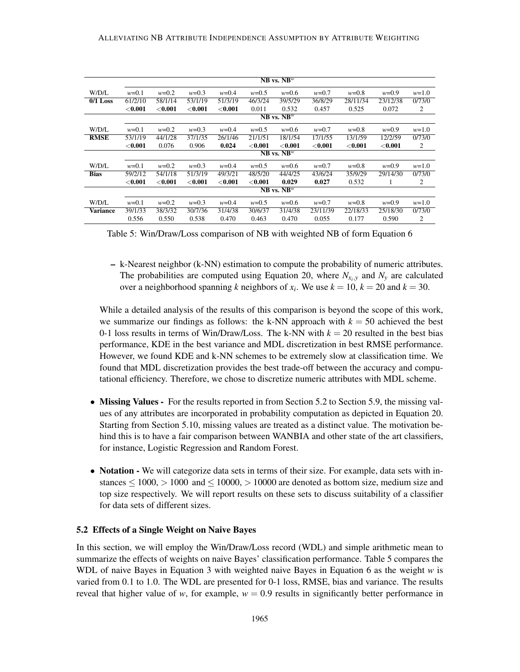|             |                 | $NB$ vs. $NB^w$ |                |                |                |                 |                |                |                |                |
|-------------|-----------------|-----------------|----------------|----------------|----------------|-----------------|----------------|----------------|----------------|----------------|
| W/D/L       | $w=0.1$         | $w=0.2$         | $w=0.3$        | $w=0.4$        | $w=0.5$        | $w=0.6$         | $w=0.7$        | $w=0.8$        | $w=0.9$        | $w=1.0$        |
| $0/1$ Loss  | 61/2/10         | 58/1/14         | 53/1/19        | 51/3/19        | 46/3/24        | 39/5/29         | 36/8/29        | 28/11/34       | 23/12/38       | 0/73/0         |
|             | $<$ 0.001 $\,$  | $<$ 0.001 $\,$  | $<$ $0.001$    | $<$ 0.001 $\,$ | 0.011          | 0.532           | 0.457          | 0.525          | 0.072          | 2              |
|             |                 |                 |                |                |                | $NB$ vs. $NB^w$ |                |                |                |                |
| W/D/L       | $w=0.1$         | $w=0.2$         | $w=0.3$        | $w=0.4$        | $w=0.5$        | $w=0.6$         | $w=0.7$        | $w=0.8$        | $w=0.9$        | $w=1.0$        |
| <b>RMSE</b> | 53/1/19         | 44/1/28         | 37/1/35        | 26/1/46        | 21/1/51        | 18/1/54         | 17/1/55        | 13/1/59        | 12/2/59        | 0/73/0         |
|             | $<$ 0.001 $\,$  | 0.076           | 0.906          | 0.024          | $<$ 0.001 $\,$ | $<$ 0.001 $\,$  | $<$ 0.001 $\,$ | $<$ 0.001 $\,$ | $<$ 0.001 $\,$ | $\mathfrak{2}$ |
|             |                 |                 |                |                |                | $NB$ vs. $NB^w$ |                |                |                |                |
| W/D/L       | $w=0.1$         | $w=0.2$         | $w=0.3$        | $w=0.4$        | $w=0.5$        | $w=0.6$         | $w=0.7$        | $w=0.8$        | $w=0.9$        | $w=1.0$        |
| <b>Bias</b> | 59/2/12         | 54/1/18         | 51/3/19        | 49/3/21        | 48/5/20        | 44/4/25         | 43/6/24        | 35/9/29        | 29/14/30       | 0/73/0         |
|             | $<$ 0.001 $\,$  | $<$ 0.001 $\,$  | $<$ 0.001 $\,$ | $<$ 0.001 $\,$ | $<$ 0.001 $\,$ | 0.029           | 0.027          | 0.532          | 1              | 2              |
|             | $NB$ vs. $NB^w$ |                 |                |                |                |                 |                |                |                |                |
| W/D/L       | $w=0.1$         | $w=0.2$         | $w=0.3$        | $w=0.4$        | $w=0.5$        | $w=0.6$         | $w=0.7$        | $w=0.8$        | $w=0.9$        | $w=1.0$        |
| Variance    | 39/1/33         | 38/3/32         | 30/7/36        | 31/4/38        | 30/6/37        | 31/4/38         | 23/11/39       | 22/18/33       | 25/18/30       | 0/73/0         |
|             | 0.556           | 0.550           | 0.538          | 0.470          | 0.463          | 0.470           | 0.055          | 0.177          | 0.590          | 2              |

Table 5: Win/Draw/Loss comparison of NB with weighted NB of form Equation 6

– k-Nearest neighbor (k-NN) estimation to compute the probability of numeric attributes. The probabilities are computed using Equation 20, where  $N_{x_i,y}$  and  $N_y$  are calculated over a neighborhood spanning *k* neighbors of  $x_i$ . We use  $k = 10$ ,  $k = 20$  and  $k = 30$ .

While a detailed analysis of the results of this comparison is beyond the scope of this work, we summarize our findings as follows: the k-NN approach with  $k = 50$  achieved the best 0-1 loss results in terms of Win/Draw/Loss. The k-NN with  $k = 20$  resulted in the best bias performance, KDE in the best variance and MDL discretization in best RMSE performance. However, we found KDE and k-NN schemes to be extremely slow at classification time. We found that MDL discretization provides the best trade-off between the accuracy and computational efficiency. Therefore, we chose to discretize numeric attributes with MDL scheme.

- Missing Values For the results reported in from Section 5.2 to Section 5.9, the missing values of any attributes are incorporated in probability computation as depicted in Equation 20. Starting from Section 5.10, missing values are treated as a distinct value. The motivation behind this is to have a fair comparison between WANBIA and other state of the art classifiers, for instance, Logistic Regression and Random Forest.
- Notation We will categorize data sets in terms of their size. For example, data sets with instances  $\leq 1000$ ,  $> 1000$  and  $\leq 10000$ ,  $> 10000$  are denoted as bottom size, medium size and top size respectively. We will report results on these sets to discuss suitability of a classifier for data sets of different sizes.

#### 5.2 Effects of a Single Weight on Naive Bayes

In this section, we will employ the Win/Draw/Loss record (WDL) and simple arithmetic mean to summarize the effects of weights on naive Bayes' classification performance. Table 5 compares the WDL of naive Bayes in Equation 3 with weighted naive Bayes in Equation 6 as the weight *w* is varied from 0.1 to 1.0. The WDL are presented for 0-1 loss, RMSE, bias and variance. The results reveal that higher value of *w*, for example,  $w = 0.9$  results in significantly better performance in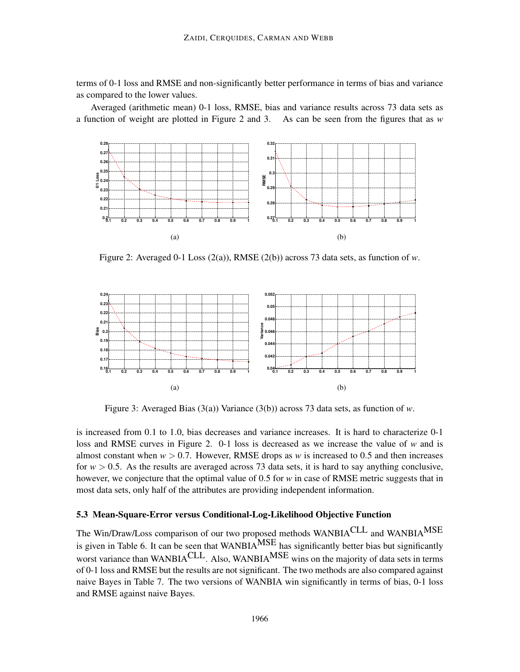terms of 0-1 loss and RMSE and non-significantly better performance in terms of bias and variance as compared to the lower values.

Averaged (arithmetic mean) 0-1 loss, RMSE, bias and variance results across 73 data sets as a function of weight are plotted in Figure 2 and 3. As can be seen from the figures that as *w*



Figure 2: Averaged 0-1 Loss  $(2(a))$ , RMSE  $(2(b))$  across 73 data sets, as function of *w*.



Figure 3: Averaged Bias (3(a)) Variance (3(b)) across 73 data sets, as function of *w*.

is increased from 0.1 to 1.0, bias decreases and variance increases. It is hard to characterize 0-1 loss and RMSE curves in Figure 2. 0-1 loss is decreased as we increase the value of *w* and is almost constant when  $w > 0.7$ . However, RMSE drops as *w* is increased to 0.5 and then increases for  $w > 0.5$ . As the results are averaged across 73 data sets, it is hard to say anything conclusive, however, we conjecture that the optimal value of 0.5 for *w* in case of RMSE metric suggests that in most data sets, only half of the attributes are providing independent information.

#### 5.3 Mean-Square-Error versus Conditional-Log-Likelihood Objective Function

The Win/Draw/Loss comparison of our two proposed methods WANBIACLL and WANBIA<sup>MSE</sup> is given in Table 6. It can be seen that WANBIA<sup>MSE</sup> has significantly better bias but significantly worst variance than WANBIA<sup>CLL</sup>. Also, WANBIA<sup>MSE</sup> wins on the majority of data sets in terms of 0-1 loss and RMSE but the results are not significant. The two methods are also compared against naive Bayes in Table 7. The two versions of WANBIA win significantly in terms of bias, 0-1 loss and RMSE against naive Bayes.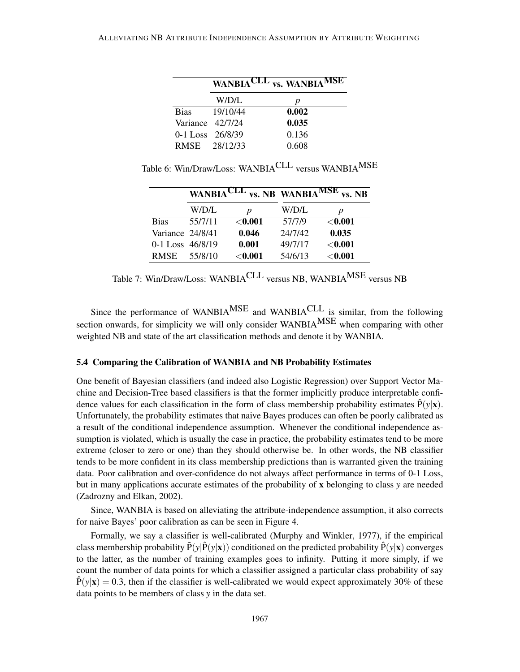|                      |               | WANBIACLL vs. WANBIAMSE |
|----------------------|---------------|-------------------------|
|                      | W/D/L         | р                       |
| <b>Bias</b>          | 19/10/44      | 0.002                   |
| Variance 42/7/24     |               | 0.035                   |
| $0-1$ Loss $26/8/39$ |               | 0.136                   |
|                      | RMSE 28/12/33 | 0.608                   |

Table 6: Win/Draw/Loss: WANBIACLL versus WANBIAMSE

|                      | <b>WANBIACLL</b> |             | <b>vs. NB</b> WANBIA <sup>MSE</sup> | vs. NB         |
|----------------------|------------------|-------------|-------------------------------------|----------------|
|                      | W/D/L            | р           | W/D/L                               | p              |
| <b>Bias</b>          | 55/7/11          | $<$ 0.001   | 57/7/9                              | $<$ 0.001 $\,$ |
| Variance 24/8/41     |                  | 0.046       | 24/7/42                             | 0.035          |
| $0-1$ Loss $46/8/19$ |                  | 0.001       | 49/7/17                             | $<$ 0.001 $\,$ |
| RMSE                 | 55/8/10          | $<$ $0.001$ | 54/6/13                             | $<$ 0.001 $\,$ |

Table 7: Win/Draw/Loss: WANBIACLL versus NB, WANBIAMSE versus NB

Since the performance of WANBIA<sup>MSE</sup> and WANBIA<sup>CLL</sup> is similar, from the following section onwards, for simplicity we will only consider WANBIAMSE when comparing with other weighted NB and state of the art classification methods and denote it by WANBIA.

#### 5.4 Comparing the Calibration of WANBIA and NB Probability Estimates

One benefit of Bayesian classifiers (and indeed also Logistic Regression) over Support Vector Machine and Decision-Tree based classifiers is that the former implicitly produce interpretable confidence values for each classification in the form of class membership probability estimates  $\hat{P}(y|\mathbf{x})$ . Unfortunately, the probability estimates that naive Bayes produces can often be poorly calibrated as a result of the conditional independence assumption. Whenever the conditional independence assumption is violated, which is usually the case in practice, the probability estimates tend to be more extreme (closer to zero or one) than they should otherwise be. In other words, the NB classifier tends to be more confident in its class membership predictions than is warranted given the training data. Poor calibration and over-confidence do not always affect performance in terms of 0-1 Loss, but in many applications accurate estimates of the probability of x belonging to class *y* are needed (Zadrozny and Elkan, 2002).

Since, WANBIA is based on alleviating the attribute-independence assumption, it also corrects for naive Bayes' poor calibration as can be seen in Figure 4.

Formally, we say a classifier is well-calibrated (Murphy and Winkler, 1977), if the empirical class membership probability  $\bar{P}(y|\hat{P}(y|\mathbf{x}))$  conditioned on the predicted probability  $\bar{P}(y|\mathbf{x})$  converges to the latter, as the number of training examples goes to infinity. Putting it more simply, if we count the number of data points for which a classifier assigned a particular class probability of say  $\dot{P}(y|\mathbf{x}) = 0.3$ , then if the classifier is well-calibrated we would expect approximately 30% of these data points to be members of class *y* in the data set.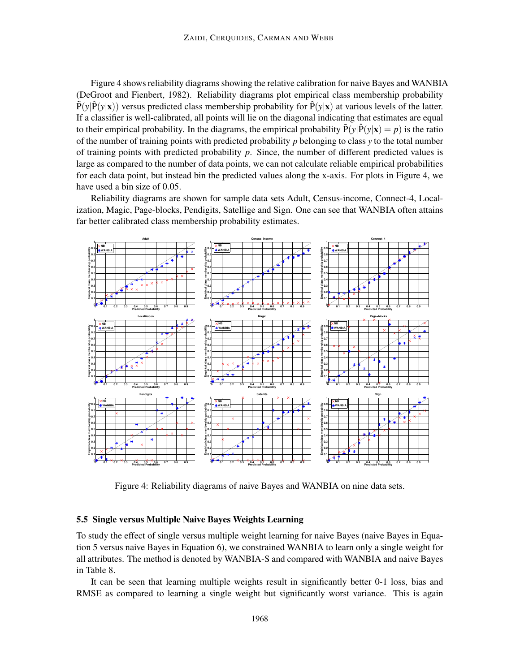Figure 4 shows reliability diagrams showing the relative calibration for naive Bayes and WANBIA (DeGroot and Fienbert, 1982). Reliability diagrams plot empirical class membership probability  $\tilde{P}(y|\tilde{P}(y|\mathbf{x}))$  versus predicted class membership probability for  $\tilde{P}(y|\mathbf{x})$  at various levels of the latter. If a classifier is well-calibrated, all points will lie on the diagonal indicating that estimates are equal to their empirical probability. In the diagrams, the empirical probability  $\tilde{P}(y|\hat{P}(y|\mathbf{x}) = p)$  is the ratio of the number of training points with predicted probability *p* belonging to class *y* to the total number of training points with predicted probability *p*. Since, the number of different predicted values is large as compared to the number of data points, we can not calculate reliable empirical probabilities for each data point, but instead bin the predicted values along the x-axis. For plots in Figure 4, we have used a bin size of 0.05.

Reliability diagrams are shown for sample data sets Adult, Census-income, Connect-4, Localization, Magic, Page-blocks, Pendigits, Satellige and Sign. One can see that WANBIA often attains far better calibrated class membership probability estimates.



Figure 4: Reliability diagrams of naive Bayes and WANBIA on nine data sets.

### 5.5 Single versus Multiple Naive Bayes Weights Learning

To study the effect of single versus multiple weight learning for naive Bayes (naive Bayes in Equation 5 versus naive Bayes in Equation 6), we constrained WANBIA to learn only a single weight for all attributes. The method is denoted by WANBIA-S and compared with WANBIA and naive Bayes in Table 8.

It can be seen that learning multiple weights result in significantly better 0-1 loss, bias and RMSE as compared to learning a single weight but significantly worst variance. This is again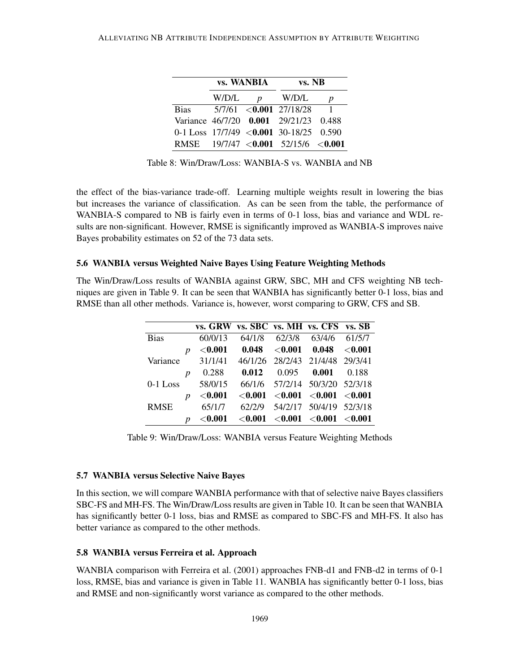|             |       | <b>vs. WANBIA</b> | vs. NB                                    |   |  |
|-------------|-------|-------------------|-------------------------------------------|---|--|
|             | W/D/L | $\boldsymbol{D}$  | W/D/L                                     | p |  |
| <b>Bias</b> |       |                   | $5/7/61$ <0.001 27/18/28                  |   |  |
|             |       |                   | Variance 46/7/20 0.001 29/21/23 0.488     |   |  |
|             |       |                   | 0-1 Loss $17/7/49$ < 0.001 30-18/25 0.590 |   |  |
|             |       |                   | RMSE $19/7/47 < 0.001$ 52/15/6 < 0.001    |   |  |

Table 8: Win/Draw/Loss: WANBIA-S vs. WANBIA and NB

the effect of the bias-variance trade-off. Learning multiple weights result in lowering the bias but increases the variance of classification. As can be seen from the table, the performance of WANBIA-S compared to NB is fairly even in terms of 0-1 loss, bias and variance and WDL results are non-significant. However, RMSE is significantly improved as WANBIA-S improves naive Bayes probability estimates on 52 of the 73 data sets.

## 5.6 WANBIA versus Weighted Naive Bayes Using Feature Weighting Methods

The Win/Draw/Loss results of WANBIA against GRW, SBC, MH and CFS weighting NB techniques are given in Table 9. It can be seen that WANBIA has significantly better 0-1 loss, bias and RMSE than all other methods. Variance is, however, worst comparing to GRW, CFS and SB.

|             |                  | vs. GRW vs. SBC vs. MH vs. CFS vs. SB |                |        |                                                         |        |
|-------------|------------------|---------------------------------------|----------------|--------|---------------------------------------------------------|--------|
| <b>Bias</b> |                  | 60/0/13                               | 64/1/8         | 62/3/8 | 63/4/6                                                  | 61/5/7 |
|             | $\boldsymbol{p}$ | $<$ 0.001                             | 0.048          |        | $\langle 0.001 \quad 0.048 \quad \langle 0.001 \rangle$ |        |
| Variance    |                  | 31/1/41                               |                |        | 46/1/26 28/2/43 21/4/48 29/3/41                         |        |
|             | $\boldsymbol{p}$ | 0.288                                 | 0.012          | 0.095  | 0.001                                                   | 0.188  |
| $0-1$ Loss  |                  | 58/0/15                               |                |        | 66/1/6 57/2/14 50/3/20 52/3/18                          |        |
|             | $\boldsymbol{D}$ | $<$ 0.001 $\,$                        | $<$ 0.001 $\,$ |        | $<$ 0.001 $<$ 0.001 $<$ 0.001                           |        |
| <b>RMSE</b> |                  | 65/1/7                                | 62/2/9         |        | 54/2/17 50/4/19 52/3/18                                 |        |
|             | <sub>n</sub>     | $<$ $0.001$                           | $<$ $0.001$    |        | $<$ 0.001 $<$ 0.001 $<$ 0.001                           |        |

Table 9: Win/Draw/Loss: WANBIA versus Feature Weighting Methods

## 5.7 WANBIA versus Selective Naive Bayes

In this section, we will compare WANBIA performance with that of selective naive Bayes classifiers SBC-FS and MH-FS. The Win/Draw/Loss results are given in Table 10. It can be seen that WANBIA has significantly better 0-1 loss, bias and RMSE as compared to SBC-FS and MH-FS. It also has better variance as compared to the other methods.

#### 5.8 WANBIA versus Ferreira et al. Approach

WANBIA comparison with Ferreira et al. (2001) approaches FNB-d1 and FNB-d2 in terms of 0-1 loss, RMSE, bias and variance is given in Table 11. WANBIA has significantly better 0-1 loss, bias and RMSE and non-significantly worst variance as compared to the other methods.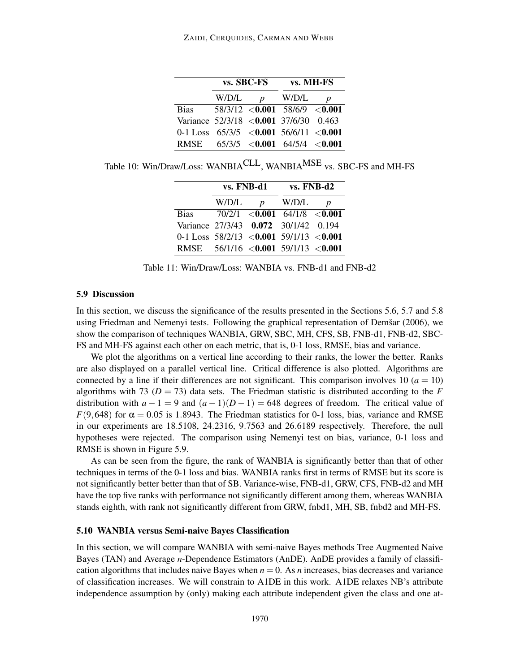|                                               |       | vs. SBC-FS    | vs. MH-FS                        |                  |  |
|-----------------------------------------------|-------|---------------|----------------------------------|------------------|--|
|                                               | W/D/L | $\mathcal{D}$ | W/D/L                            | $\boldsymbol{D}$ |  |
| <b>Bias</b>                                   |       |               | $58/3/12$ < 0.001 58/6/9 < 0.001 |                  |  |
| Variance 52/3/18 < <b>0.001</b> 37/6/30 0.463 |       |               |                                  |                  |  |
| 0-1 Loss $65/3/5$ <0.001 56/6/11 <0.001       |       |               |                                  |                  |  |
| RMSE $65/3/5$ < 0.001 64/5/4 < 0.001          |       |               |                                  |                  |  |

Table 10: Win/Draw/Loss: WANBIA<sup>CLL</sup>, WANBIA<sup>MSE</sup> vs. SBC-FS and MH-FS

|                                          |       | vs. FNB-d1       | $vs. FNB-d2$                         |                  |
|------------------------------------------|-------|------------------|--------------------------------------|------------------|
|                                          | W/D/L | $\boldsymbol{p}$ | W/D/L                                | $\boldsymbol{D}$ |
| <b>Bias</b>                              |       |                  | $70/2/1 \leq 0.001$ 64/1/8 $< 0.001$ |                  |
| Variance 27/3/43 0.072 30/1/42 0.194     |       |                  |                                      |                  |
| 0-1 Loss $58/2/13$ <0.001 59/1/13 <0.001 |       |                  |                                      |                  |
| RMSE $56/1/16$ <0.001 59/1/13 <0.001     |       |                  |                                      |                  |

Table 11: Win/Draw/Loss: WANBIA vs. FNB-d1 and FNB-d2

#### 5.9 Discussion

In this section, we discuss the significance of the results presented in the Sections 5.6, 5.7 and 5.8 using Friedman and Nemenyi tests. Following the graphical representation of Demšar (2006), we show the comparison of techniques WANBIA, GRW, SBC, MH, CFS, SB, FNB-d1, FNB-d2, SBC-FS and MH-FS against each other on each metric, that is, 0-1 loss, RMSE, bias and variance.

We plot the algorithms on a vertical line according to their ranks, the lower the better. Ranks are also displayed on a parallel vertical line. Critical difference is also plotted. Algorithms are connected by a line if their differences are not significant. This comparison involves  $10 (a = 10)$ algorithms with 73 ( $D = 73$ ) data sets. The Friedman statistic is distributed according to the *F* distribution with  $a - 1 = 9$  and  $(a - 1)(D - 1) = 648$  degrees of freedom. The critical value of *F*(9,648) for  $\alpha$  = 0.05 is 1.8943. The Friedman statistics for 0-1 loss, bias, variance and RMSE in our experiments are 18.5108, 24.2316, 9.7563 and 26.6189 respectively. Therefore, the null hypotheses were rejected. The comparison using Nemenyi test on bias, variance, 0-1 loss and RMSE is shown in Figure 5.9.

As can be seen from the figure, the rank of WANBIA is significantly better than that of other techniques in terms of the 0-1 loss and bias. WANBIA ranks first in terms of RMSE but its score is not significantly better better than that of SB. Variance-wise, FNB-d1, GRW, CFS, FNB-d2 and MH have the top five ranks with performance not significantly different among them, whereas WANBIA stands eighth, with rank not significantly different from GRW, fnbd1, MH, SB, fnbd2 and MH-FS.

#### 5.10 WANBIA versus Semi-naive Bayes Classification

In this section, we will compare WANBIA with semi-naive Bayes methods Tree Augmented Naive Bayes (TAN) and Average *n*-Dependence Estimators (AnDE). AnDE provides a family of classification algorithms that includes naive Bayes when  $n = 0$ . As *n* increases, bias decreases and variance of classification increases. We will constrain to A1DE in this work. A1DE relaxes NB's attribute independence assumption by (only) making each attribute independent given the class and one at-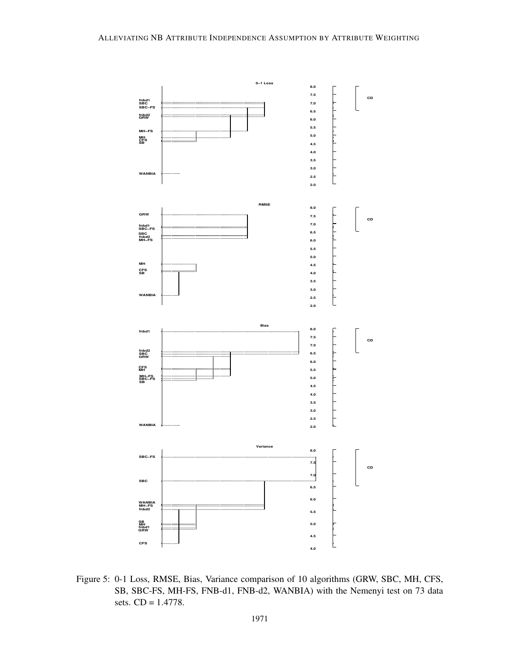

Figure 5: 0-1 Loss, RMSE, Bias, Variance comparison of 10 algorithms (GRW, SBC, MH, CFS, SB, SBC-FS, MH-FS, FNB-d1, FNB-d2, WANBIA) with the Nemenyi test on 73 data sets. CD = 1.4778.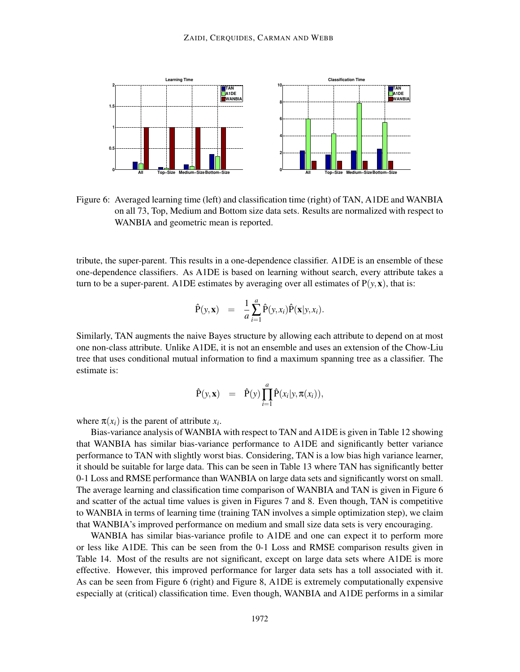

Figure 6: Averaged learning time (left) and classification time (right) of TAN, A1DE and WANBIA on all 73, Top, Medium and Bottom size data sets. Results are normalized with respect to WANBIA and geometric mean is reported.

tribute, the super-parent. This results in a one-dependence classifier. A1DE is an ensemble of these one-dependence classifiers. As A1DE is based on learning without search, every attribute takes a turn to be a super-parent. A1DE estimates by averaging over all estimates of  $P(y, x)$ , that is:

$$
\hat{P}(y, x) = \frac{1}{a} \sum_{i=1}^{a} \hat{P}(y, x_i) \hat{P}(x | y, x_i).
$$

Similarly, TAN augments the naive Bayes structure by allowing each attribute to depend on at most one non-class attribute. Unlike A1DE, it is not an ensemble and uses an extension of the Chow-Liu tree that uses conditional mutual information to find a maximum spanning tree as a classifier. The estimate is:

$$
\hat{P}(y, x) = \hat{P}(y) \prod_{i=1}^{a} \hat{P}(x_i|y, \pi(x_i)),
$$

where  $\pi(x_i)$  is the parent of attribute  $x_i$ .

Bias-variance analysis of WANBIA with respect to TAN and A1DE is given in Table 12 showing that WANBIA has similar bias-variance performance to A1DE and significantly better variance performance to TAN with slightly worst bias. Considering, TAN is a low bias high variance learner, it should be suitable for large data. This can be seen in Table 13 where TAN has significantly better 0-1 Loss and RMSE performance than WANBIA on large data sets and significantly worst on small. The average learning and classification time comparison of WANBIA and TAN is given in Figure 6 and scatter of the actual time values is given in Figures 7 and 8. Even though, TAN is competitive to WANBIA in terms of learning time (training TAN involves a simple optimization step), we claim that WANBIA's improved performance on medium and small size data sets is very encouraging.

WANBIA has similar bias-variance profile to A1DE and one can expect it to perform more or less like A1DE. This can be seen from the 0-1 Loss and RMSE comparison results given in Table 14. Most of the results are not significant, except on large data sets where A1DE is more effective. However, this improved performance for larger data sets has a toll associated with it. As can be seen from Figure 6 (right) and Figure 8, A1DE is extremely computationally expensive especially at (critical) classification time. Even though, WANBIA and A1DE performs in a similar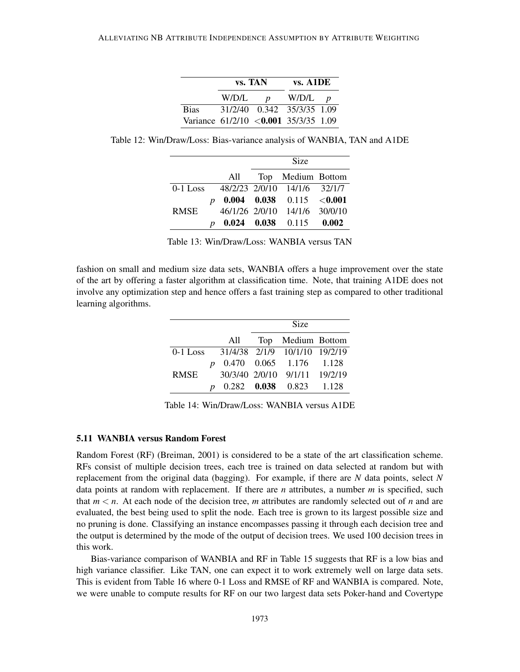|                                        |       | vs. TAN          | $vs.$ A $1DE$              |  |
|----------------------------------------|-------|------------------|----------------------------|--|
|                                        | W/D/L | $\boldsymbol{p}$ | $W/D/L$ <i>p</i>           |  |
| <b>Bias</b>                            |       |                  | 31/2/40 0.342 35/3/35 1.09 |  |
| Variance $61/2/10$ <0.001 35/3/35 1.09 |       |                  |                            |  |

Table 12: Win/Draw/Loss: Bias-variance analysis of WANBIA, TAN and A1DE

|             |     | Size                                            |  |
|-------------|-----|-------------------------------------------------|--|
|             | All | Top Medium Bottom                               |  |
|             |     | $0-1$ Loss $48/2/23$ $2/0/10$ $14/1/6$ $32/1/7$ |  |
|             |     | 0.004 0.038 0.115 < 0.001                       |  |
| <b>RMSE</b> |     | 46/1/26 2/0/10 14/1/6 30/0/10                   |  |
|             |     | $0.024$ $0.038$ $0.115$ $0.002$                 |  |

Table 13: Win/Draw/Loss: WANBIA versus TAN

fashion on small and medium size data sets, WANBIA offers a huge improvement over the state of the art by offering a faster algorithm at classification time. Note, that training A1DE does not involve any optimization step and hence offers a fast training step as compared to other traditional learning algorithms.

|      |                  |     | Size |                                        |  |  |  |
|------|------------------|-----|------|----------------------------------------|--|--|--|
|      |                  | All |      | Top Medium Bottom                      |  |  |  |
|      |                  |     |      | 0-1 Loss 31/4/38 2/1/9 10/1/10 19/2/19 |  |  |  |
|      | $\boldsymbol{p}$ |     |      | 0.470 0.065 1.176 1.128                |  |  |  |
| RMSE |                  |     |      | 30/3/40 2/0/10 9/1/11 19/2/19          |  |  |  |
|      |                  |     |      | $0.282$ $0.038$ $0.823$ $1.128$        |  |  |  |

Table 14: Win/Draw/Loss: WANBIA versus A1DE

# 5.11 WANBIA versus Random Forest

Random Forest (RF) (Breiman, 2001) is considered to be a state of the art classification scheme. RFs consist of multiple decision trees, each tree is trained on data selected at random but with replacement from the original data (bagging). For example, if there are *N* data points, select *N* data points at random with replacement. If there are *n* attributes, a number *m* is specified, such that  $m < n$ . At each node of the decision tree, *m* attributes are randomly selected out of *n* and are evaluated, the best being used to split the node. Each tree is grown to its largest possible size and no pruning is done. Classifying an instance encompasses passing it through each decision tree and the output is determined by the mode of the output of decision trees. We used 100 decision trees in this work.

Bias-variance comparison of WANBIA and RF in Table 15 suggests that RF is a low bias and high variance classifier. Like TAN, one can expect it to work extremely well on large data sets. This is evident from Table 16 where 0-1 Loss and RMSE of RF and WANBIA is compared. Note, we were unable to compute results for RF on our two largest data sets Poker-hand and Covertype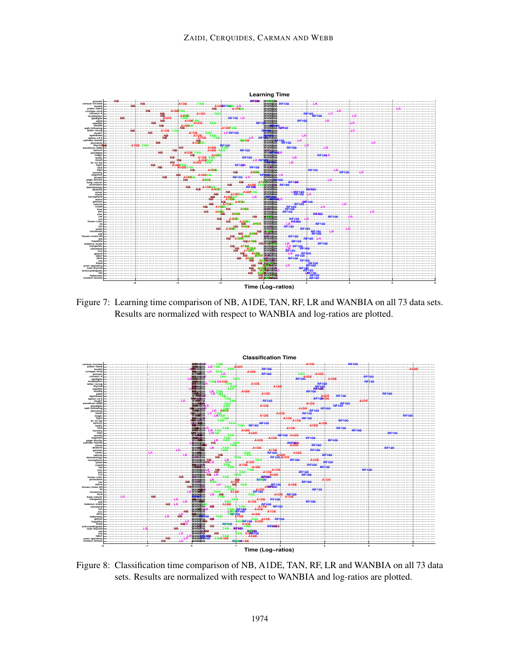

Figure 7: Learning time comparison of NB, A1DE, TAN, RF, LR and WANBIA on all 73 data sets. Results are normalized with respect to WANBIA and log-ratios are plotted.



Figure 8: Classification time comparison of NB, A1DE, TAN, RF, LR and WANBIA on all 73 data sets. Results are normalized with respect to WANBIA and log-ratios are plotted.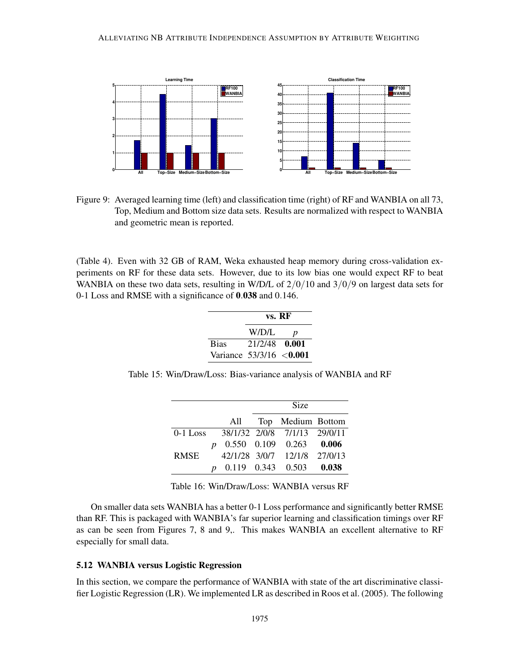

Figure 9: Averaged learning time (left) and classification time (right) of RF and WANBIA on all 73, Top, Medium and Bottom size data sets. Results are normalized with respect to WANBIA and geometric mean is reported.

(Table 4). Even with 32 GB of RAM, Weka exhausted heap memory during cross-validation experiments on RF for these data sets. However, due to its low bias one would expect RF to beat WANBIA on these two data sets, resulting in W/D/L of  $2/0/10$  and  $3/0/9$  on largest data sets for 0-1 Loss and RMSE with a significance of 0.038 and 0.146.

|                            | vs. RF        |   |  |  |  |
|----------------------------|---------------|---|--|--|--|
|                            | W/D/L         | D |  |  |  |
| <b>Bias</b>                | 21/2/48 0.001 |   |  |  |  |
| Variance $53/3/16 < 0.001$ |               |   |  |  |  |

Table 15: Win/Draw/Loss: Bias-variance analysis of WANBIA and RF

|      |                  |     | Size |                                       |  |  |  |
|------|------------------|-----|------|---------------------------------------|--|--|--|
|      |                  | All |      | Top Medium Bottom                     |  |  |  |
|      |                  |     |      | 0-1 Loss 38/1/32 2/0/8 7/1/13 29/0/11 |  |  |  |
|      | $\boldsymbol{p}$ |     |      | $0.550$ $0.109$ $0.263$ $0.006$       |  |  |  |
| RMSE |                  |     |      | 42/1/28 3/0/7 12/1/8 27/0/13          |  |  |  |
|      |                  |     |      | $0.119$ $0.343$ $0.503$ $0.038$       |  |  |  |

Table 16: Win/Draw/Loss: WANBIA versus RF

On smaller data sets WANBIA has a better 0-1 Loss performance and significantly better RMSE than RF. This is packaged with WANBIA's far superior learning and classification timings over RF as can be seen from Figures 7, 8 and 9,. This makes WANBIA an excellent alternative to RF especially for small data.

# 5.12 WANBIA versus Logistic Regression

In this section, we compare the performance of WANBIA with state of the art discriminative classifier Logistic Regression (LR). We implemented LR as described in Roos et al. (2005). The following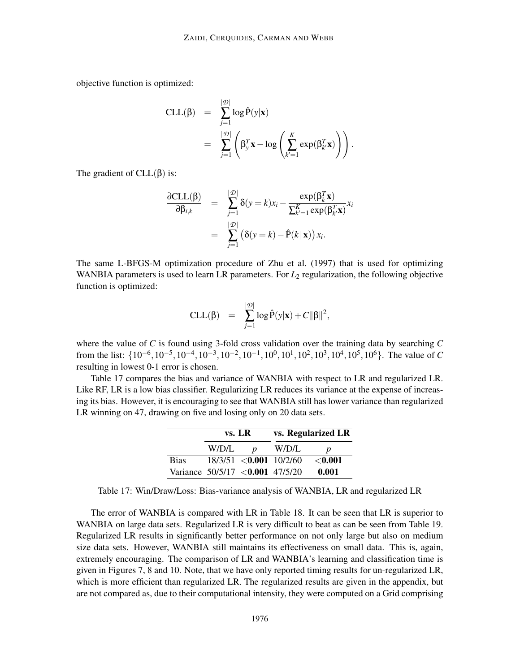objective function is optimized:

$$
\begin{array}{rcl}\n\text{CLL}(\beta) & = & \sum_{j=1}^{|\mathcal{D}|} \log \hat{P}(y|\mathbf{x}) \\
& = & \sum_{j=1}^{|\mathcal{D}|} \left( \beta_y^T \mathbf{x} - \log \left( \sum_{k'=1}^K \exp(\beta_{k'}^T \mathbf{x}) \right) \right).\n\end{array}
$$

The gradient of  $CLL(\beta)$  is:

$$
\frac{\partial \text{CLL}(\beta)}{\partial \beta_{i,k}} = \sum_{j=1}^{|\mathcal{D}|} \delta(y=k)x_i - \frac{\exp(\beta_k^T \mathbf{x})}{\sum_{k'=1}^K \exp(\beta_{k'}^T \mathbf{x})} x_i
$$

$$
= \sum_{j=1}^{|\mathcal{D}|} (\delta(y=k) - \hat{P}(k|\mathbf{x})) x_i.
$$

The same L-BFGS-M optimization procedure of Zhu et al. (1997) that is used for optimizing WANBIA parameters is used to learn LR parameters. For  $L_2$  regularization, the following objective function is optimized:

$$
CLL(\beta) = \sum_{j=1}^{|\mathcal{D}|} \log \hat{P}(y|\mathbf{x}) + C||\beta||^2,
$$

where the value of *C* is found using 3-fold cross validation over the training data by searching *C* from the list:  $\{10^{-6}, 10^{-5}, 10^{-4}, 10^{-3}, 10^{-2}, 10^{-1}, 10^{0}, 10^{1}, 10^{2}, 10^{3}, 10^{4}, 10^{5}, 10^{6}\}$ . The value of *C* resulting in lowest 0-1 error is chosen.

Table 17 compares the bias and variance of WANBIA with respect to LR and regularized LR. Like RF, LR is a low bias classifier. Regularizing LR reduces its variance at the expense of increasing its bias. However, it is encouraging to see that WANBIA still has lower variance than regularized LR winning on 47, drawing on five and losing only on 20 data sets.

|                                 | $vs. \, LR$ |                  | vs. Regularized LR          |           |  |  |
|---------------------------------|-------------|------------------|-----------------------------|-----------|--|--|
|                                 | W/D/L       | $\boldsymbol{p}$ | W/D/L                       | D         |  |  |
| <b>Bias</b>                     |             |                  | $18/3/51 < 0.001$ $10/2/60$ | $<$ 0.001 |  |  |
| Variance 50/5/17 <0.001 47/5/20 |             |                  |                             | 0.001     |  |  |

Table 17: Win/Draw/Loss: Bias-variance analysis of WANBIA, LR and regularized LR

The error of WANBIA is compared with LR in Table 18. It can be seen that LR is superior to WANBIA on large data sets. Regularized LR is very difficult to beat as can be seen from Table 19. Regularized LR results in significantly better performance on not only large but also on medium size data sets. However, WANBIA still maintains its effectiveness on small data. This is, again, extremely encouraging. The comparison of LR and WANBIA's learning and classification time is given in Figures 7, 8 and 10. Note, that we have only reported timing results for un-regularized LR, which is more efficient than regularized LR. The regularized results are given in the appendix, but are not compared as, due to their computational intensity, they were computed on a Grid comprising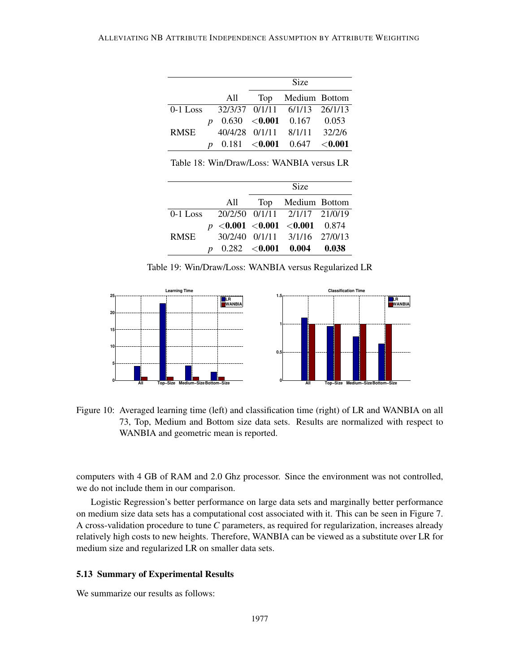|      |     | Size                                        |  |
|------|-----|---------------------------------------------|--|
|      | All | Top Medium Bottom                           |  |
|      |     | 0-1 Loss 32/3/37 0/1/11 6/1/13 26/1/13      |  |
|      |     | $0.630$ < <b>0.001</b> 0.167 0.053          |  |
| RMSE |     | 40/4/28 0/1/11 8/1/11 32/2/6                |  |
|      |     | $0.181$ < <b>0.001</b> 0.647 < <b>0.001</b> |  |

Table 18: Win/Draw/Loss: WANBIA versus LR

|      |     | Size                                   |  |
|------|-----|----------------------------------------|--|
|      | All | Top Medium Bottom                      |  |
|      |     | 0-1 Loss 20/2/50 0/1/11 2/1/17 21/0/19 |  |
|      |     | $p < 0.001 < 0.001 < 0.001$ 0.874      |  |
| RMSE |     | 30/2/40 0/1/11 3/1/16 27/0/13          |  |
|      |     | $p$ 0.282 < 0.001 0.004 0.038          |  |

Table 19: Win/Draw/Loss: WANBIA versus Regularized LR



Figure 10: Averaged learning time (left) and classification time (right) of LR and WANBIA on all 73, Top, Medium and Bottom size data sets. Results are normalized with respect to WANBIA and geometric mean is reported.

computers with 4 GB of RAM and 2.0 Ghz processor. Since the environment was not controlled, we do not include them in our comparison.

Logistic Regression's better performance on large data sets and marginally better performance on medium size data sets has a computational cost associated with it. This can be seen in Figure 7. A cross-validation procedure to tune *C* parameters, as required for regularization, increases already relatively high costs to new heights. Therefore, WANBIA can be viewed as a substitute over LR for medium size and regularized LR on smaller data sets.

#### 5.13 Summary of Experimental Results

We summarize our results as follows: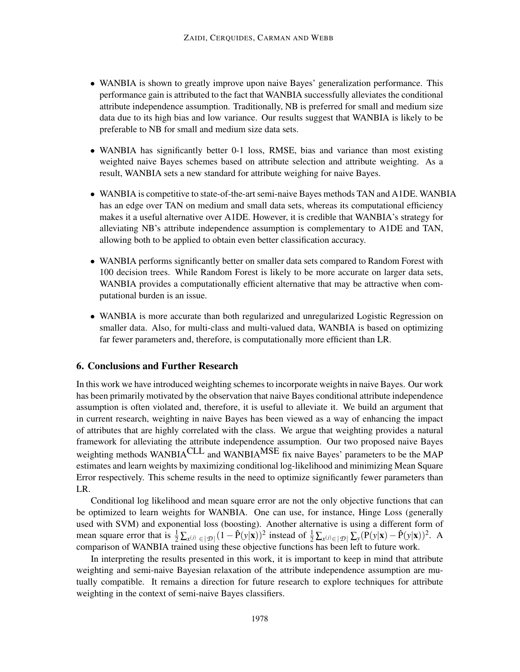- WANBIA is shown to greatly improve upon naive Bayes' generalization performance. This performance gain is attributed to the fact that WANBIA successfully alleviates the conditional attribute independence assumption. Traditionally, NB is preferred for small and medium size data due to its high bias and low variance. Our results suggest that WANBIA is likely to be preferable to NB for small and medium size data sets.
- WANBIA has significantly better 0-1 loss, RMSE, bias and variance than most existing weighted naive Bayes schemes based on attribute selection and attribute weighting. As a result, WANBIA sets a new standard for attribute weighing for naive Bayes.
- WANBIA is competitive to state-of-the-art semi-naive Bayes methods TAN and A1DE. WANBIA has an edge over TAN on medium and small data sets, whereas its computational efficiency makes it a useful alternative over A1DE. However, it is credible that WANBIA's strategy for alleviating NB's attribute independence assumption is complementary to A1DE and TAN, allowing both to be applied to obtain even better classification accuracy.
- WANBIA performs significantly better on smaller data sets compared to Random Forest with 100 decision trees. While Random Forest is likely to be more accurate on larger data sets, WANBIA provides a computationally efficient alternative that may be attractive when computational burden is an issue.
- WANBIA is more accurate than both regularized and unregularized Logistic Regression on smaller data. Also, for multi-class and multi-valued data, WANBIA is based on optimizing far fewer parameters and, therefore, is computationally more efficient than LR.

# 6. Conclusions and Further Research

In this work we have introduced weighting schemes to incorporate weights in naive Bayes. Our work has been primarily motivated by the observation that naive Bayes conditional attribute independence assumption is often violated and, therefore, it is useful to alleviate it. We build an argument that in current research, weighting in naive Bayes has been viewed as a way of enhancing the impact of attributes that are highly correlated with the class. We argue that weighting provides a natural framework for alleviating the attribute independence assumption. Our two proposed naive Bayes weighting methods WANBIACLL and WANBIA<sup>MSE</sup> fix naive Bayes' parameters to be the MAP estimates and learn weights by maximizing conditional log-likelihood and minimizing Mean Square Error respectively. This scheme results in the need to optimize significantly fewer parameters than LR.

Conditional log likelihood and mean square error are not the only objective functions that can be optimized to learn weights for WANBIA. One can use, for instance, Hinge Loss (generally used with SVM) and exponential loss (boosting). Another alternative is using a different form of mean square error that is  $\frac{1}{2} \sum_{x^{(j)} \in |\mathcal{D}|} (1 - \hat{P}(y|\mathbf{x}))^2$  instead of  $\frac{1}{2} \sum_{x^{(j)} \in |\mathcal{D}|} \sum_{y} (P(y|\mathbf{x}) - \hat{P}(y|\mathbf{x}))^2$ . A comparison of WANBIA trained using these objective functions has been left to future work.

In interpreting the results presented in this work, it is important to keep in mind that attribute weighting and semi-naive Bayesian relaxation of the attribute independence assumption are mutually compatible. It remains a direction for future research to explore techniques for attribute weighting in the context of semi-naive Bayes classifiers.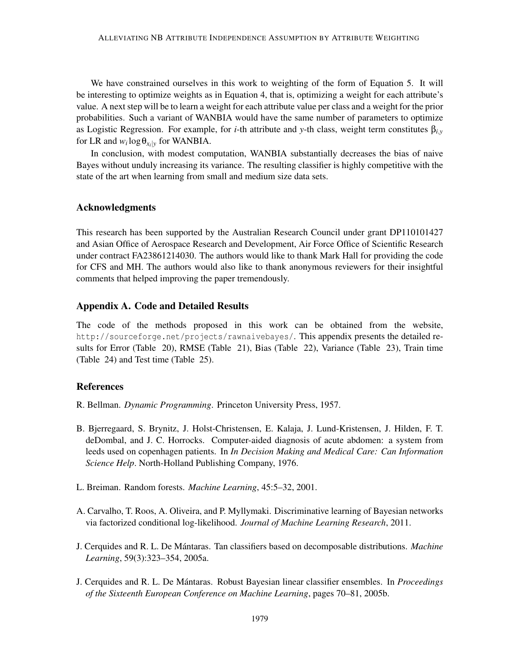We have constrained ourselves in this work to weighting of the form of Equation 5. It will be interesting to optimize weights as in Equation 4, that is, optimizing a weight for each attribute's value. A next step will be to learn a weight for each attribute value per class and a weight for the prior probabilities. Such a variant of WANBIA would have the same number of parameters to optimize as Logistic Regression. For example, for *i*-th attribute and *y*-th class, weight term constitutes β*i*,*<sup>y</sup>* for LR and  $w_i \log \theta_{x_i|y}$  for WANBIA.

In conclusion, with modest computation, WANBIA substantially decreases the bias of naive Bayes without unduly increasing its variance. The resulting classifier is highly competitive with the state of the art when learning from small and medium size data sets.

## Acknowledgments

This research has been supported by the Australian Research Council under grant DP110101427 and Asian Office of Aerospace Research and Development, Air Force Office of Scientific Research under contract FA23861214030. The authors would like to thank Mark Hall for providing the code for CFS and MH. The authors would also like to thank anonymous reviewers for their insightful comments that helped improving the paper tremendously.

## Appendix A. Code and Detailed Results

The code of the methods proposed in this work can be obtained from the website, http://sourceforge.net/projects/rawnaivebayes/. This appendix presents the detailed results for Error (Table 20), RMSE (Table 21), Bias (Table 22), Variance (Table 23), Train time (Table 24) and Test time (Table 25).

## References

- R. Bellman. *Dynamic Programming*. Princeton University Press, 1957.
- B. Bjerregaard, S. Brynitz, J. Holst-Christensen, E. Kalaja, J. Lund-Kristensen, J. Hilden, F. T. deDombal, and J. C. Horrocks. Computer-aided diagnosis of acute abdomen: a system from leeds used on copenhagen patients. In *In Decision Making and Medical Care: Can Information Science Help*. North-Holland Publishing Company, 1976.
- L. Breiman. Random forests. *Machine Learning*, 45:5–32, 2001.
- A. Carvalho, T. Roos, A. Oliveira, and P. Myllymaki. Discriminative learning of Bayesian networks via factorized conditional log-likelihood. *Journal of Machine Learning Research*, 2011.
- J. Cerquides and R. L. De Mántaras. Tan classifiers based on decomposable distributions. *Machine Learning*, 59(3):323–354, 2005a.
- J. Cerquides and R. L. De Mantaras. Robust Bayesian linear classifier ensembles. In ´ *Proceedings of the Sixteenth European Conference on Machine Learning*, pages 70–81, 2005b.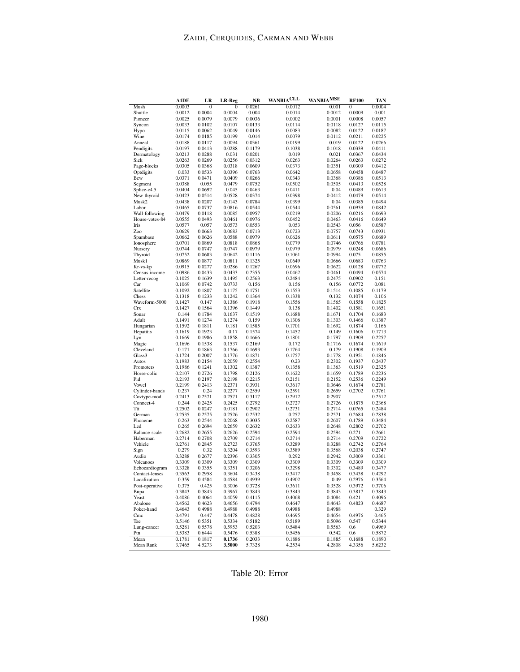|                                  | <b>A1DE</b>      | LR               | LR-Reg           | <b>NB</b>        | <b>WANBIACLL</b>    | WANBIA <sup>MSE</sup> | <b>RF100</b>     | TAN              |
|----------------------------------|------------------|------------------|------------------|------------------|---------------------|-----------------------|------------------|------------------|
| Mush                             | 0.0003           | $\mathbf{0}$     | 0                | 0.0261           | $0.\overline{0012}$ | 0.001                 | 0                | 0.0004           |
| Shuttle                          | 0.0012           | 0.0004           | 0.0004           | 0.004            | 0.0014              | 0.0012                | 0.0009           | 0.001            |
| Pioneer                          | 0.0025<br>0.0033 | 0.0079<br>0.0102 | 0.0079           | 0.0036<br>0.0133 | 0.0002<br>0.0114    | 0.0001<br>0.0118      | 0.0008<br>0.0127 | 0.0057<br>0.0115 |
| Syncon<br>Hypo                   | 0.0115           | 0.0062           | 0.0107<br>0.0049 | 0.0146           | 0.0083              | 0.0082                | 0.0122           | 0.0187           |
| Wine                             | 0.0174           | 0.0185           | 0.0199           | 0.014            | 0.0079              | 0.0112                | 0.0211           | 0.0225           |
| Anneal                           | 0.0188           | 0.0117           | 0.0094           | 0.0361           | 0.0199              | 0.019                 | 0.0122           | 0.0266           |
| Pendigits                        | 0.0197           | 0.0413           | 0.0288           | 0.1179           | 0.1038              | 0.1018                | 0.0339           | 0.0411           |
| Dermatology                      | 0.0213           | 0.0288           | 0.031            | 0.0201           | 0.019               | 0.021                 | 0.0367           | 0.0434           |
| Sick                             | 0.0263           | 0.0269           | 0.0256           | 0.0312           | 0.0263              | 0.0264                | 0.0263           | 0.0272           |
| Page-blocks<br>Optdigits         | 0.0305<br>0.033  | 0.0368<br>0.0533 | 0.0318<br>0.0396 | 0.0609<br>0.0763 | 0.0373<br>0.0642    | 0.0351<br>0.0658      | 0.0309<br>0.0458 | 0.0412<br>0.0487 |
| Bcw                              | 0.0371           | 0.0471           | 0.0409           | 0.0266           | 0.0343              | 0.0368                | 0.0386           | 0.0513           |
| Segment                          | 0.0388           | 0.055            | 0.0479           | 0.0752           | 0.0502              | 0.0505                | 0.0413           | 0.0528           |
| Splice-c4.5                      | 0.0404           | 0.0692           | 0.045            | 0.0463           | 0.0411              | 0.04                  | 0.0489           | 0.0613           |
| New-thyroid                      | 0.0423           | 0.0514           | 0.0528           | 0.0374           | 0.0398              | 0.0412                | 0.0479           | 0.0514           |
| Musk2                            | 0.0438           | 0.0207           | 0.0143           | 0.0784           | 0.0399              | 0.04                  | 0.0385           | 0.0494           |
| Labor                            | 0.0465           | 0.0737           | 0.0816           | 0.0544           | 0.0544              | 0.0561                | 0.0939           | 0.0842           |
| Wall-following<br>House-votes-84 | 0.0479<br>0.0555 | 0.0118<br>0.0493 | 0.0085<br>0.0461 | 0.0957<br>0.0976 | 0.0219<br>0.0452    | 0.0206<br>0.0463      | 0.0216<br>0.0416 | 0.0693<br>0.0649 |
| Iris                             | 0.0577           | 0.057            | 0.0573           | 0.0553           | 0.053               | 0.0543                | 0.056            | 0.0587           |
| Zoo                              | 0.0629           | 0.0663           | 0.0683           | 0.0713           | 0.0723              | 0.0757                | 0.0743           | 0.0931           |
| Spambase                         | 0.0662           | 0.0626           | 0.0588           | 0.0979           | 0.0626              | 0.0611                | 0.0575           | 0.0689           |
| Ionosphere                       | 0.0701           | 0.0869           | 0.0818           | 0.0868           | 0.0779              | 0.0746                | 0.0766           | 0.0781           |
| Nursery                          | 0.0744           | 0.0747           | 0.0747           | 0.0979           | 0.0979              | 0.0979                | 0.0248           | 0.0686           |
| Thyroid                          | 0.0752           | 0.0683           | 0.0642           | 0.1116           | 0.1061              | 0.0994                | 0.075            | 0.0855           |
| Musk1<br>Kr-vs-kp                | 0.0869<br>0.0915 | 0.0877<br>0.0277 | 0.0811<br>0.0286 | 0.1325<br>0.1267 | 0.0649<br>0.0696    | 0.0666<br>0.0622      | 0.0683<br>0.0128 | 0.0763<br>0.0772 |
| Census-income                    | 0.0986           | 0.0433           | 0.0433           | 0.2355           | 0.0462              | 0.0461                | 0.0494           | 0.0574           |
| Letter-recog                     | 0.1025           | 0.1639           | 0.1495           | 0.2563           | 0.2484              | 0.2475                | 0.0902           | 0.151            |
| Car                              | 0.1069           | 0.0742           | 0.0733           | 0.156            | 0.156               | 0.156                 | 0.0772           | 0.081            |
| Satellite                        | 0.1092           | 0.1807           | 0.1175           | 0.1751           | 0.1553              | 0.1514                | 0.1085           | 0.1179           |
| Chess                            | 0.1318           | 0.1233           | 0.1242           | 0.1364           | 0.1338              | 0.132                 | 0.1074           | 0.106            |
| Waveform-5000                    | 0.1427           | 0.147            | 0.1386           | 0.1918           | 0.1556              | 0.1565                | 0.1558           | 0.1825           |
| Crx                              | 0.1427           | 0.1564           | 0.1396           | 0.1449           | 0.138               | 0.1402                | 0.1581           | 0.1651<br>0.1683 |
| Sonar<br>Adult                   | 0.144<br>0.1491  | 0.1784<br>0.1274 | 0.1637<br>0.1274 | 0.1519<br>0.159  | 0.1688<br>0.1306    | 0.1671<br>0.1303      | 0.1704<br>0.1466 | 0.1387           |
| Hungarian                        | 0.1592           | 0.1811           | 0.181            | 0.1585           | 0.1701              | 0.1692                | 0.1874           | 0.166            |
| Hepatitis                        | 0.1619           | 0.1923           | 0.17             | 0.1574           | 0.1452              | 0.149                 | 0.1606           | 0.1713           |
| Lyn                              | 0.1669           | 0.1986           | 0.1858           | 0.1666           | 0.1801              | 0.1797                | 0.1909           | 0.2257           |
| Magic                            | 0.1696           | 0.1538           | 0.1537           | 0.2169           | 0.172               | 0.1716                | 0.1674           | 0.1619           |
| Cleveland                        | 0.171            | 0.1863           | 0.1766           | 0.1693           | 0.1764              | 0.179                 | 0.1908           | 0.1909           |
| Glass3<br>Autos                  | 0.1724<br>0.1983 | 0.2007<br>0.2154 | 0.1776<br>0.2059 | 0.1871<br>0.2554 | 0.1757<br>0.23      | 0.1778<br>0.2302      | 0.1951<br>0.1937 | 0.1846<br>0.2437 |
| Promoters                        | 0.1986           | 0.1241           | 0.1302           | 0.1387           | 0.1358              | 0.1363                | 0.1519           | 0.2325           |
| Horse-colic                      | 0.2107           | 0.2726           | 0.1798           | 0.2126           | 0.1622              | 0.1659                | 0.1789           | 0.2236           |
| Pid                              | 0.2193           | 0.2197           | 0.2198           | 0.2215           | 0.2151              | 0.2152                | 0.2536           | 0.2249           |
| Vowel                            | 0.2199           | 0.2413           | 0.2371           | 0.3931           | 0.3617              | 0.3646                | 0.1674           | 0.2781           |
| Cylinder-bands                   | 0.237            | 0.24             | 0.2277           | 0.2559           | 0.2591              | 0.2659                | 0.2702           | 0.3761           |
| Covtype-mod                      | 0.2413           | 0.2571           | 0.2571           | 0.3117           | 0.2912              | 0.2907                |                  | 0.2512           |
| Connect-4<br>Ttt                 | 0.244<br>0.2502  | 0.2425<br>0.0247 | 0.2425<br>0.0181 | 0.2792<br>0.2902 | 0.2727<br>0.2731    | 0.2726<br>0.2714      | 0.1875<br>0.0765 | 0.2368<br>0.2484 |
| German                           | 0.2535           | 0.2575           | 0.2526           | 0.2532           | 0.257               | 0.2571                | 0.2684           | 0.2838           |
| Phoneme                          | 0.263            | 0.2544           | 0.2068           | 0.3035           | 0.2587              | 0.2607                | 0.1789           | 0.3484           |
| Led                              | 0.265            | 0.2694           | 0.2659           | 0.2632           | 0.2633              | 0.2648                | 0.2802           | 0.2702           |
| Balance-scale                    | 0.2682           | 0.2655           | 0.2626           | 0.2594           | 0.2594              | 0.2594                | 0.271            | 0.2661           |
| Haberman                         | 0.2714           | 0.2708           | 0.2709           | 0.2714           | 0.2714              | 0.2714                | 0.2709           | 0.2722           |
| Vehicle                          | 0.2761           | 0.2845           | 0.2723           | 0.3765           | 0.3289              | 0.3288                | 0.2742           | 0.2764           |
| Sign<br>Audio                    | 0.279            | 0.32             | 0.3204<br>0.2396 | 0.3593           | 0.3589<br>0.292     | 0.3568<br>0.2942      | 0.2038           | 0.2747           |
| Volcanoes                        | 0.3288<br>0.3309 | 0.2677<br>0.3309 | 0.3309           | 0.3305<br>0.3309 | 0.3309              | 0.3309                | 0.3009<br>0.3309 | 0.3361<br>0.3309 |
| Echocardiogram                   | 0.3328           | 0.3355           | 0.3351           | 0.3206           | 0.3298              | 0.3302                | 0.3489           | 0.3477           |
| Contact-lenses                   | 0.3563           | 0.2958           | 0.3604           | 0.3438           | 0.3417              | 0.3458                | 0.3438           | 0.4292           |
| Localization                     | 0.359            | 0.4584           | 0.4584           | 0.4939           | 0.4902              | 0.49                  | 0.2976           | 0.3564           |
| Post-operative                   | 0.375            | 0.425            | 0.3006           | 0.3728           | 0.3611              | 0.3528                | 0.3972           | 0.3706           |
| Bupa                             | 0.3843           | 0.3843           | 0.3967           | 0.3843           | 0.3843              | 0.3843                | 0.3817           | 0.3843           |
| Yeast                            | 0.4086           | 0.4064           | 0.4059           | 0.4115           | 0.4068              | 0.4084                | 0.421            | 0.4096           |
| Abalone<br>Poker-hand            | 0.4562<br>0.4643 | 0.4623<br>0.4988 | 0.4656<br>0.4988 | 0.4794<br>0.4988 | 0.4647<br>0.4988    | 0.4643<br>0.4988      | 0.4823           | 0.4687<br>0.329  |
| Cmc                              | 0.4791           | 0.447            | 0.4478           | 0.4828           | 0.4695              | 0.4654                | 0.4976           | 0.465            |
| Tae                              | 0.5146           | 0.5351           | 0.5334           | 0.5182           | 0.5189              | 0.5096                | 0.547            | 0.5344           |
| Lung-cancer                      | 0.5281           | 0.5578           | 0.5953           | 0.5203           | 0.5484              | 0.5563                | 0.6              | 0.4969           |
| Ptn                              | 0.5383           | 0.6444           | 0.5476           | 0.5388           | 0.5456              | 0.542                 | 0.6              | 0.5872           |
| Mean                             | 0.1781           | 0.1817           | 0.1736           | 0.2033           | 0.1886              | 0.1885                | 0.1688           | 0.1890           |
| Mean Rank                        | 3.7465           | 4.5273           | 3.5000           | 5.7328           | 4.2534              | 4.2808                | 4.3356           | 5.6232           |

Table 20: Error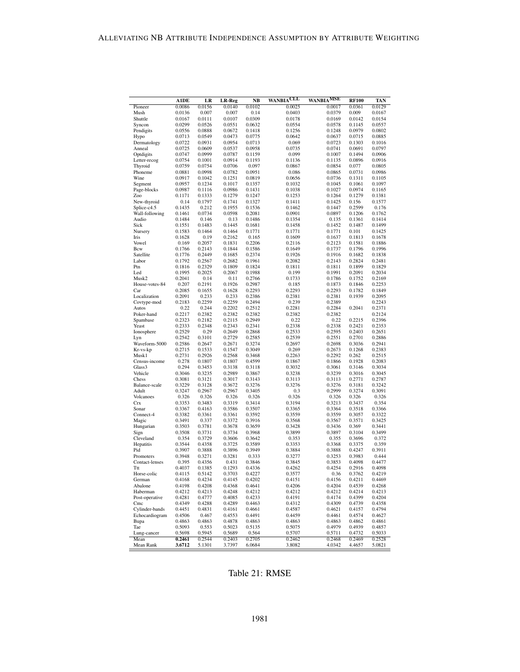|                         | <b>A1DE</b>      | LR               | LR-Reg           | <b>NB</b>        | WANBIACLL        | <b>WANBIAMSE</b> | <b>RF100</b>     | TAN              |
|-------------------------|------------------|------------------|------------------|------------------|------------------|------------------|------------------|------------------|
| Pioneer                 | 0.0086           | 0.0156           | 0.0140           | 0.0102           | 0.0025           | 0.0017           | 0.0361           | 0.0129           |
| Mush                    | 0.0136           | 0.007            | 0.007            | 0.14             | 0.0403           | 0.0379           | 0.009            | 0.0167           |
| Shuttle                 | 0.0167           | 0.0111           | 0.0107           | 0.0309           | 0.0178           | 0.0169           | 0.0142           | 0.0154           |
| Syncon<br>Pendigits     | 0.0299<br>0.0556 | 0.0526<br>0.0888 | 0.0551<br>0.0672 | 0.0632<br>0.1418 | 0.0554<br>0.1256 | 0.0578<br>0.1248 | 0.1145<br>0.0979 | 0.0557<br>0.0802 |
| Hypo                    | 0.0713           | 0.0549           | 0.0473           | 0.0775           | 0.0642           | 0.0637           | 0.0715           | 0.0885           |
| Dermatology             | 0.0722           | 0.0931           | 0.0954           | 0.0713           | 0.069            | 0.0723           | 0.1303           | 0.1016           |
| Anneal                  | 0.0725           | 0.0609           | 0.0537           | 0.0958           | 0.0735           | 0.0741           | 0.0691           | 0.0797           |
| Optdigits               | 0.0747           | 0.0999           | 0.0787           | 0.1159           | 0.099            | 0.1007           | 0.1494           | 0.0906           |
| Letter-recog            | 0.0754           | 0.1001           | 0.0914           | 0.1193           | 0.1136           | 0.1135           | 0.0896           | 0.0916           |
| Thyroid                 | 0.0759           | 0.0754           | 0.0706           | 0.097            | 0.0867           | 0.0854           | 0.077            | 0.0805           |
| Phoneme<br>Wine         | 0.0881<br>0.0917 | 0.0998<br>0.1042 | 0.0782<br>0.1251 | 0.0951<br>0.0819 | 0.086<br>0.0656  | 0.0865<br>0.0736 | 0.0731<br>0.1311 | 0.0986<br>0.1105 |
| Segment                 | 0.0957           | 0.1234           | 0.1017           | 0.1357           | 0.1032           | 0.1045           | 0.1061           | 0.1097           |
| Page-blocks             | 0.0987           | 0.1116           | 0.0986           | 0.1431           | 0.1038           | 0.1027           | 0.0974           | 0.1165           |
| Zoo                     | 0.1171           | 0.1333           | 0.1279           | 0.1247           | 0.1253           | 0.1264           | 0.1279           | 0.1381           |
| New-thyroid             | 0.14             | 0.1797           | 0.1741           | 0.1327           | 0.1411           | 0.1425           | 0.156            | 0.1577           |
| Splice-c4.5             | 0.1435           | 0.212            | 0.1955           | 0.1536           | 0.1462           | 0.1447           | 0.2599           | 0.176            |
| Wall-following          | 0.1461           | 0.0734           | 0.0598           | 0.2081           | 0.0901           | 0.0897           | 0.1206           | 0.1762           |
| Audio                   | 0.1484           | 0.146            | 0.13             | 0.1486           | 0.1354           | 0.135            | 0.1361           | 0.1414           |
| Sick<br>Nursery         | 0.1551<br>0.1583 | 0.1483<br>0.1464 | 0.1445<br>0.1464 | 0.1681<br>0.1771 | 0.1458<br>0.1771 | 0.1452<br>0.1771 | 0.1487<br>0.101  | 0.1499<br>0.1425 |
| Iris                    | 0.1628           | 0.19             | 0.2162           | 0.165            | 0.1609           | 0.1637           | 0.1813           | 0.1678           |
| Vowel                   | 0.169            | 0.2057           | 0.1831           | 0.2206           | 0.2116           | 0.2123           | 0.1581           | 0.1886           |
| Bcw                     | 0.1766           | 0.2143           | 0.1844           | 0.1586           | 0.1649           | 0.1737           | 0.1796           | 0.1996           |
| Satellite               | 0.1776           | 0.2449           | 0.1685           | 0.2374           | 0.1926           | 0.1916           | 0.1682           | 0.1838           |
| Labor                   | 0.1792           | 0.2567           | 0.2682           | 0.1961           | 0.2082           | 0.2143           | 0.2824           | 0.2481           |
| Ptn                     | 0.1816           | 0.2329           | 0.1809           | 0.1824           | 0.1811           | 0.1811           | 0.1899           | 0.1829           |
| Led                     | 0.1995           | 0.2025           | 0.2067           | 0.1988           | 0.199            | 0.1991           | 0.2091<br>0.1752 | 0.2034           |
| Musk2<br>House-votes-84 | 0.2041<br>0.207  | 0.14<br>0.2191   | 0.11<br>0.1926   | 0.2766<br>0.2987 | 0.1733<br>0.185  | 0.1786<br>0.1873 | 0.1846           | 0.2169<br>0.2253 |
| Car                     | 0.2085           | 0.1655           | 0.1628           | 0.2293           | 0.2293           | 0.2293           | 0.1782           | 0.1849           |
| Localization            | 0.2091           | 0.233            | 0.233            | 0.2386           | 0.2381           | 0.2381           | 0.1939           | 0.2095           |
| Covtype-mod             | 0.2183           | 0.2259           | 0.2259           | 0.2494           | 0.239            | 0.2389           |                  | 0.2243           |
| Autos                   | 0.22             | 0.244            | 0.2202           | 0.2512           | 0.2281           | 0.2284           | 0.2041           | 0.2371           |
| Poker-hand              | 0.2217           | 0.2382           | 0.2382           | 0.2382           | 0.2382           | 0.2382           |                  | 0.2124           |
| Spambase                | 0.2323           | 0.2182           | 0.2115           | 0.2949           | 0.22             | 0.22             | 0.2215           | 0.2396           |
| Yeast<br>Ionosphere     | 0.2333<br>0.2529 | 0.2348<br>0.29   | 0.2343<br>0.2649 | 0.2341<br>0.2868 | 0.2338<br>0.2533 | 0.2338<br>0.2595 | 0.2421<br>0.2403 | 0.2353<br>0.2651 |
| Lyn                     | 0.2542           | 0.3101           | 0.2729           | 0.2585           | 0.2539           | 0.2551           | 0.2701           | 0.2886           |
| Waveform-5000           | 0.2586           | 0.2647           | 0.2671           | 0.3274           | 0.2697           | 0.2698           | 0.3036           | 0.2941           |
| Kr-vs-kp                | 0.2715           | 0.1533           | 0.1547           | 0.3049           | 0.269            | 0.2673           | 0.1268           | 0.2383           |
| Musk1                   | 0.2731           | 0.2926           | 0.2568           | 0.3468           | 0.2263           | 0.2292           | 0.262            | 0.2515           |
| Census-income           | 0.278            | 0.1807           | 0.1807           | 0.4599           | 0.1867           | 0.1866           | 0.1928           | 0.2083           |
| Glass3                  | 0.294            | 0.3453           | 0.3138           | 0.3118           | 0.3032           | 0.3061           | 0.3146           | 0.3034           |
| Vehicle                 | 0.3046           | 0.3235           | 0.2989           | 0.3867           | 0.3238           | 0.3239           | 0.3016           | 0.3045           |
| Chess<br>Balance-scale  | 0.3081<br>0.3229 | 0.3121<br>0.3128 | 0.3017<br>0.3672 | 0.3143<br>0.3276 | 0.3113<br>0.3276 | 0.3113<br>0.3276 | 0.2771<br>0.3181 | 0.2787<br>0.3242 |
| Adult                   | 0.3247           | 0.2967           | 0.2967           | 0.3405           | 0.3              | 0.2999           | 0.3274           | 0.3091           |
| Volcanoes               | 0.326            | 0.326            | 0.326            | 0.326            | 0.326            | 0.326            | 0.326            | 0.326            |
| Crx                     | 0.3353           | 0.3483           | 0.3319           | 0.3414           | 0.3194           | 0.3213           | 0.3437           | 0.354            |
| Sonar                   | 0.3367           | 0.4163           | 0.3586           | 0.3507           | 0.3365           | 0.3364           | 0.3518           | 0.3366           |
| Connect-4               | 0.3382           | 0.3361           | 0.3361           | 0.3592           | 0.3559           | 0.3559           | 0.3057           | 0.3322           |
| Magic                   | 0.3491           | 0.337            | 0.3372           | 0.3916           | 0.3568           | 0.3567           | 0.3571           | 0.3425           |
| Hungarian               | 0.3503<br>0.3508 | 0.3781<br>0.3731 | 0.3678<br>0.3734 | 0.3659<br>0.3968 | 0.3428<br>0.3899 | 0.3436<br>0.3897 | 0.369<br>0.3104  | 0.3441<br>0.3499 |
| Sign<br>Cleveland       | 0.354            | 0.3729           | 0.3606           | 0.3642           | 0.353            | 0.355            | 0.3696           | 0.372            |
| Hepatitis               | 0.3544           | 0.4358           | 0.3725           | 0.3589           | 0.3353           | 0.3368           | 0.3375           | 0.359            |
| Pid                     | 0.3907           | 0.3888           | 0.3896           | 0.3949           | 0.3884           | 0.3888           | 0.4247           | 0.3911           |
| Promoters               | 0.3948           | 0.3271           | 0.3281           | 0.333            | 0.3277           | 0.3253           | 0.3983           | 0.444            |
| Contact-lenses          | 0.395            | 0.4356           | 0.431            | 0.3846           | 0.3845           | 0.3853           | 0.4098           | 0.4477           |
| Ttt                     | 0.4037           | 0.1385           | 0.1293           | 0.4336           | 0.4262           | 0.4254           | 0.2916           | 0.4098           |
| Horse-colic             | 0.4115           | 0.5142           | 0.3703           | 0.4227           | 0.3577           | 0.36             | 0.3762           | 0.4219           |
| German                  | 0.4168           | 0.4234           | 0.4145           | 0.4202           | 0.4151           | 0.4156           | 0.4211           | 0.4469           |
| Abalone<br>Haberman     | 0.4198<br>0.4212 | 0.4208<br>0.4213 | 0.4368<br>0.4248 | 0.4641<br>0.4212 | 0.4206<br>0.4212 | 0.4204<br>0.4212 | 0.4539<br>0.4214 | 0.4268<br>0.4213 |
| Post-operative          | 0.4281           | 0.4777           | 0.4085           | 0.4233           | 0.4191           | 0.4174           | 0.4399           | 0.4204           |
| Cmc                     | 0.4349           | 0.4288           | 0.4289           | 0.4463           | 0.4312           | 0.4309           | 0.4739           | 0.4358           |
| Cylinder-bands          | 0.4451           | 0.4831           | 0.4161           | 0.4661           | 0.4587           | 0.4621           | 0.4157           | 0.4794           |
| Echocardiogram          | 0.4506           | 0.467            | 0.4553           | 0.4491           | 0.4459           | 0.4461           | 0.4574           | 0.4627           |
| Bupa                    | 0.4863           | 0.4863           | 0.4878           | 0.4863           | 0.4863           | 0.4863           | 0.4862           | 0.4861           |
| Tae                     | 0.5093           | 0.553            | 0.5023           | 0.5135           | 0.5075           | 0.4979           | 0.4939           | 0.4857           |
| Lung-cancer             | 0.5698           | 0.5945           | 0.5689           | 0.564            | 0.5707           | 0.5711           | 0.4732           | 0.5033           |
| Mean<br>Mean Rank       | 0.2461<br>3.6712 | 0.2544<br>5.1301 | 0.2403<br>3.7397 | 0.2705<br>6.0684 | 0.2462<br>3.8082 | 0.2468<br>4.0342 | 0.2469<br>4.4657 | 0.2528<br>5.0821 |
|                         |                  |                  |                  |                  |                  |                  |                  |                  |

Table 21: RMSE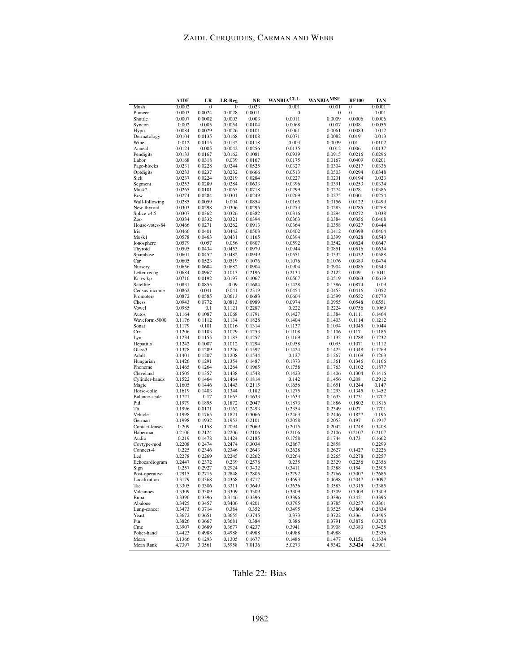|                            | <b>A1DE</b>      | LR               | LR-Reg           | NB               | CLL<br><b>WANBIA</b> | <b>WANBIA<sup>MSE</sup></b> | <b>RF100</b>     | TAN              |
|----------------------------|------------------|------------------|------------------|------------------|----------------------|-----------------------------|------------------|------------------|
| Mush                       | 0.0002           | $\mathbf{0}$     | $\mathbf{0}$     | 0.023            | 0.001                | 0.001                       | 0                | 0.0001           |
| Pioneer                    | 0.0003           | 0.0024           | 0.0028           | 0.0011           | 0                    | 0                           | 0                | 0.001            |
| Shuttle<br>Syncon          | 0.0007<br>0.002  | 0.0002<br>0.005  | 0.0003<br>0.0054 | 0.003<br>0.0104  | 0.0011<br>0.0068     | 0.0009<br>0.007             | 0.0006<br>0.008  | 0.0006<br>0.0055 |
| Hypo                       | 0.0084           | 0.0029           | 0.0026           | 0.0101           | 0.0061               | 0.0061                      | 0.0083           | 0.012            |
| Dermatology                | 0.0104           | 0.0135           | 0.0168           | 0.0108           | 0.0071               | 0.0082                      | 0.019            | 0.013            |
| Wine                       | 0.012            | 0.0115           | 0.0132           | 0.0118           | 0.003                | 0.0039                      | 0.01             | 0.0102           |
| Anneal                     | 0.0124           | 0.005            | 0.0042           | 0.0256           | 0.0135               | 0.012                       | 0.006            | 0.0137           |
| Pendigits                  | 0.0133           | 0.0167           | 0.0162           | 0.1081           | 0.0939               | 0.0915                      | 0.0216           | 0.0296           |
| Labor                      | 0.0168<br>0.0231 | 0.0318<br>0.0228 | 0.039<br>0.0244  | 0.0167<br>0.0525 | 0.0175               | 0.0167<br>0.0304            | 0.0409<br>0.0217 | 0.0201<br>0.0336 |
| Page-blocks<br>Optdigits   | 0.0233           | 0.0237           | 0.0232           | 0.0666           | 0.0327<br>0.0513     | 0.0503                      | 0.0294           | 0.0348           |
| Sick                       | 0.0237           | 0.0224           | 0.0219           | 0.0284           | 0.0227               | 0.0231                      | 0.0194           | 0.023            |
| Segment                    | 0.0253           | 0.0289           | 0.0284           | 0.0633           | 0.0396               | 0.0391                      | 0.0253           | 0.0334           |
| Musk2                      | 0.0265           | 0.0101           | 0.0065           | 0.0718           | 0.0299               | 0.0274                      | 0.028            | 0.0386           |
| Bcw                        | 0.0274           | 0.0284           | 0.0301           | 0.0249           | 0.0269               | 0.0275                      | 0.0301           | 0.0254           |
| Wall-following             | 0.0285           | 0.0059           | 0.004<br>0.0306  | 0.0854           | 0.0165               | 0.0156                      | 0.0122           | 0.0499           |
| New-thyroid<br>Splice-c4.5 | 0.0303<br>0.0307 | 0.0298<br>0.0362 | 0.0326           | 0.0295<br>0.0382 | 0.0273<br>0.0316     | 0.0283<br>0.0294            | 0.0285<br>0.0272 | 0.0268<br>0.038  |
| Zoo                        | 0.0334           | 0.0332           | 0.0321           | 0.0394           | 0.0363               | 0.0384                      | 0.0356           | 0.0468           |
| House-votes-84             | 0.0466           | 0.0271           | 0.0262           | 0.0913           | 0.0364               | 0.0358                      | 0.0327           | 0.0444           |
| Iris                       | 0.0466           | 0.0401           | 0.0442           | 0.0503           | 0.0402               | 0.0412                      | 0.0398           | 0.0464           |
| Musk1                      | 0.0578           | 0.0463           | 0.0431           | 0.1165           | 0.0394               | 0.0399                      | 0.0328           | 0.0543           |
| Ionosphere                 | 0.0579           | 0.057            | 0.056            | 0.0807           | 0.0592               | 0.0542                      | 0.0624           | 0.0647           |
| Thyroid                    | 0.0595           | 0.0434           | 0.0453           | 0.0979           | 0.0944               | 0.0851                      | 0.0516           | 0.0634           |
| Spambase<br>Car            | 0.0601<br>0.0605 | 0.0452<br>0.0523 | 0.0482<br>0.0519 | 0.0949<br>0.1076 | 0.0551<br>0.1076     | 0.0532<br>0.1076            | 0.0432<br>0.0389 | 0.0588<br>0.0474 |
| Nursery                    | 0.0656           | 0.0684           | 0.0682           | 0.0904           | 0.0904               | 0.0904                      | 0.0086           | 0.0543           |
| Letter-recog               | 0.0684           | 0.0967           | 0.1013           | 0.2196           | 0.2134               | 0.2122                      | 0.049            | 0.1041           |
| Kr-vs-kp                   | 0.0716           | 0.0192           | 0.0197           | 0.1067           | 0.0567               | 0.0519                      | 0.0063           | 0.0619           |
| Satellite                  | 0.0831           | 0.0855           | 0.09             | 0.1684           | 0.1428               | 0.1386                      | 0.0874           | 0.09             |
| Census-income              | 0.0862           | 0.041            | 0.041            | 0.2319           | 0.0454               | 0.0453                      | 0.0416           | 0.052            |
| Promoters                  | 0.0872<br>0.0943 | 0.0585<br>0.0772 | 0.0613<br>0.0813 | 0.0683           | 0.0604               | 0.0599                      | 0.0552           | 0.0773<br>0.0551 |
| Chess<br>Vowel             | 0.0985           | 0.1              | 0.1121           | 0.0989<br>0.2287 | 0.0974<br>0.222      | 0.0955<br>0.2224            | 0.0548<br>0.0756 | 0.1069           |
| Autos                      | 0.1164           | 0.1087           | 0.1068           | 0.1791           | 0.1427               | 0.1384                      | 0.1111           | 0.1464           |
| Waveform-5000              | 0.1176           | 0.1112           | 0.1134           | 0.1828           | 0.1404               | 0.1403                      | 0.1114           | 0.1212           |
| Sonar                      | 0.1179           | 0.101            | 0.1016           | 0.1314           | 0.1137               | 0.1094                      | 0.1045           | 0.1044           |
| Crx                        | 0.1206           | 0.1103           | 0.1079           | 0.1253           | 0.1108               | 0.1106                      | 0.117            | 0.1185           |
| Lyn                        | 0.1234           | 0.1155           | 0.1183           | 0.1257           | 0.1169               | 0.1132                      | 0.1288           | 0.1232           |
| Hepatitis<br>Glass3        | 0.1242<br>0.1378 | 0.1007<br>0.1289 | 0.1012<br>0.1226 | 0.1294<br>0.1597 | 0.0958<br>0.1424     | 0.095<br>0.1425             | 0.1071<br>0.1348 | 0.1112<br>0.1269 |
| Adult                      | 0.1401           | 0.1207           | 0.1208           | 0.1544           | 0.127                | 0.1267                      | 0.1109           | 0.1263           |
| Hungarian                  | 0.1426           | 0.1291           | 0.1354           | 0.1487           | 0.1373               | 0.1361                      | 0.1346           | 0.1166           |
| Phoneme                    | 0.1465           | 0.1264           | 0.1264           | 0.1965           | 0.1758               | 0.1763                      | 0.1102           | 0.1877           |
| Cleveland                  | 0.1505           | 0.1357           | 0.1438           | 0.1548           | 0.1423               | 0.1406                      | 0.1304           | 0.1416           |
| Cylinder-bands             | 0.1522           | 0.1464           | 0.1464           | 0.1814           | 0.142                | 0.1456                      | 0.208            | 0.2912           |
| Magic<br>Horse-colic       | 0.1605<br>0.1619 | 0.1446<br>0.1403 | 0.1443<br>0.1344 | 0.2115<br>0.182  | 0.1656<br>0.1275     | 0.1651<br>0.1293            | 0.1244<br>0.1345 | 0.147<br>0.1452  |
| Balance-scale              | 0.1721           | 0.17             | 0.1665           | 0.1633           | 0.1633               | 0.1633                      | 0.1731           | 0.1707           |
| Pid                        | 0.1979           | 0.1895           | 0.1872           | 0.2047           | 0.1873               | 0.1886                      | 0.1802           | 0.1816           |
| Ttt                        | 0.1996           | 0.0171           | 0.0162           | 0.2493           | 0.2354               | 0.2349                      | 0.027            | 0.1701           |
| Vehicle                    | 0.1998           | 0.1765           | 0.1821           | 0.3066           | 0.2463               | 0.2446                      | 0.1827           | 0.196            |
| German                     | 0.1998           | 0.1932           | 0.1953           | 0.2101           | 0.2058               | 0.2053                      | 0.197            | 0.1917           |
| Contact-lenses<br>Haberman | 0.209            | 0.158            | 0.2094           | 0.2069           | 0.2015               | 0.2042<br>0.2106            | 0.1748           | 0.3408<br>0.2107 |
| Audio                      | 0.2106<br>0.219  | 0.2124<br>0.1478 | 0.2206<br>0.1424 | 0.2106<br>0.2185 | 0.2106<br>0.1758     | 0.1744                      | 0.2107<br>0.173  | 0.1662           |
| Covtype-mod                | 0.2208           | 0.2474           | 0.2474           | 0.3034           | 0.2867               | 0.2858                      |                  | 0.2299           |
| Connect-4                  | 0.225            | 0.2346           | 0.2346           | 0.2643           | 0.2628               | 0.2627                      | 0.1427           | 0.2226           |
| Led                        | 0.2278           | 0.2269           | 0.2245           | 0.2262           | 0.2264               | 0.2265                      | 0.2278           | 0.2257           |
| Echocardiogram             | 0.2447           | 0.2372           | 0.239            | 0.2578           | 0.235                | 0.2329                      | 0.2256           | 0.2356           |
| Sign                       | 0.257            | 0.2927           | 0.2924           | 0.3432           | 0.3411               | 0.3388                      | 0.154            | 0.2505           |
| Post-operative             | 0.2915           | 0.2715           | 0.2848           | 0.2805           | 0.2792               | 0.2766                      | 0.3007           | 0.2685           |
| Localization<br>Tae        | 0.3179<br>0.3305 | 0.4368<br>0.3306 | 0.4368<br>0.3311 | 0.4717<br>0.3649 | 0.4693<br>0.3636     | 0.4698<br>0.3583            | 0.2047<br>0.3315 | 0.3097<br>0.3385 |
| Volcanoes                  | 0.3309           | 0.3309           | 0.3309           | 0.3309           | 0.3309               | 0.3309                      | 0.3309           | 0.3309           |
| Bupa                       | 0.3396           | 0.3396           | 0.3146           | 0.3396           | 0.3396               | 0.3396                      | 0.3451           | 0.3396           |
| Abalone                    | 0.3425           | 0.3457           | 0.3406           | 0.4201           | 0.3795               | 0.3785                      | 0.3257           | 0.3361           |
| Lung-cancer                | 0.3473           | 0.3714           | 0.384            | 0.352            | 0.3495               | 0.3525                      | 0.3804           | 0.2834           |
| Yeast                      | 0.3672           | 0.3651           | 0.3655           | 0.3745           | 0.373                | 0.3722                      | 0.336            | 0.3495           |
| Ptn<br>Cmc                 | 0.3826<br>0.3907 | 0.3667<br>0.3689 | 0.3681<br>0.3677 | 0.384<br>0.4237  | 0.386<br>0.3941      | 0.3791<br>0.3908            | 0.3876<br>0.3383 | 0.3708<br>0.3425 |
| Poker-hand                 | 0.4423           | 0.4988           | 0.4988           | 0.4988           | 0.4988               | 0.4988                      |                  | 0.2356           |
| Mean                       | 0.1366           | 0.1293           | 0.1305           | 0.1677           | 0.1486               | 0.1477                      | 0.1151           | 0.1334           |
| Mean Rank                  | 4.7397           | 3.3561           | 3.5958           | 7.0136           | 5.0273               | 4.5342                      | 3.3424           | 4.3901           |

Table 22: Bias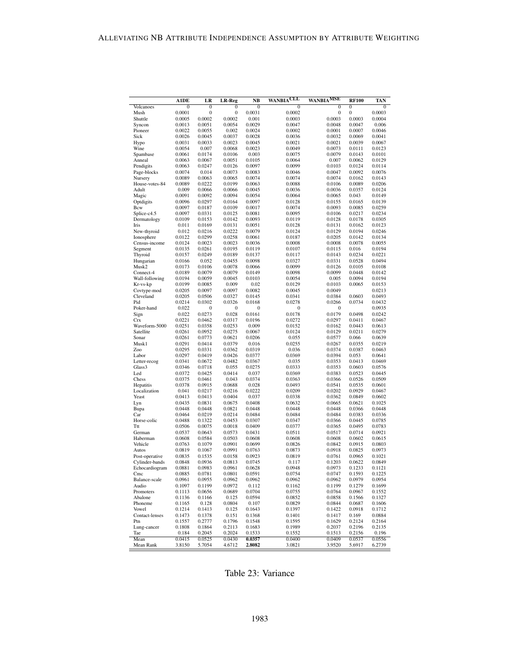|                          | <b>A1DE</b>      | LR               | LR-Reg           | <b>NB</b>        | <b>WANBIACLL</b> | <b>WANBIAMSE</b>           | <b>RF100</b>     | TAN              |
|--------------------------|------------------|------------------|------------------|------------------|------------------|----------------------------|------------------|------------------|
| Volcanoes                | $\mathbf{0}$     | $\bf{0}$         | $\bf{0}$         | $\bf{0}$         | $\mathbf{0}$     | $\mathbf{0}$               | $\mathbf{0}$     | $\bf{0}$         |
| Mush                     | 0.0001           | 0                | $\bf{0}$         | 0.0031           | 0.0002           | $\boldsymbol{0}$<br>0.0003 | $\bf{0}$         | 0.0003           |
| Shuttle<br>Syncon        | 0.0005<br>0.0013 | 0.0002<br>0.0051 | 0.0002<br>0.0054 | 0.001<br>0.0029  | 0.0003<br>0.0047 | 0.0048                     | 0.0003<br>0.0047 | 0.0004<br>0.006  |
| Pioneer                  | 0.0022           | 0.0055           | 0.002            | 0.0024           | 0.0002           | 0.0001                     | 0.0007           | 0.0046           |
| Sick                     | 0.0026           | 0.0045           | 0.0037           | 0.0028           | 0.0036           | 0.0032                     | 0.0069           | 0.0041           |
| Hypo                     | 0.0031           | 0.0033           | 0.0023           | 0.0045           | 0.0021           | 0.0021                     | 0.0039           | 0.0067           |
| Wine                     | 0.0054           | 0.007            | 0.0068           | 0.0023           | 0.0049           | 0.0073                     | 0.0111           | 0.0123           |
| Spambase                 | 0.0061           | 0.0174           | 0.0106           | 0.003            | 0.0075           | 0.0079                     | 0.0143           | 0.0101           |
| Anneal<br>Pendigits      | 0.0063<br>0.0063 | 0.0067<br>0.0247 | 0.0051<br>0.0126 | 0.0105<br>0.0097 | 0.0064<br>0.0099 | 0.007<br>0.0103            | 0.0062<br>0.0124 | 0.0129<br>0.0114 |
| Page-blocks              | 0.0074           | 0.014            | 0.0073           | 0.0083           | 0.0046           | 0.0047                     | 0.0092           | 0.0076           |
| Nursery                  | 0.0089           | 0.0063           | 0.0065           | 0.0074           | 0.0074           | 0.0074                     | 0.0162           | 0.0143           |
| House-votes-84           | 0.0089           | 0.0222           | 0.0199           | 0.0063           | 0.0088           | 0.0106                     | 0.0089           | 0.0206           |
| Adult                    | 0.009            | 0.0066           | 0.0066           | 0.0045           | 0.0036           | 0.0036                     | 0.0357           | 0.0124           |
| Magic                    | 0.0091           | 0.0092           | 0.0094           | 0.0054           | 0.0064           | 0.0065                     | 0.043            | 0.0149           |
| Optdigits<br>Bcw         | 0.0096<br>0.0097 | 0.0297<br>0.0187 | 0.0164<br>0.0109 | 0.0097<br>0.0017 | 0.0128<br>0.0074 | 0.0155<br>0.0093           | 0.0165<br>0.0085 | 0.0139<br>0.0259 |
| Splice-c4.5              | 0.0097           | 0.0331           | 0.0125           | 0.0081           | 0.0095           | 0.0106                     | 0.0217           | 0.0234           |
| Dermatology              | 0.0109           | 0.0153           | 0.0142           | 0.0093           | 0.0119           | 0.0128                     | 0.0178           | 0.0305           |
| Iris                     | 0.011            | 0.0169           | 0.0131           | 0.0051           | 0.0128           | 0.0131                     | 0.0162           | 0.0123           |
| New-thyroid              | 0.012            | 0.0216           | 0.0222           | 0.0079           | 0.0124           | 0.0129                     | 0.0194           | 0.0246           |
| Ionosphere               | 0.0122           | 0.0299           | 0.0258           | 0.0061           | 0.0187           | 0.0205                     | 0.0142           | 0.0134           |
| Census-income            | 0.0124           | 0.0023           | 0.0023           | 0.0036           | 0.0008           | 0.0008                     | 0.0078           | 0.0055           |
| Segment<br>Thyroid       | 0.0135<br>0.0157 | 0.0261<br>0.0249 | 0.0195<br>0.0189 | 0.0119<br>0.0137 | 0.0107<br>0.0117 | 0.0115<br>0.0143           | 0.016<br>0.0234  | 0.0194<br>0.0221 |
| Hungarian                | 0.0166           | 0.052            | 0.0455           | 0.0098           | 0.0327           | 0.0331                     | 0.0528           | 0.0494           |
| Musk2                    | 0.0173           | 0.0106           | 0.0078           | 0.0066           | 0.0099           | 0.0126                     | 0.0105           | 0.0108           |
| Connect-4                | 0.0189           | 0.0079           | 0.0079           | 0.0149           | 0.0098           | 0.0099                     | 0.0448           | 0.0142           |
| Wall-following           | 0.0194           | 0.0059           | 0.0045           | 0.0103           | 0.0054           | 0.005                      | 0.0094           | 0.0194           |
| Kr-vs-kp                 | 0.0199           | 0.0085           | 0.009            | 0.02             | 0.0129           | 0.0103                     | 0.0065           | 0.0153           |
| Covtype-mod<br>Cleveland | 0.0205           | 0.0097           | 0.0097           | 0.0082           | 0.0045           | 0.0049                     |                  | 0.0213           |
| Pid                      | 0.0205<br>0.0214 | 0.0506<br>0.0302 | 0.0327<br>0.0326 | 0.0145<br>0.0168 | 0.0341<br>0.0278 | 0.0384<br>0.0266           | 0.0603<br>0.0734 | 0.0493<br>0.0432 |
| Poker-hand               | 0.022            | 0                | 0                | 0                | 0                | 0                          |                  | 0.0935           |
| Sign                     | 0.022            | 0.0273           | 0.028            | 0.0161           | 0.0178           | 0.0179                     | 0.0498           | 0.0242           |
| Crx                      | 0.0221           | 0.0462           | 0.0317           | 0.0196           | 0.0272           | 0.0297                     | 0.0411           | 0.0467           |
| Waveform-5000            | 0.0251           | 0.0358           | 0.0253           | 0.009            | 0.0152           | 0.0162                     | 0.0443           | 0.0613           |
| Satellite                | 0.0261<br>0.0261 | 0.0952           | 0.0275           | 0.0067           | 0.0124           | 0.0129                     | 0.0211           | 0.0279           |
| Sonar<br>Musk1           | 0.0291           | 0.0773<br>0.0414 | 0.0621<br>0.0379 | 0.0206<br>0.016  | 0.055<br>0.0255  | 0.0577<br>0.0267           | 0.066<br>0.0355  | 0.0639<br>0.0219 |
| Zoo                      | 0.0295           | 0.0331           | 0.0362           | 0.0319           | 0.036            | 0.0374                     | 0.0387           | 0.0463           |
| Labor                    | 0.0297           | 0.0419           | 0.0426           | 0.0377           | 0.0369           | 0.0394                     | 0.053            | 0.0641           |
| Letter-recog             | 0.0341           | 0.0672           | 0.0482           | 0.0367           | 0.035            | 0.0353                     | 0.0413           | 0.0469           |
| Glass3                   | 0.0346           | 0.0718           | 0.055            | 0.0275           | 0.0333           | 0.0353                     | 0.0603           | 0.0576           |
| Led                      | 0.0372           | 0.0425           | 0.0414           | 0.037            | 0.0369           | 0.0383                     | 0.0523           | 0.0445           |
| Chess<br>Hepatitis       | 0.0375<br>0.0378 | 0.0461<br>0.0915 | 0.043<br>0.0688  | 0.0374<br>0.028  | 0.0363<br>0.0493 | 0.0366<br>0.0541           | 0.0526<br>0.0535 | 0.0509<br>0.0601 |
| Localization             | 0.041            | 0.0217           | 0.0216           | 0.0222           | 0.0209           | 0.0202                     | 0.0929           | 0.0467           |
| Yeast                    | 0.0413           | 0.0413           | 0.0404           | 0.037            | 0.0338           | 0.0362                     | 0.0849           | 0.0602           |
| Lyn                      | 0.0435           | 0.0831           | 0.0675           | 0.0408           | 0.0632           | 0.0665                     | 0.0621           | 0.1025           |
| Bupa                     | 0.0448           | 0.0448           | 0.0821           | 0.0448           | 0.0448           | 0.0448                     | 0.0366           | 0.0448           |
| Car                      | 0.0464           | 0.0219           | 0.0214           | 0.0484           | 0.0484           | 0.0484                     | 0.0383           | 0.0336           |
| Horse-colic<br>Ttt       | 0.0488<br>0.0506 | 0.1322<br>0.0075 | 0.0453<br>0.0018 | 0.0307<br>0.0409 | 0.0347<br>0.0377 | 0.0366<br>0.0365           | 0.0445<br>0.0495 | 0.0785<br>0.0783 |
| German                   | 0.0537           | 0.0643           | 0.0573           | 0.0431           | 0.0511           | 0.0517                     | 0.0714           | 0.0921           |
| Haberman                 | 0.0608           | 0.0584           | 0.0503           | 0.0608           | 0.0608           | 0.0608                     | 0.0602           | 0.0615           |
| Vehicle                  | 0.0763           | 0.1079           | 0.0901           | 0.0699           | 0.0826           | 0.0842                     | 0.0915           | 0.0803           |
| Autos                    | 0.0819           | 0.1067           | 0.0991           | 0.0763           | 0.0873           | 0.0918                     | 0.0825           | 0.0973           |
| Post-operative           | 0.0835           | 0.1535           | 0.0158           | 0.0923           | 0.0819           | 0.0761                     | 0.0965           | 0.1021           |
| Cylinder-bands           | 0.0848<br>0.0881 | 0.0936<br>0.0983 | 0.0813<br>0.0961 | 0.0745<br>0.0628 | 0.117<br>0.0948  | 0.1203<br>0.0973           | 0.0622<br>0.1233 | 0.0849<br>0.1121 |
| Echocardiogram<br>Cmc    | 0.0885           | 0.0781           | 0.0801           | 0.0591           | 0.0754           | 0.0747                     | 0.1593           | 0.1225           |
| Balance-scale            | 0.0961           | 0.0955           | 0.0962           | 0.0962           | 0.0962           | 0.0962                     | 0.0979           | 0.0954           |
| Audio                    | 0.1097           | 0.1199           | 0.0972           | 0.112            | 0.1162           | 0.1199                     | 0.1279           | 0.1699           |
| Promoters                | 0.1113           | 0.0656           | 0.0689           | 0.0704           | 0.0755           | 0.0764                     | 0.0967           | 0.1552           |
| Abalone                  | 0.1136           | 0.1166           | 0.125            | 0.0594           | 0.0852           | 0.0858                     | 0.1566           | 0.1327           |
| Phoneme                  | 0.1165           | 0.128            | 0.0804           | 0.107            | 0.0829           | 0.0844                     | 0.0687<br>0.0918 | 0.1606           |
| Vowel<br>Contact-lenses  | 0.1214<br>0.1473 | 0.1413<br>0.1378 | 0.125<br>0.151   | 0.1643<br>0.1368 | 0.1397<br>0.1401 | 0.1422<br>0.1417           | 0.169            | 0.1712<br>0.0884 |
| Ptn                      | 0.1557           | 0.2777           | 0.1796           | 0.1548           | 0.1595           | 0.1629                     | 0.2124           | 0.2164           |
| Lung-cancer              | 0.1808           | 0.1864           | 0.2113           | 0.1683           | 0.1989           | 0.2037                     | 0.2196           | 0.2135           |
| Tae                      | 0.184            | 0.2045           | 0.2024           | 0.1533           | 0.1552           | 0.1513                     | 0.2156           | 0.196            |
| Mean                     | 0.0415           | 0.0525           | 0.0430           | 0.0357           | 0.0400           | 0.0409                     | 0.0537           | 0.0556           |
| Mean Rank                | 3.8150           | 5.7054           | 4.6712           | 2.8082           | 3.0821           | 3.9520                     | 5.6917           | 6.2739           |

Table 23: Variance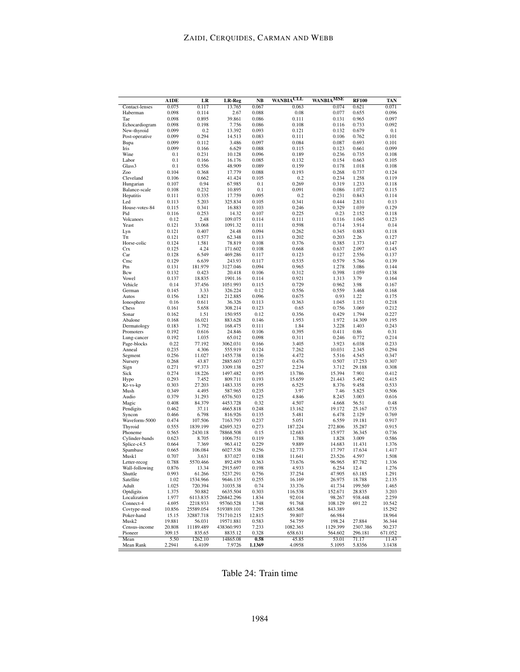|                               | A1DE            | LR                  | LR-Reg                  | NB              | CLL<br><b>WANBIA</b> | WANBIA <sup>MSE</sup> | <b>RF100</b>    | TAN              |
|-------------------------------|-----------------|---------------------|-------------------------|-----------------|----------------------|-----------------------|-----------------|------------------|
| Contact-lenses                | 0.075           | 0.117               | 13.765                  | 0.067           | 0.063                | 0.074                 | 0.621           | 0.071            |
| Haberman                      | 0.098           | 0.114               | 2.67                    | 0.088           | 0.08                 | 0.077                 | 0.655           | 0.096            |
| Tae                           | 0.098           | 0.895               | 39.861                  | 0.086           | 0.111                | 0.131                 | 0.965           | 0.097            |
| Echocardiogram<br>New-thyroid | 0.098<br>0.099  | 0.198<br>0.2        | 7.756<br>13.392         | 0.086<br>0.093  | 0.108<br>0.121       | 0.116<br>0.132        | 0.733<br>0.679  | 0.092<br>0.1     |
| Post-operative                | 0.099           | 0.294               | 14.513                  | 0.083           | 0.111                | 0.106                 | 0.762           | 0.101            |
| Bupa                          | 0.099           | 0.112               | 3.486                   | 0.097           | 0.084                | 0.087                 | 0.693           | 0.101            |
| Iris                          | 0.099           | 0.166               | 6.629                   | 0.088           | 0.115                | 0.123                 | 0.661           | 0.099            |
| Wine                          | 0.1             | 0.231               | 10.128                  | 0.096           | 0.189                | 0.236                 | 0.735           | 0.108            |
| Labor                         | 0.1             | 0.166               | 16.176                  | 0.085           | 0.132                | 0.154                 | 0.663           | 0.105            |
| Glass3                        | $_{0.1}$        | 0.556               | 48.909                  | 0.089           | 0.159                | 0.178                 | 1.018           | 0.108            |
| Zoo                           | 0.104           | 0.368               | 17.779                  | 0.088           | 0.193                | 0.268                 | 0.737           | 0.124            |
| Cleveland                     | 0.106<br>0.107  | 0.662<br>0.94       | 41.424<br>67.985        | 0.105<br>0.1    | 0.2<br>0.269         | 0.234<br>0.319        | 1.258           | 0.119<br>0.118   |
| Hungarian<br>Balance-scale    | 0.108           | 0.232               | 10.895                  | 0.1             | 0.091                | 0.086                 | 1.233<br>1.072  | 0.115            |
| Hepatitis                     | 0.111           | 0.335               | 17.759                  | 0.095           | 0.2                  | 0.231                 | 0.843           | 0.114            |
| Led                           | 0.113           | 5.203               | 325.834                 | 0.105           | 0.341                | 0.444                 | 2.831           | 0.13             |
| House-votes-84                | 0.115           | 0.341               | 16.883                  | 0.103           | 0.246                | 0.329                 | 1.039           | 0.129            |
| Pid                           | 0.116           | 0.253               | 14.32                   | 0.107           | 0.225                | 0.23                  | 2.152           | 0.118            |
| Volcanoes                     | 0.12            | 2.48                | 109.075                 | 0.114           | 0.111                | 0.116                 | 1.045           | 0.123            |
| Yeast                         | 0.121           | 33.068              | 1091.32                 | 0.111           | 0.598                | 0.714                 | 3.914           | 0.14             |
| Lyn<br>Ttt                    | 0.121<br>0.121  | 0.407               | 24.48                   | 0.094           | 0.262                | 0.345                 | 0.883           | 0.118<br>0.127   |
| Horse-colic                   | 0.124           | 0.577<br>1.581      | 62.348<br>78.819        | 0.113<br>0.108  | 0.202<br>0.376       | 0.203<br>0.385        | 2.26<br>1.373   | 0.147            |
| Crx                           | 0.125           | 4.24                | 171.602                 | 0.108           | 0.668                | 0.637                 | 2.097           | 0.145            |
| Car                           | 0.128           | 6.549               | 469.286                 | 0.117           | 0.123                | 0.127                 | 2.556           | 0.137            |
| Cmc                           | 0.129           | 6.639               | 243.93                  | 0.117           | 0.535                | 0.579                 | 5.766           | 0.139            |
| Ptn                           | 0.131           | 181.979             | 3127.046                | 0.094           | 0.965                | 1.278                 | 3.086           | 0.144            |
| Bcw                           | 0.132           | 0.423               | 20.418                  | 0.106           | 0.312                | 0.398                 | 1.059           | 0.138            |
| Vowel                         | 0.137           | 18.835              | 1901.16                 | 0.114           | 0.921                | 1.313                 | 3.79            | 0.164            |
| Vehicle                       | 0.14<br>0.145   | 37.456              | 1051.993                | 0.115           | 0.729                | 0.962                 | 3.98<br>3.468   | 0.167            |
| German<br>Autos               | 0.156           | 3.33<br>1.821       | 326.224<br>212.885      | 0.12<br>0.096   | 0.556<br>0.675       | 0.559<br>0.93         | 1.22            | 0.168<br>0.175   |
| Ionosphere                    | 0.16            | 0.611               | 36.326                  | 0.113           | 0.363                | 1.045                 | 1.151           | 0.218            |
| Chess                         | 0.161           | 5.658               | 308.214                 | 0.123           | 0.65                 | 0.756                 | 3.069           | 0.212            |
| Sonar                         | 0.162           | 1.51                | 150.955                 | 0.12            | 0.356                | 0.429                 | 1.794           | 0.227            |
| Abalone                       | 0.168           | 16.021              | 883.628                 | 0.146           | 1.953                | 1.972                 | 14.309          | 0.195            |
| Dermatology                   | 0.183           | 1.792               | 168.475                 | 0.111           | 1.84                 | 3.228                 | 1.403           | 0.243            |
| Promoters                     | 0.192           | 0.616               | 24.846                  | 0.106           | 0.395                | 0.411                 | 0.86            | 0.31             |
| Lung-cancer                   | 0.192           | 1.035               | 65.012                  | 0.098           | 0.311                | 0.246                 | 0.772           | 0.214            |
| Page-blocks<br>Anneal         | 0.22<br>0.235   | 77.192<br>4.306     | 3062.031<br>555.919     | 0.166<br>0.124  | 3.405<br>7.262       | 3.923<br>10.031       | 6.038<br>2.345  | 0.233<br>0.294   |
| Segment                       | 0.256           | 11.027              | 1455.738                | 0.136           | 4.472                | 5.516                 | 4.545           | 0.347            |
| Nursery                       | 0.268           | 43.87               | 2885.603                | 0.237           | 0.476                | 0.507                 | 17.253          | 0.307            |
| Sign                          | 0.271           | 97.373              | 3309.138                | 0.257           | 2.234                | 3.712                 | 29.188          | 0.308            |
| Sick                          | 0.274           | 18.226              | 1497.482                | 0.195           | 13.786               | 15.394                | 7.901           | 0.412            |
| Hypo                          | 0.293           | 7.452               | 809.711                 | 0.193           | 15.659               | 21.443                | 5.492           | 0.415            |
| Kr-vs-kp                      | 0.303           | 27.203              | 1483.335                | 0.195           | 6.525                | 8.376                 | 9.458           | 0.533            |
| Mush                          | 0.349           | 4.495               | 587.965                 | 0.235           | 3.97                 | 7.46                  | 5.825           | 0.506            |
| Audio                         | 0.379           | 31.293              | 6576.503                | 0.125           | 4.846                | 8.245                 | 3.003           | 0.616            |
| Magic<br>Pendigits            | 0.408<br>0.462  | 84.379<br>37.11     | 4453.728<br>4665.818    | 0.32<br>0.248   | 4.507<br>13.162      | 4.668<br>19.172       | 56.51<br>25.167 | 0.48<br>0.735    |
| Syncon                        | 0.466           | 6.798               | 816.926                 | 0.135           | 5.481                | 6.478                 | 2.129           | 0.769            |
| Waveform-5000                 | 0.474           | 107.506             | 7163.793                | 0.237           | 5.051                | 6.559                 | 19.181          | 0.917            |
| Thyroid                       | 0.555           | 1839.199            | 42695.323               | 0.273           | 187.224              | 272.806               | 35.287          | 0.915            |
| Phoneme                       | 0.565           | 2430.18             | 78868.508               | 0.15            | 12.683               | 15.977                | 36.345          | 0.736            |
| Cylinder-bands                | 0.623           | 8.705               | 1006.751                | 0.119           | 1.788                | 1.828                 | 3.009           | 0.586            |
| Splice-c4.5                   | 0.664           | 7.369               | 963.412                 | 0.229           | 9.889                | 14.683                | 11.431          | 1.376            |
| Spambase                      | 0.665           | 106.084             | 6027.538                | 0.256           | 12.773               | 17.797                | 17.634<br>4.597 | 1.417<br>1.508   |
| Musk1<br>Letter-recog         | 0.707<br>0.788  | 3.631<br>5570.466   | 837.027<br>892.459      | 0.188<br>0.363  | 11.641<br>73.676     | 23.526<br>96.965      | 87.782          | 1.336            |
| Wall-following                | 0.876           | 13.34               | 2915.697                | 0.198           | 4.933                | 6.254                 | 12.4            | 1.276            |
| Shuttle                       | 0.993           | 61.266              | 5237.291                | 0.756           | 37.254               | 47.905                | 63.185          | 1.291            |
| Satellite                     | 1.02            | 1534.966            | 9646.135                | 0.255           | 16.169               | 26.975                | 18.788          | 2.135            |
| Adult                         | 1.025           | 720.394             | 31035.38                | 0.74            | 33.376               | 41.734                | 199.569         | 1.465            |
| Optdigits                     | 1.375           | 50.882              | 6635.504                | 0.303           | 116.538              | 152.671               | 28.835          | 3.203            |
| Localization                  | 1.977           | 6113.835            | 226842.296              | 1.834           | 92.014               | 98.267                | 938.448         | 2.259            |
| Connect-4                     | 4.695           | 2218.933            | 95760.528               | 1.748           | 91.768               | 108.129               | 691.22          | 10.542           |
| Covtype-mod<br>Poker-hand     | 10.856          | 25589.054           | 519389.101              | 7.295<br>12.815 | 683.568              | 843.389               |                 | 15.292           |
| Musk2                         | 15.15<br>19.881 | 32887.718<br>56.031 | 751710.215<br>19571.881 | 0.583           | 59.807<br>54.759     | 66.984<br>198.24      | 27.884          | 18.964<br>36.344 |
| Census-income                 | 20.808          | 11189.489           | 438360.993              | 7.233           | 1082.365             | 1129.399              | 2307.386        | 50.237           |
| Pioneer                       | 309.15          | 835.65              | 8835.12                 | 0.328           | 658.631              | 564.602               | 296.181         | 671.052          |
| Mean                          | 5.50            | 1262.10             | 14865.08                | 0.58            | 45.85                | 53.01                 | 71.17           | 11.43            |
| Mean Rank                     | 2.2941          | 6.4109              | 7.9726                  | 1.1369          | 4.0958               | 5.1095                | 5.8356          | 3.1438           |

Table 24: Train time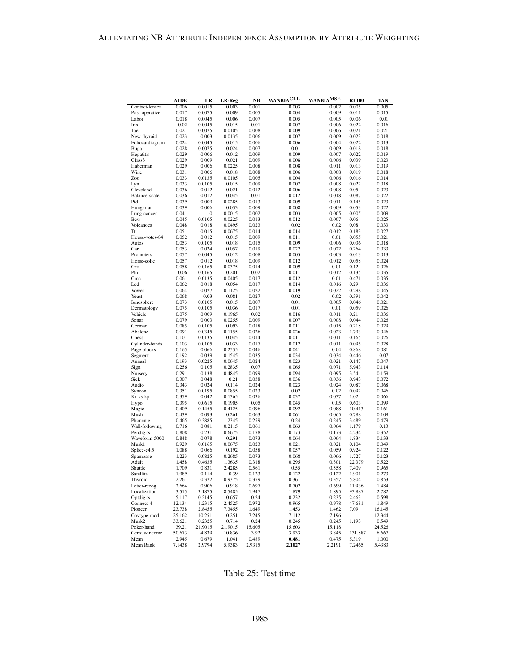|                             | <b>A1DE</b>     | LR              | LR-Reg            | <b>NB</b>      | <b>WANBIACLL</b> | <b>WANBIAMSE</b> | <b>RF100</b>     | TAN             |
|-----------------------------|-----------------|-----------------|-------------------|----------------|------------------|------------------|------------------|-----------------|
| Contact-lenses              | 0.006           | 0.0015          | 0.003             | 0.001          | 0.003            | 0.002            | 0.005            | 0.005           |
| Post-operative              | 0.017           | 0.0075          | 0.009             | 0.005          | 0.004            | 0.009            | 0.011            | 0.015           |
| Labor                       | 0.018           | 0.0045          | 0.006             | 0.007          | 0.005            | 0.005            | 0.006            | 0.01            |
| Iris                        | 0.02            | 0.0045          | 0.015             | $_{0.01}$      | 0.007            | 0.006            | 0.022            | 0.016           |
| Tae<br>New-thyroid          | 0.021<br>0.023  | 0.0075<br>0.003 | 0.0105<br>0.0135  | 0.008<br>0.006 | 0.009<br>0.007   | 0.006<br>0.009   | 0.021<br>0.023   | 0.021<br>0.018  |
| Echocardiogram              | 0.024           | 0.0045          | 0.015             | 0.006          | 0.006            | 0.004            | 0.022            | 0.013           |
| Bupa                        | 0.028           | 0.0075          | 0.024             | 0.007          | 0.01             | 0.009            | 0.018            | 0.018           |
| Hepatitis                   | 0.029           | 0.006           | 0.012             | 0.009          | 0.009            | 0.007            | 0.022            | 0.019           |
| Glass <sub>3</sub>          | 0.029           | 0.009           | 0.021             | 0.009          | 0.008            | 0.006            | 0.039            | 0.023           |
| Haberman                    | 0.029           | 0.006           | 0.0225            | 0.008          | 0.008            | 0.011            | 0.013            | 0.019           |
| Wine                        | 0.031           | 0.006           | 0.018             | 0.008          | 0.006            | 0.008            | 0.019            | 0.018           |
| Zoo                         | 0.033           | 0.0135          | 0.0105            | 0.005          | 0.004            | 0.006            | 0.016            | 0.014           |
| Lyn                         | 0.033           | 0.0105          | 0.015             | 0.009          | 0.007            | 0.008            | 0.022            | 0.018           |
| Cleveland<br>Balance-scale  | 0.036<br>0.036  | 0.012<br>0.012  | 0.021<br>0.045    | 0.012<br>0.01  | 0.006<br>0.012   | 0.008<br>0.018   | 0.05<br>0.087    | 0.023<br>0.022  |
| Pid                         | 0.039           | 0.009           | 0.0285            | 0.013          | 0.009            | 0.011            | 0.145            | 0.023           |
| Hungarian                   | 0.039           | 0.006           | 0.033             | 0.009          | 0.008            | 0.009            | 0.053            | 0.022           |
| Lung-cancer                 | 0.041           | 0               | 0.0015            | 0.002          | 0.003            | 0.005            | 0.005            | 0.009           |
| Bcw                         | 0.045           | 0.0105          | 0.0225            | 0.013          | 0.012            | 0.007            | 0.06             | 0.025           |
| Volcanoes                   | 0.048           | 0.018           | 0.0495            | 0.023          | 0.02             | 0.02             | 0.08             | 0.033           |
| Tt                          | 0.051           | 0.015           | 0.0675            | 0.014          | 0.014            | 0.012            | 0.183            | 0.027           |
| House-votes-84              | 0.052           | 0.012           | 0.015             | 0.009          | 0.011            | 0.01             | 0.055            | 0.021           |
| Autos                       | 0.053           | 0.0105          | 0.018             | 0.015          | 0.009            | 0.006            | 0.036            | 0.018           |
| Car<br>Promoters            | 0.053<br>0.057  | 0.024<br>0.0045 | 0.057<br>0.012    | 0.019<br>0.008 | 0.022<br>0.005   | 0.022<br>0.003   | 0.264<br>0.013   | 0.033<br>0.013  |
| Horse-colic                 | 0.057           | 0.012           | 0.018             | 0.009          | 0.012            | 0.012            | 0.058            | 0.024           |
| <b>Crx</b>                  | 0.058           | 0.0165          | 0.0375            | 0.014          | 0.009            | 0.01             | 0.12             | 0.026           |
| Ptn                         | 0.06            | 0.0165          | 0.201             | 0.02           | 0.011            | 0.012            | 0.135            | 0.035           |
| Cmc                         | 0.061           | 0.0135          | 0.0405            | 0.017          | 0.012            | 0.01             | 0.471            | 0.035           |
| Led                         | 0.062           | 0.018           | 0.054             | 0.017          | 0.014            | 0.016            | 0.29             | 0.036           |
| Vowel                       | 0.064           | 0.027           | 0.1125            | 0.022          | 0.019            | 0.022            | 0.298            | 0.045           |
| Yeast                       | 0.068           | 0.03            | 0.081             | 0.027          | 0.02             | 0.02             | 0.391            | 0.042           |
| Ionosphere                  | 0.073           | 0.0105          | 0.015             | 0.007          | 0.01             | 0.005            | 0.046            | 0.021           |
| Dermatology<br>Vehicle      | 0.075           | 0.0105<br>0.009 | 0.036<br>0.1965   | 0.017<br>0.02  | 0.01<br>0.016    | 0.01<br>0.011    | 0.059<br>0.21    | 0.026<br>0.036  |
| Sonar                       | 0.075<br>0.079  | 0.003           | 0.0255            | 0.009          | 0.007            | 0.008            | 0.044            | 0.026           |
| German                      | 0.085           | 0.0105          | 0.093             | 0.018          | 0.011            | 0.015            | 0.218            | 0.029           |
| Abalone                     | 0.091           | 0.0345          | 0.1155            | 0.026          | 0.026            | 0.023            | 1.793            | 0.046           |
| Chess                       | 0.101           | 0.0135          | 0.045             | 0.014          | 0.011            | 0.011            | 0.165            | 0.026           |
| Cylinder-bands              | 0.103           | 0.0105          | 0.033             | 0.017          | 0.012            | 0.011            | 0.095            | 0.028           |
| Page-blocks                 | 0.165           | 0.066           | 0.2535            | 0.046          | 0.041            | 0.04             | 0.868            | 0.081           |
| Segment                     | 0.192           | 0.039           | 0.1545            | 0.035          | 0.034            | 0.034            | 0.446            | 0.07            |
| Anneal                      | 0.193           | 0.0225          | 0.0645            | 0.024          | 0.023            | 0.021            | 0.147<br>5.943   | 0.047           |
| Sign<br>Nursery             | 0.256<br>0.291  | 0.105<br>0.138  | 0.2835<br>0.4845  | 0.07<br>0.099  | 0.065<br>0.094   | 0.071<br>0.095   | 3.54             | 0.114<br>0.159  |
| Sick                        | 0.307           | 0.048           | 0.21              | 0.038          | 0.036            | 0.036            | 0.943            | 0.072           |
| Audio                       | 0.343           | 0.024           | 0.114             | 0.024          | 0.023            | 0.024            | 0.087            | 0.068           |
| Syncon                      | 0.351           | 0.0195          | 0.0855            | 0.023          | 0.02             | 0.02             | 0.092            | 0.046           |
| Kr-vs-kp                    | 0.359           | 0.042           | 0.1365            | 0.036          | 0.037            | 0.037            | 1.02             | 0.066           |
| Hypo                        | 0.395           | 0.0615          | 0.1905            | 0.05           | 0.045            | 0.05             | 0.603            | 0.099           |
| Magic                       | 0.409           | 0.1455          | 0.4125            | 0.096          | 0.092            | 0.088            | 10.413           | 0.161           |
| Mush                        | 0.439<br>0.465  | 0.093<br>0.3885 | 0.261<br>1.2345   | 0.063<br>0.259 | 0.061<br>0.24    | 0.065<br>0.245   | 0.788<br>3.489   | 0.109<br>0.479  |
| Phoneme<br>Wall-following   | 0.716           | 0.081           | 0.2115            | 0.061          | 0.063            | 0.064            | 1.179            | 0.13            |
| Pendigits                   | 0.808           | 0.231           | 0.6675            | 0.178          | 0.173            | 0.173            | 4.234            | 0.352           |
| Waveform-5000               | 0.848           | 0.078           | 0.291             | 0.073          | 0.064            | 0.064            | 1.834            | 0.133           |
| Musk1                       | 0.929           | 0.0165          | 0.0675            | 0.023          | 0.021            | 0.021            | 0.104            | 0.049           |
| Splice-c4.5                 | 1.088           | 0.066           | 0.192             | 0.058          | 0.057            | 0.059            | 0.924            | 0.122           |
| Spambase                    | 1.223           | 0.0825          | 0.2685            | 0.073          | 0.068            | 0.066            | 1.727            | 0.123           |
| Adult                       | 1.458           | 0.4635          | 1.3635            | 0.318          | 0.295            | 0.301            | 22.379           | 0.522           |
| Shuttle                     | 1.709           | 0.831           | 2.4285            | 0.561          | 0.55             | 0.558            | 7.409            | 0.965           |
| Satellite<br>Thyroid        | 1.989<br>2.261  | 0.114<br>0.372  | 0.39<br>0.9375    | 0.123<br>0.359 | 0.122<br>0.361   | 0.122<br>0.357   | 1.901<br>5.804   | 0.273<br>0.853  |
| Letter-recog                | 2.664           | 0.906           | 0.918             | 0.697          | 0.702            | 0.699            | 11.936           | 1.484           |
| Localization                | 3.515           | 3.1875          | 8.5485            | 1.947          | 1.879            | 1.895            | 93.887           | 2.782           |
| Optdigits                   | 5.117           | 0.2145          | 0.657             | 0.24           | 0.232            | 0.235            | 2.463            | 0.598           |
| Connect-4                   | 12.134          | 1.2315          | 2.4525            | 0.972          | 0.965            | 0.978            | 47.681           | 1.849           |
| Pioneer                     | 23.738          | 2.8455          | 7.3455            | 1.649          | 1.453            | 1.462            | 7.09             | 16.145          |
| Covtype-mod                 | 25.162          | 10.251          | 10.251            | 7.245          | 7.112            | 7.196            |                  | 12.344          |
| Musk2                       | 33.621          | 0.2325          | 0.714             | 0.24           | 0.245            | 0.245            | 1.193            | 0.549           |
| Poker-hand<br>Census-income | 39.21           | 21.9015         | 21.9015<br>10.836 | 15.605<br>3.92 | 15.603           | 15.118           |                  | 24.526<br>6.667 |
| Mean                        | 50.673<br>2.945 | 4.839<br>0.679  | 1.041             | 0.489          | 3.933<br>0.481   | 3.845<br>0.475   | 131.887<br>5.319 | 1.000           |
| Mean Rank                   | 7.1438          | 2.9794          | 5.9383            | 2.9315         | 2.1027           | 2.2191           | 7.2465           | 5.4383          |
|                             |                 |                 |                   |                |                  |                  |                  |                 |

Table 25: Test time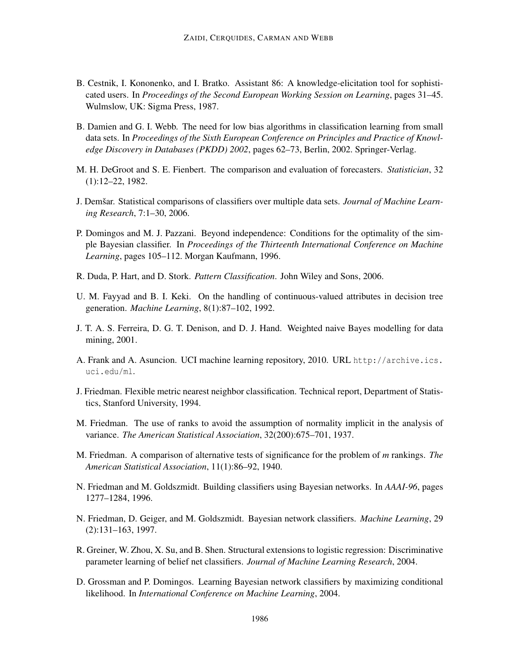- B. Cestnik, I. Kononenko, and I. Bratko. Assistant 86: A knowledge-elicitation tool for sophisticated users. In *Proceedings of the Second European Working Session on Learning*, pages 31–45. Wulmslow, UK: Sigma Press, 1987.
- B. Damien and G. I. Webb. The need for low bias algorithms in classification learning from small data sets. In *Proceedings of the Sixth European Conference on Principles and Practice of Knowledge Discovery in Databases (PKDD) 2002*, pages 62–73, Berlin, 2002. Springer-Verlag.
- M. H. DeGroot and S. E. Fienbert. The comparison and evaluation of forecasters. *Statistician*, 32 (1):12–22, 1982.
- **J.** Demšar. Statistical comparisons of classifiers over multiple data sets. *Journal of Machine Learning Research*, 7:1–30, 2006.
- P. Domingos and M. J. Pazzani. Beyond independence: Conditions for the optimality of the simple Bayesian classifier. In *Proceedings of the Thirteenth International Conference on Machine Learning*, pages 105–112. Morgan Kaufmann, 1996.
- R. Duda, P. Hart, and D. Stork. *Pattern Classification*. John Wiley and Sons, 2006.
- U. M. Fayyad and B. I. Keki. On the handling of continuous-valued attributes in decision tree generation. *Machine Learning*, 8(1):87–102, 1992.
- J. T. A. S. Ferreira, D. G. T. Denison, and D. J. Hand. Weighted naive Bayes modelling for data mining, 2001.
- A. Frank and A. Asuncion. UCI machine learning repository, 2010. URL http://archive.ics. uci.edu/ml.
- J. Friedman. Flexible metric nearest neighbor classification. Technical report, Department of Statistics, Stanford University, 1994.
- M. Friedman. The use of ranks to avoid the assumption of normality implicit in the analysis of variance. *The American Statistical Association*, 32(200):675–701, 1937.
- M. Friedman. A comparison of alternative tests of significance for the problem of *m* rankings. *The American Statistical Association*, 11(1):86–92, 1940.
- N. Friedman and M. Goldszmidt. Building classifiers using Bayesian networks. In *AAAI-96*, pages 1277–1284, 1996.
- N. Friedman, D. Geiger, and M. Goldszmidt. Bayesian network classifiers. *Machine Learning*, 29 (2):131–163, 1997.
- R. Greiner, W. Zhou, X. Su, and B. Shen. Structural extensions to logistic regression: Discriminative parameter learning of belief net classifiers. *Journal of Machine Learning Research*, 2004.
- D. Grossman and P. Domingos. Learning Bayesian network classifiers by maximizing conditional likelihood. In *International Conference on Machine Learning*, 2004.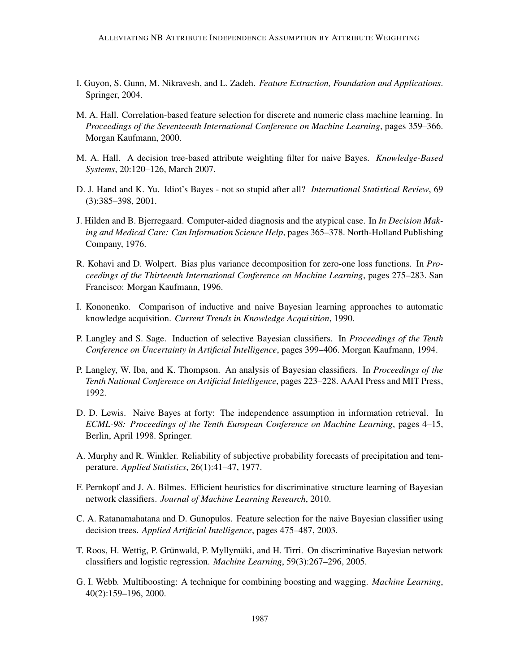- I. Guyon, S. Gunn, M. Nikravesh, and L. Zadeh. *Feature Extraction, Foundation and Applications*. Springer, 2004.
- M. A. Hall. Correlation-based feature selection for discrete and numeric class machine learning. In *Proceedings of the Seventeenth International Conference on Machine Learning*, pages 359–366. Morgan Kaufmann, 2000.
- M. A. Hall. A decision tree-based attribute weighting filter for naive Bayes. *Knowledge-Based Systems*, 20:120–126, March 2007.
- D. J. Hand and K. Yu. Idiot's Bayes not so stupid after all? *International Statistical Review*, 69 (3):385–398, 2001.
- J. Hilden and B. Bjerregaard. Computer-aided diagnosis and the atypical case. In *In Decision Making and Medical Care: Can Information Science Help*, pages 365–378. North-Holland Publishing Company, 1976.
- R. Kohavi and D. Wolpert. Bias plus variance decomposition for zero-one loss functions. In *Proceedings of the Thirteenth International Conference on Machine Learning*, pages 275–283. San Francisco: Morgan Kaufmann, 1996.
- I. Kononenko. Comparison of inductive and naive Bayesian learning approaches to automatic knowledge acquisition. *Current Trends in Knowledge Acquisition*, 1990.
- P. Langley and S. Sage. Induction of selective Bayesian classifiers. In *Proceedings of the Tenth Conference on Uncertainty in Artificial Intelligence*, pages 399–406. Morgan Kaufmann, 1994.
- P. Langley, W. Iba, and K. Thompson. An analysis of Bayesian classifiers. In *Proceedings of the Tenth National Conference on Artificial Intelligence*, pages 223–228. AAAI Press and MIT Press, 1992.
- D. D. Lewis. Naive Bayes at forty: The independence assumption in information retrieval. In *ECML-98: Proceedings of the Tenth European Conference on Machine Learning*, pages 4–15, Berlin, April 1998. Springer.
- A. Murphy and R. Winkler. Reliability of subjective probability forecasts of precipitation and temperature. *Applied Statistics*, 26(1):41–47, 1977.
- F. Pernkopf and J. A. Bilmes. Efficient heuristics for discriminative structure learning of Bayesian network classifiers. *Journal of Machine Learning Research*, 2010.
- C. A. Ratanamahatana and D. Gunopulos. Feature selection for the naive Bayesian classifier using decision trees. *Applied Artificial Intelligence*, pages 475–487, 2003.
- T. Roos, H. Wettig, P. Grünwald, P. Myllymäki, and H. Tirri. On discriminative Bayesian network classifiers and logistic regression. *Machine Learning*, 59(3):267–296, 2005.
- G. I. Webb. Multiboosting: A technique for combining boosting and wagging. *Machine Learning*, 40(2):159–196, 2000.